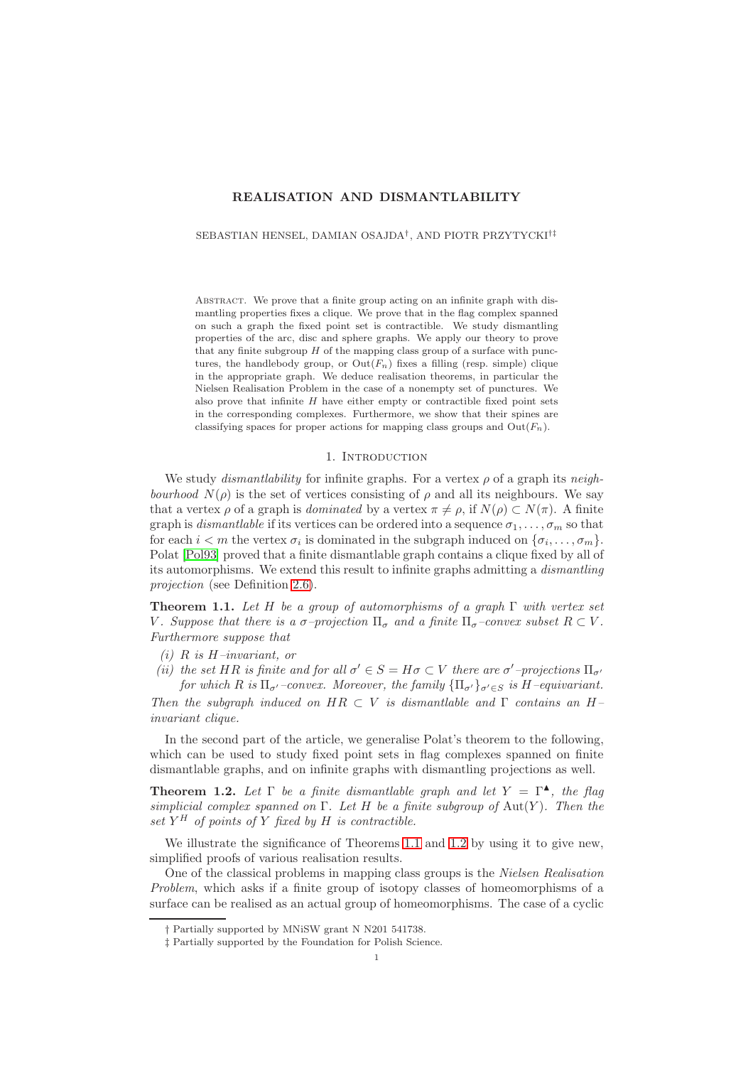# **REALISATION AND DISMANTLABILITY**

SEBASTIAN HENSEL, DAMIAN OSAJDA† , AND PIOTR PRZYTYCKI†‡

Abstract. We prove that a finite group acting on an infinite graph with dismantling properties fixes a clique. We prove that in the flag complex spanned on such a graph the fixed point set is contractible. We study dismantling properties of the arc, disc and sphere graphs. We apply our theory to prove that any finite subgroup  $H$  of the mapping class group of a surface with punctures, the handlebody group, or  $Out(F_n)$  fixes a filling (resp. simple) clique in the appropriate graph. We deduce realisation theorems, in particular the Nielsen Realisation Problem in the case of a nonempty set of punctures. We also prove that infinite  $H$  have either empty or contractible fixed point sets in the corresponding complexes. Furthermore, we show that their spines are classifying spaces for proper actions for mapping class groups and  $Out(F_n)$ .

### 1. INTRODUCTION

We study *dismantlability* for infinite graphs. For a vertex ρ of a graph its *neighbourhood*  $N(\rho)$  is the set of vertices consisting of  $\rho$  and all its neighbours. We say that a vertex  $\rho$  of a graph is *dominated* by a vertex  $\pi \neq \rho$ , if  $N(\rho) \subset N(\pi)$ . A finite graph is *dismantlable* if its vertices can be ordered into a sequence  $\sigma_1, \ldots, \sigma_m$  so that for each  $i < m$  the vertex  $\sigma_i$  is dominated in the subgraph induced on  $\{\sigma_i, \ldots, \sigma_m\}$ . Polat [\[Pol93\]](#page-32-0) proved that a finite dismantlable graph contains a clique fixed by all of its automorphisms. We extend this result to infinite graphs admitting a *dismantling projection* (see Definition [2.6\)](#page-5-0).

<span id="page-0-0"></span>**Theorem 1.1.** *Let* H *be a group of automorphisms of a graph* Γ *with vertex set* V. Suppose that there is a  $\sigma$ -projection  $\Pi_{\sigma}$  and a finite  $\Pi_{\sigma}$ -convex subset  $R \subset V$ . *Furthermore suppose that*

- *(i)* R *is* H*–invariant, or*
- (*ii*) the set HR is finite and for all  $\sigma' \in S = H\sigma \subset V$  there are  $\sigma'$ -projections  $\Pi_{\sigma'}$ *for which*  $R$  *is*  $\Pi_{\sigma'}$ *–convex.* Moreover, the family  ${\Pi_{\sigma'}}_{\sigma \in S}$  *is*  $H$ *–equivariant.*

*Then the subgraph induced on* HR ⊂ V *is dismantlable and* Γ *contains an* H*– invariant clique.*

In the second part of the article, we generalise Polat's theorem to the following, which can be used to study fixed point sets in flag complexes spanned on finite dismantlable graphs, and on infinite graphs with dismantling projections as well.

<span id="page-0-1"></span>**Theorem 1.2.** Let  $\Gamma$  be a finite dismantlable graph and let  $Y = \Gamma^{\blacktriangle}$ , the flag *simplicial complex spanned on* Γ*. Let* H *be a finite subgroup of* Aut(Y )*. Then the set* Y <sup>H</sup> *of points of* Y *fixed by* H *is contractible.*

We illustrate the significance of Theorems [1.1](#page-0-0) and [1.2](#page-0-1) by using it to give new, simplified proofs of various realisation results.

One of the classical problems in mapping class groups is the *Nielsen Realisation Problem*, which asks if a finite group of isotopy classes of homeomorphisms of a surface can be realised as an actual group of homeomorphisms. The case of a cyclic

<sup>†</sup> Partially supported by MNiSW grant N N201 541738.

<sup>‡</sup> Partially supported by the Foundation for Polish Science.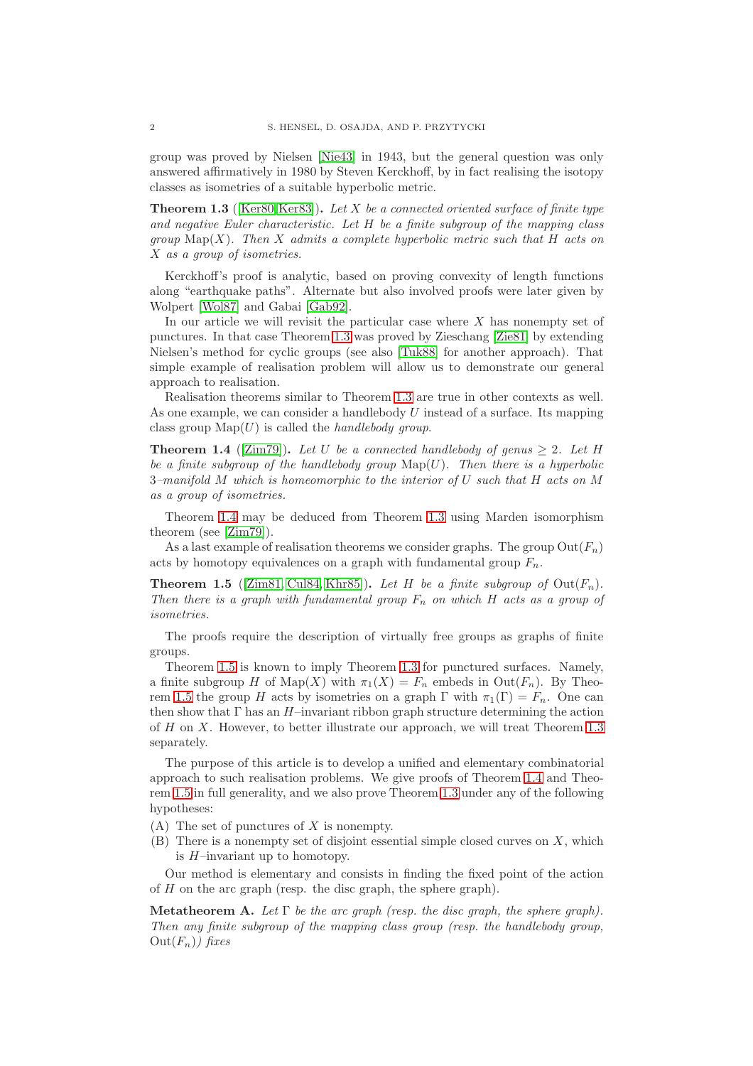group was proved by Nielsen [\[Nie43\]](#page-32-1) in 1943, but the general question was only answered affirmatively in 1980 by Steven Kerckhoff, by in fact realising the isotopy classes as isometries of a suitable hyperbolic metric.

<span id="page-1-0"></span>**Theorem 1.3** ([\[Ker80,](#page-32-2)[Ker83\]](#page-32-3))**.** *Let* X *be a connected oriented surface of finite type and negative Euler characteristic. Let* H *be a finite subgroup of the mapping class group* Map(X)*. Then* X *admits a complete hyperbolic metric such that* H *acts on* X *as a group of isometries.*

Kerckhoff's proof is analytic, based on proving convexity of length functions along "earthquake paths". Alternate but also involved proofs were later given by Wolpert [\[Wol87\]](#page-32-4) and Gabai [\[Gab92\]](#page-31-0).

In our article we will revisit the particular case where  $X$  has nonempty set of punctures. In that case Theorem [1.3](#page-1-0) was proved by Zieschang [\[Zie81\]](#page-32-5) by extending Nielsen's method for cyclic groups (see also [\[Tuk88\]](#page-32-6) for another approach). That simple example of realisation problem will allow us to demonstrate our general approach to realisation.

Realisation theorems similar to Theorem [1.3](#page-1-0) are true in other contexts as well. As one example, we can consider a handlebody  $U$  instead of a surface. Its mapping class group  $\text{Map}(U)$  is called the *handlebody group*.

<span id="page-1-1"></span>**Theorem 1.4** ([\[Zim79\]](#page-32-7)). Let U be a connected handlebody of genus  $\geq 2$ . Let H *be a finite subgroup of the handlebody group*  $\text{Map}(U)$ *. Then there is a hyperbolic* 3*–manifold* M *which is homeomorphic to the interior of* U *such that* H *acts on* M *as a group of isometries.*

Theorem [1.4](#page-1-1) may be deduced from Theorem [1.3](#page-1-0) using Marden isomorphism theorem (see [\[Zim79\]](#page-32-7)).

As a last example of realisation theorems we consider graphs. The group  $\mathrm{Out}(F_n)$ acts by homotopy equivalences on a graph with fundamental group  $F_n$ .

<span id="page-1-2"></span>**Theorem 1.5** ([\[Zim81,](#page-32-8) [Cul84,](#page-31-1) [Khr85\]](#page-32-9)). Let H be a finite subgroup of  $Out(F_n)$ . *Then there is a graph with fundamental group*  $F_n$  *on which* H *acts as a group of isometries.*

The proofs require the description of virtually free groups as graphs of finite groups.

Theorem [1.5](#page-1-2) is known to imply Theorem [1.3](#page-1-0) for punctured surfaces. Namely, a finite subgroup H of Map(X) with  $\pi_1(X) = F_n$  embeds in Out( $F_n$ ). By Theo-rem [1.5](#page-1-2) the group H acts by isometries on a graph  $\Gamma$  with  $\pi_1(\Gamma) = F_n$ . One can then show that  $\Gamma$  has an  $H$ –invariant ribbon graph structure determining the action of H on X. However, to better illustrate our approach, we will treat Theorem [1.3](#page-1-0) separately.

The purpose of this article is to develop a unified and elementary combinatorial approach to such realisation problems. We give proofs of Theorem [1.4](#page-1-1) and Theorem [1.5](#page-1-2) in full generality, and we also prove Theorem [1.3](#page-1-0) under any of the following hypotheses:

- $(A)$  The set of punctures of X is nonempty.
- $(B)$  There is a nonempty set of disjoint essential simple closed curves on X, which is H–invariant up to homotopy.

Our method is elementary and consists in finding the fixed point of the action of H on the arc graph (resp. the disc graph, the sphere graph).

<span id="page-1-3"></span>**Metatheorem A.** *Let*  $\Gamma$  *be the arc graph (resp. the disc graph, the sphere graph). Then any finite subgroup of the mapping class group (resp. the handlebody group,*  $Out(F_n)$ *)* fixes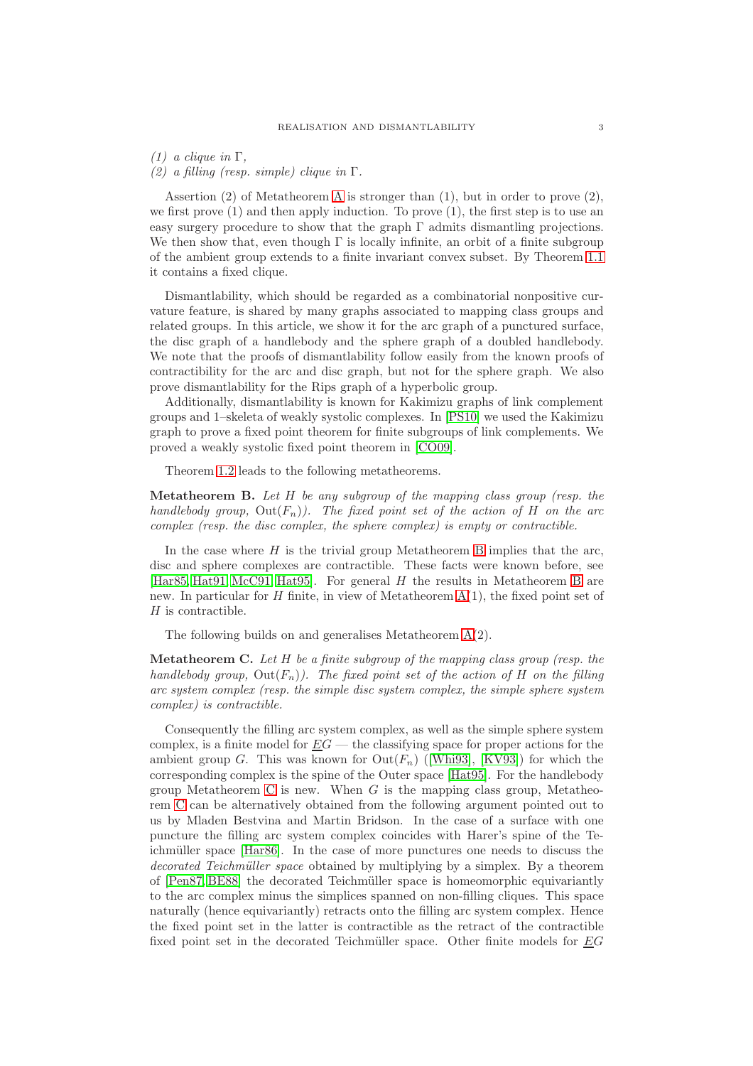*(1) a clique in* Γ*,*

*(2) a filling (resp. simple) clique in* Γ*.*

Assertion (2) of Metatheorem [A](#page-1-3) is stronger than (1), but in order to prove (2), we first prove  $(1)$  and then apply induction. To prove  $(1)$ , the first step is to use an easy surgery procedure to show that the graph  $\Gamma$  admits dismantling projections. We then show that, even though  $\Gamma$  is locally infinite, an orbit of a finite subgroup of the ambient group extends to a finite invariant convex subset. By Theorem [1.1](#page-0-0) it contains a fixed clique.

Dismantlability, which should be regarded as a combinatorial nonpositive curvature feature, is shared by many graphs associated to mapping class groups and related groups. In this article, we show it for the arc graph of a punctured surface, the disc graph of a handlebody and the sphere graph of a doubled handlebody. We note that the proofs of dismantlability follow easily from the known proofs of contractibility for the arc and disc graph, but not for the sphere graph. We also prove dismantlability for the Rips graph of a hyperbolic group.

Additionally, dismantlability is known for Kakimizu graphs of link complement groups and 1–skeleta of weakly systolic complexes. In [\[PS10\]](#page-32-10) we used the Kakimizu graph to prove a fixed point theorem for finite subgroups of link complements. We proved a weakly systolic fixed point theorem in [\[CO09\]](#page-31-2).

Theorem [1.2](#page-0-1) leads to the following metatheorems.

<span id="page-2-0"></span>**Metatheorem B.** *Let* H *be any subgroup of the mapping class group (resp. the handlebody group,*  $Out(F_n)$ *). The fixed point set of the action of H on the arc complex (resp. the disc complex, the sphere complex) is empty or contractible.*

In the case where  $H$  is the trivial group Metatheorem [B](#page-2-0) implies that the arc, disc and sphere complexes are contractible. These facts were known before, see [\[Har85,](#page-31-3) [Hat91,](#page-31-4) [McC91,](#page-32-11) [Hat95\]](#page-31-5). For general  $H$  the results in Metatheorem [B](#page-2-0) are new. In particular for H finite, in view of Metatheorem  $A(1)$ , the fixed point set of  $H$  is contractible.

The following builds on and generalises Metatheorem [A\(](#page-1-3)2).

<span id="page-2-1"></span>**Metatheorem C.** *Let* H *be a finite subgroup of the mapping class group (resp. the handlebody group,*  $Out(F_n)$ *). The fixed point set of the action of H on the filling arc system complex (resp. the simple disc system complex, the simple sphere system complex) is contractible.*

Consequently the filling arc system complex, as well as the simple sphere system complex, is a finite model for  $EG$  — the classifying space for proper actions for the ambient group G. This was known for  $Out(F_n)$  ([\[Whi93\]](#page-32-12), [\[KV93\]](#page-32-13)) for which the corresponding complex is the spine of the Outer space [\[Hat95\]](#page-31-5). For the handlebody group Metatheorem [C](#page-2-1) is new. When  $G$  is the mapping class group, Metatheorem [C](#page-2-1) can be alternatively obtained from the following argument pointed out to us by Mladen Bestvina and Martin Bridson. In the case of a surface with one puncture the filling arc system complex coincides with Harer's spine of the Te-ichmüller space [\[Har86\]](#page-31-6). In the case of more punctures one needs to discuss the *decorated Teichmüller space* obtained by multiplying by a simplex. By a theorem of [\[Pen87,](#page-32-14) [BE88\]](#page-31-7) the decorated Teichmüller space is homeomorphic equivariantly to the arc complex minus the simplices spanned on non-filling cliques. This space naturally (hence equivariantly) retracts onto the filling arc system complex. Hence the fixed point set in the latter is contractible as the retract of the contractible fixed point set in the decorated Teichmüller space. Other finite models for  $EG$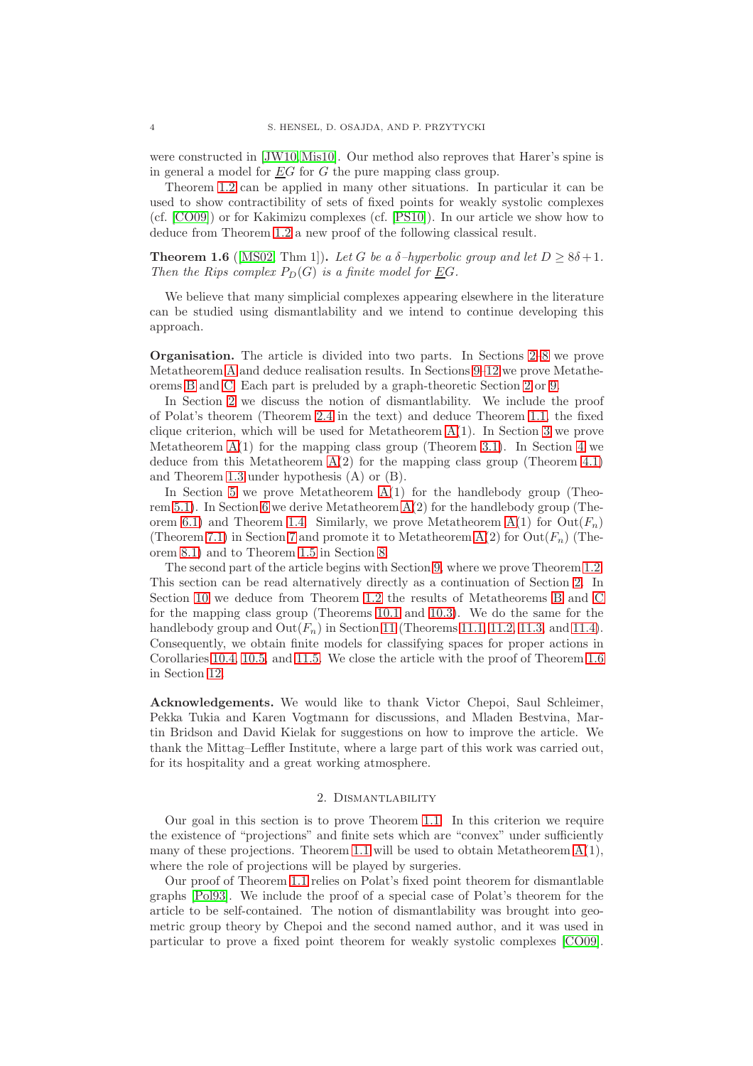were constructed in [\[JW10,](#page-32-15)[Mis10\]](#page-32-16). Our method also reproves that Harer's spine is in general a model for  $EG$  for G the pure mapping class group.

Theorem [1.2](#page-0-1) can be applied in many other situations. In particular it can be used to show contractibility of sets of fixed points for weakly systolic complexes (cf. [\[CO09\]](#page-31-2)) or for Kakimizu complexes (cf. [\[PS10\]](#page-32-10)). In our article we show how to deduce from Theorem [1.2](#page-0-1) a new proof of the following classical result.

<span id="page-3-1"></span>**Theorem 1.6** ([\[MS02,](#page-32-17) Thm 1]). Let G be a  $\delta$ -hyperbolic group and let  $D \geq 8\delta + 1$ . *Then the Rips complex*  $P_D(G)$  *is a finite model for EG.* 

We believe that many simplicial complexes appearing elsewhere in the literature can be studied using dismantlability and we intend to continue developing this approach.

**Organisation.** The article is divided into two parts. In Sections [2](#page-3-0)[–8](#page-21-0) we prove Metatheorem [A](#page-1-3) and deduce realisation results. In Sections [9](#page-25-0)[–12](#page-30-0) we prove Metatheorems [B](#page-2-0) and [C.](#page-2-1) Each part is preluded by a graph-theoretic Section [2](#page-3-0) or [9.](#page-25-0)

In Section [2](#page-3-0) we discuss the notion of dismantlability. We include the proof of Polat's theorem (Theorem [2.4](#page-4-0) in the text) and deduce Theorem [1.1,](#page-0-0) the fixed clique criterion, which will be used for Metatheorem  $A(1)$ . In Section [3](#page-7-0) we prove Metatheorem  $A(1)$  for the mapping class group (Theorem [3.1\)](#page-7-1). In Section [4](#page-10-0) we deduce from this Metatheorem  $A(2)$  for the mapping class group (Theorem [4.1\)](#page-10-1) and Theorem [1.3](#page-1-0) under hypothesis (A) or (B).

In Section [5](#page-12-0) we prove Metatheorem  $A(1)$  for the handlebody group (Theo-rem [5.1\)](#page-12-1). In Section [6](#page-14-0) we derive Metatheorem  $A(2)$  for the handlebody group (The-orem [6.1\)](#page-14-1) and Theorem [1.4.](#page-1-1) Similarly, we prove Metatheorem  $A(1)$  for  $Out(F_n)$ (Theorem [7.1\)](#page-16-0) in Section [7](#page-16-1) and promote it to Metatheorem  $A(2)$  for  $Out(F_n)$  (Theorem [8.1\)](#page-21-1) and to Theorem [1.5](#page-1-2) in Section [8.](#page-21-0)

The second part of the article begins with Section [9,](#page-25-0) where we prove Theorem [1.2.](#page-0-1) This section can be read alternatively directly as a continuation of Section [2.](#page-3-0) In Section [10](#page-27-0) we deduce from Theorem [1.2](#page-0-1) the results of Metatheorems [B](#page-2-0) and [C](#page-2-1) for the mapping class group (Theorems [10.1](#page-27-1) and [10.3\)](#page-27-2). We do the same for the handlebody group and  $Out(F_n)$  in Section [11](#page-29-0) (Theorems [11.1,](#page-29-1) [11.2,](#page-29-2) [11.3,](#page-29-3) and [11.4\)](#page-30-1). Consequently, we obtain finite models for classifying spaces for proper actions in Corollaries [10.4,](#page-28-0) [10.5,](#page-28-1) and [11.5.](#page-30-2) We close the article with the proof of Theorem [1.6](#page-3-1) in Section [12.](#page-30-0)

**Acknowledgements.** We would like to thank Victor Chepoi, Saul Schleimer, Pekka Tukia and Karen Vogtmann for discussions, and Mladen Bestvina, Martin Bridson and David Kielak for suggestions on how to improve the article. We thank the Mittag–Leffler Institute, where a large part of this work was carried out, for its hospitality and a great working atmosphere.

### 2. Dismantlability

<span id="page-3-0"></span>Our goal in this section is to prove Theorem [1.1.](#page-0-0) In this criterion we require the existence of "projections" and finite sets which are "convex" under sufficiently many of these projections. Theorem [1.1](#page-0-0) will be used to obtain Metatheorem  $A(1)$ , where the role of projections will be played by surgeries.

Our proof of Theorem [1.1](#page-0-0) relies on Polat's fixed point theorem for dismantlable graphs [\[Pol93\]](#page-32-0). We include the proof of a special case of Polat's theorem for the article to be self-contained. The notion of dismantlability was brought into geometric group theory by Chepoi and the second named author, and it was used in particular to prove a fixed point theorem for weakly systolic complexes [\[CO09\]](#page-31-2).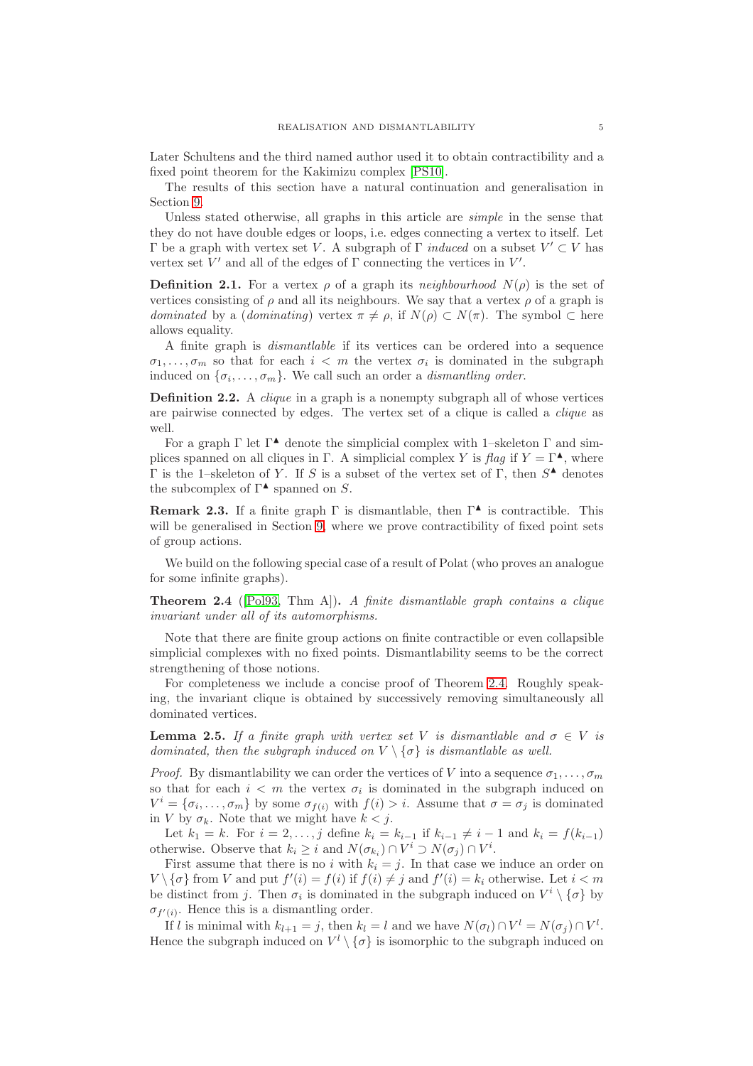Later Schultens and the third named author used it to obtain contractibility and a fixed point theorem for the Kakimizu complex [\[PS10\]](#page-32-10).

The results of this section have a natural continuation and generalisation in Section [9.](#page-25-0)

Unless stated otherwise, all graphs in this article are *simple* in the sense that they do not have double edges or loops, i.e. edges connecting a vertex to itself. Let Γ be a graph with vertex set V. A subgraph of Γ *induced* on a subset  $V' ⊂ V$  has vertex set  $V'$  and all of the edges of  $\Gamma$  connecting the vertices in  $V'$ .

**Definition 2.1.** For a vertex  $\rho$  of a graph its *neighbourhood*  $N(\rho)$  is the set of vertices consisting of  $\rho$  and all its neighbours. We say that a vertex  $\rho$  of a graph is *dominated* by a (*dominating*) vertex  $\pi \neq \rho$ , if  $N(\rho) \subset N(\pi)$ . The symbol  $\subset$  here allows equality.

A finite graph is *dismantlable* if its vertices can be ordered into a sequence  $\sigma_1, \ldots, \sigma_m$  so that for each  $i < m$  the vertex  $\sigma_i$  is dominated in the subgraph induced on  $\{\sigma_i, \ldots, \sigma_m\}$ . We call such an order a *dismantling order*.

**Definition 2.2.** A *clique* in a graph is a nonempty subgraph all of whose vertices are pairwise connected by edges. The vertex set of a clique is called a *clique* as well.

For a graph  $\Gamma$  let  $\Gamma^{\blacktriangle}$  denote the simplicial complex with 1-skeleton  $\Gamma$  and simplices spanned on all cliques in Γ. A simplicial complex Y is *flag* if  $Y = \Gamma^{\blacktriangle}$ , where  $Γ$  is the 1-skeleton of Y. If S is a subset of the vertex set of Γ, then  $S^$ **A** denotes the subcomplex of  $\Gamma^{\blacktriangle}$  spanned on S.

**Remark 2.3.** If a finite graph  $\Gamma$  is dismantlable, then  $\Gamma^{\blacktriangle}$  is contractible. This will be generalised in Section [9,](#page-25-0) where we prove contractibility of fixed point sets of group actions.

We build on the following special case of a result of Polat (who proves an analogue for some infinite graphs).

<span id="page-4-0"></span>**Theorem 2.4** ([\[Pol93,](#page-32-0) Thm A])**.** *A finite dismantlable graph contains a clique invariant under all of its automorphisms.*

Note that there are finite group actions on finite contractible or even collapsible simplicial complexes with no fixed points. Dismantlability seems to be the correct strengthening of those notions.

For completeness we include a concise proof of Theorem [2.4.](#page-4-0) Roughly speaking, the invariant clique is obtained by successively removing simultaneously all dominated vertices.

<span id="page-4-1"></span>**Lemma 2.5.** *If a finite graph with vertex set* V *is dismantlable and*  $\sigma \in V$  *is dominated, then the subgraph induced on*  $V \setminus {\sigma}$  *is dismantlable as well.* 

*Proof.* By dismantlability we can order the vertices of V into a sequence  $\sigma_1, \ldots, \sigma_m$ so that for each  $i < m$  the vertex  $\sigma_i$  is dominated in the subgraph induced on  $V^i = \{\sigma_i, \ldots, \sigma_m\}$  by some  $\sigma_{f(i)}$  with  $f(i) > i$ . Assume that  $\sigma = \sigma_j$  is dominated in V by  $\sigma_k$ . Note that we might have  $k < j$ .

Let  $k_1 = k$ . For  $i = 2, ..., j$  define  $k_i = k_{i-1}$  if  $k_{i-1} \neq i-1$  and  $k_i = f(k_{i-1})$ otherwise. Observe that  $k_i \geq i$  and  $N(\sigma_{k_i}) \cap V^i \supset N(\sigma_j) \cap V^i$ .

First assume that there is no i with  $k_i = j$ . In that case we induce an order on  $V \setminus {\sigma}$  from V and put  $f'(i) = f(i)$  if  $f(i) \neq j$  and  $f'(i) = k_i$  otherwise. Let  $i < m$ be distinct from j. Then  $\sigma_i$  is dominated in the subgraph induced on  $V^i \setminus {\sigma}$  by  $\sigma_{f'(i)}$ . Hence this is a dismantling order.

If l is minimal with  $k_{l+1} = j$ , then  $k_l = l$  and we have  $N(\sigma_l) \cap V^l = N(\sigma_j) \cap V^l$ . Hence the subgraph induced on  $V^l \setminus {\{\sigma\}}$  is isomorphic to the subgraph induced on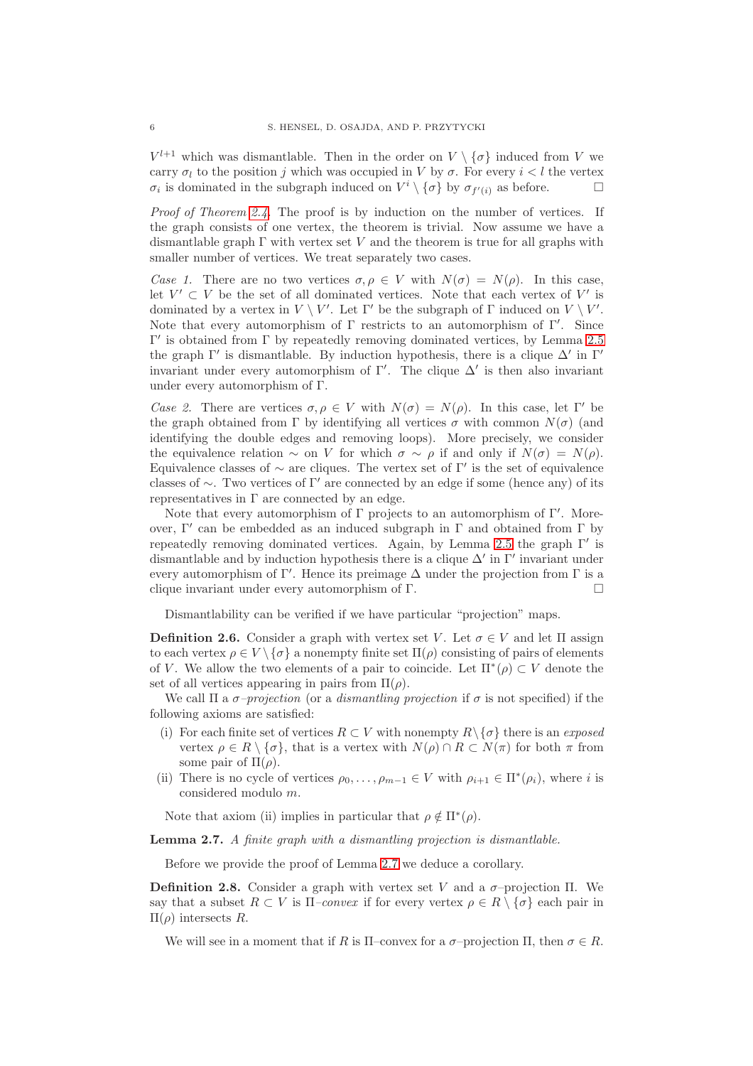$V^{l+1}$  which was dismantlable. Then in the order on  $V \setminus {\{\sigma\}}$  induced from V we carry  $\sigma_l$  to the position j which was occupied in V by  $\sigma$ . For every  $i < l$  the vertex  $\sigma_i$  is dominated in the subgraph induced on  $V^i \setminus {\sigma}$  by  $\sigma_{f'(i)}$  as before.

*Proof of Theorem [2.4.](#page-4-0)* The proof is by induction on the number of vertices. If the graph consists of one vertex, the theorem is trivial. Now assume we have a dismantlable graph  $\Gamma$  with vertex set V and the theorem is true for all graphs with smaller number of vertices. We treat separately two cases.

*Case 1.* There are no two vertices  $\sigma, \rho \in V$  with  $N(\sigma) = N(\rho)$ . In this case, let  $V' \subset V$  be the set of all dominated vertices. Note that each vertex of V' is dominated by a vertex in  $V \setminus V'$ . Let  $\Gamma'$  be the subgraph of  $\Gamma$  induced on  $V \setminus V'$ . Note that every automorphism of  $\Gamma$  restricts to an automorphism of  $\Gamma'$ . Since Γ ′ is obtained from Γ by repeatedly removing dominated vertices, by Lemma [2.5](#page-4-1) the graph Γ' is dismantlable. By induction hypothesis, there is a clique  $\Delta'$  in Γ' invariant under every automorphism of  $\Gamma'$ . The clique  $\Delta'$  is then also invariant under every automorphism of Γ.

*Case 2.* There are vertices  $\sigma, \rho \in V$  with  $N(\sigma) = N(\rho)$ . In this case, let Γ' be the graph obtained from Γ by identifying all vertices  $\sigma$  with common  $N(\sigma)$  (and identifying the double edges and removing loops). More precisely, we consider the equivalence relation  $\sim$  on V for which  $\sigma \sim \rho$  if and only if  $N(\sigma) = N(\rho)$ . Equivalence classes of  $\sim$  are cliques. The vertex set of  $\Gamma'$  is the set of equivalence classes of  $\sim$ . Two vertices of Γ' are connected by an edge if some (hence any) of its representatives in  $\Gamma$  are connected by an edge.

Note that every automorphism of  $\Gamma$  projects to an automorphism of  $\Gamma'$ . Moreover,  $\Gamma'$  can be embedded as an induced subgraph in  $\Gamma$  and obtained from  $\Gamma$  by repeatedly removing dominated vertices. Again, by Lemma [2.5](#page-4-1) the graph Γ ′ is dismantlable and by induction hypothesis there is a clique  $\Delta'$  in  $\Gamma'$  invariant under every automorphism of  $\Gamma'$ . Hence its preimage  $\Delta$  under the projection from  $\Gamma$  is a clique invariant under every automorphism of Γ.

Dismantlability can be verified if we have particular "projection" maps.

<span id="page-5-0"></span>**Definition 2.6.** Consider a graph with vertex set V. Let  $\sigma \in V$  and let  $\Pi$  assign to each vertex  $\rho \in V \setminus {\sigma}$  a nonempty finite set  $\Pi(\rho)$  consisting of pairs of elements of V. We allow the two elements of a pair to coincide. Let  $\Pi^*(\rho) \subset V$  denote the set of all vertices appearing in pairs from  $\Pi(\rho)$ .

We call  $\Pi$  a  $\sigma$ -projection (or a *dismantling projection* if  $\sigma$  is not specified) if the following axioms are satisfied:

- (i) For each finite set of vertices  $R \subset V$  with nonempty  $R \setminus {\sigma}$  there is an *exposed* vertex  $\rho \in R \setminus \{\sigma\}$ , that is a vertex with  $N(\rho) \cap R \subset N(\pi)$  for both  $\pi$  from some pair of  $\Pi(\rho)$ .
- (ii) There is no cycle of vertices  $\rho_0, \ldots, \rho_{m-1} \in V$  with  $\rho_{i+1} \in \Pi^*(\rho_i)$ , where i is considered modulo m.

Note that axiom (ii) implies in particular that  $\rho \notin \Pi^*(\rho)$ .

<span id="page-5-1"></span>**Lemma 2.7.** *A finite graph with a dismantling projection is dismantlable.*

Before we provide the proof of Lemma [2.7](#page-5-1) we deduce a corollary.

**Definition 2.8.** Consider a graph with vertex set V and a  $\sigma$ -projection Π. We say that a subset  $R \subset V$  is  $\Pi$ *-convex* if for every vertex  $\rho \in R \setminus {\sigma}$  each pair in Π(ρ) intersects R.

We will see in a moment that if R is  $\Pi$ –convex for a  $\sigma$ –projection  $\Pi$ , then  $\sigma \in R$ .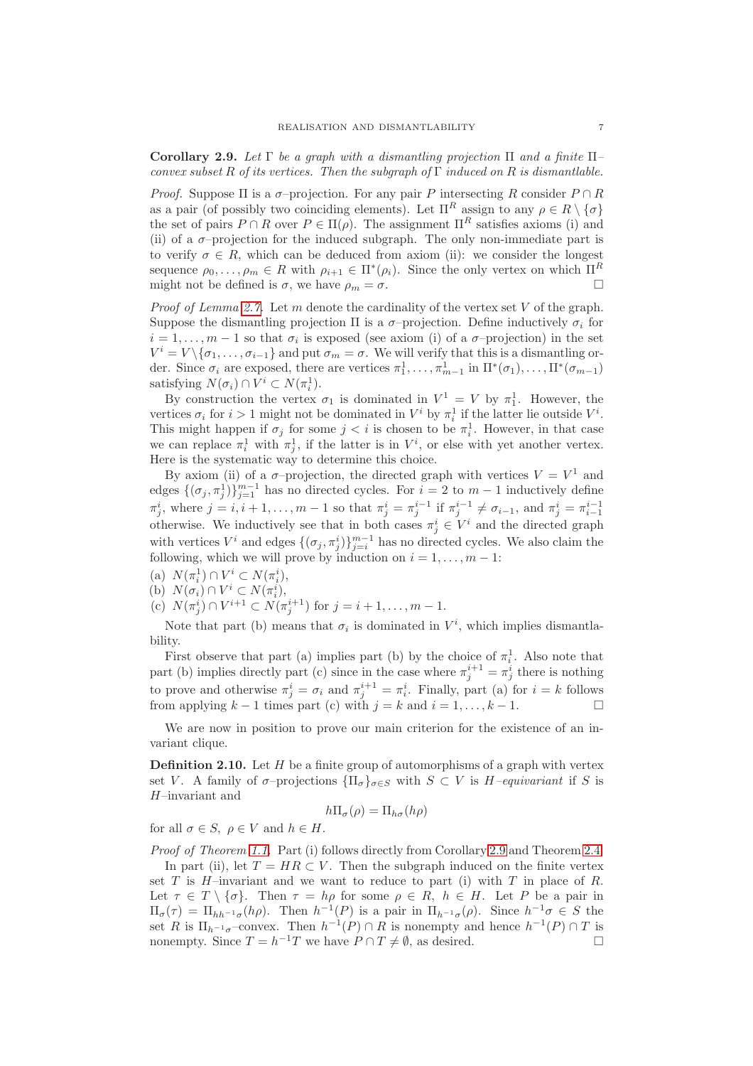<span id="page-6-0"></span>**Corollary 2.9.** *Let* Γ *be a graph with a dismantling projection* Π *and a finite* Π*– convex subset* R *of its vertices. Then the subgraph of* Γ *induced on* R *is dismantlable.*

*Proof.* Suppose  $\Pi$  is a  $\sigma$ -projection. For any pair P intersecting R consider  $P \cap R$ as a pair (of possibly two coinciding elements). Let  $\Pi^R$  assign to any  $\rho \in R \setminus {\{\sigma\}}$ the set of pairs  $P \cap R$  over  $P \in \Pi(\rho)$ . The assignment  $\Pi^R$  satisfies axioms (i) and (ii) of a  $\sigma$ -projection for the induced subgraph. The only non-immediate part is to verify  $\sigma \in R$ , which can be deduced from axiom (ii): we consider the longest sequence  $\rho_0, \ldots, \rho_m \in R$  with  $\rho_{i+1} \in \Pi^*(\rho_i)$ . Since the only vertex on which  $\Pi^R$ might not be defined is  $\sigma$ , we have  $\rho_m = \sigma$ .

*Proof of Lemma [2.7.](#page-5-1)* Let m denote the cardinality of the vertex set V of the graph. Suppose the dismantling projection  $\Pi$  is a  $\sigma$ -projection. Define inductively  $\sigma_i$  for  $i = 1, \ldots, m - 1$  so that  $\sigma_i$  is exposed (see axiom (i) of a  $\sigma$ -projection) in the set  $V^i = V \setminus {\sigma_1, \ldots, \sigma_{i-1}}$  and put  $\sigma_m = \sigma$ . We will verify that this is a dismantling order. Since  $\sigma_i$  are exposed, there are vertices  $\pi_1^1, \ldots, \pi_{m-1}^1$  in  $\Pi^*(\sigma_1), \ldots, \Pi^*(\sigma_{m-1})$ satisfying  $N(\sigma_i) \cap V^i \subset N(\pi_i^1)$ .

By construction the vertex  $\sigma_1$  is dominated in  $V^1 = V$  by  $\pi_1^1$ . However, the vertices  $\sigma_i$  for  $i > 1$  might not be dominated in  $V^i$  by  $\pi_i^1$  if the latter lie outside  $V^i$ . This might happen if  $\sigma_j$  for some  $j < i$  is chosen to be  $\pi_i^1$ . However, in that case we can replace  $\pi_i^1$  with  $\pi_j^1$ , if the latter is in  $V^i$ , or else with yet another vertex. Here is the systematic way to determine this choice.

By axiom (ii) of a  $\sigma$ -projection, the directed graph with vertices  $V = V^1$  and edges  $\{(\sigma_j, \pi_j^1)\}_{j=1}^{m-1}$  has no directed cycles. For  $i = 2$  to  $m-1$  inductively define  $\pi_j^i$ , where  $j = i, i + 1, \ldots, m - 1$  so that  $\pi_j^i = \pi_j^{i-1}$  if  $\pi_j^{i-1} \neq \sigma_{i-1}$ , and  $\pi_j^i = \pi_{i-1}^{i-1}$ otherwise. We inductively see that in both cases  $\pi_j^i \in V^i$  and the directed graph with vertices  $V^i$  and edges  $\{(\sigma_j, \pi_j^i)\}_{j=i}^{m-1}$  has no directed cycles. We also claim the following, which we will prove by induction on  $i = 1, \ldots, m - 1$ :

- (a)  $N(\pi_i^1) \cap V^i \subset N(\pi_i^i)$ ,
- (b)  $N(\sigma_i) \cap V^i \subset N(\pi_i^i)$ ,
- (c)  $N(\pi_j^i) \cap V^{i+1} \subset N(\pi_j^{i+1})$  for  $j = i+1, \ldots, m-1$ .

Note that part (b) means that  $\sigma_i$  is dominated in  $V^i$ , which implies dismantlability.

First observe that part (a) implies part (b) by the choice of  $\pi_i^1$ . Also note that part (b) implies directly part (c) since in the case where  $\pi_j^{i+1} = \pi_j^i$  there is nothing to prove and otherwise  $\pi_j^i = \sigma_i$  and  $\pi_j^{i+1} = \pi_i^i$ . Finally, part (a) for  $i = k$  follows from applying  $k-1$  times part (c) with  $j = k$  and  $i = 1, ..., k-1$ .

We are now in position to prove our main criterion for the existence of an invariant clique.

**Definition 2.10.** Let H be a finite group of automorphisms of a graph with vertex set V. A family of  $\sigma$ –projections  ${\{\Pi_{\sigma}\}}_{\sigma \in S}$  with  $S \subset V$  is  $H$ –equivariant if S is H–invariant and

$$
h\Pi_{\sigma}(\rho) = \Pi_{h\sigma}(h\rho)
$$

for all  $\sigma \in S$ ,  $\rho \in V$  and  $h \in H$ .

*Proof of Theorem [1.1.](#page-0-0)* Part (i) follows directly from Corollary [2.9](#page-6-0) and Theorem [2.4.](#page-4-0) In part (ii), let  $T = HR \subset V$ . Then the subgraph induced on the finite vertex set T is H–invariant and we want to reduce to part (i) with T in place of R. Let  $\tau \in T \setminus \{\sigma\}$ . Then  $\tau = h\rho$  for some  $\rho \in R$ ,  $h \in H$ . Let P be a pair in  $\Pi_{\sigma}(\tau) = \Pi_{hh^{-1}\sigma}(h\rho)$ . Then  $h^{-1}(P)$  is a pair in  $\Pi_{h^{-1}\sigma}(\rho)$ . Since  $h^{-1}\sigma \in S$  the set R is  $\Pi_{h^{-1}\sigma}$ -convex. Then  $h^{-1}(P) \cap R$  is nonempty and hence  $h^{-1}(P) \cap T$  is nonempty. Since  $T = h^{-1}T$  we have  $P \cap T \neq \emptyset$ , as desired.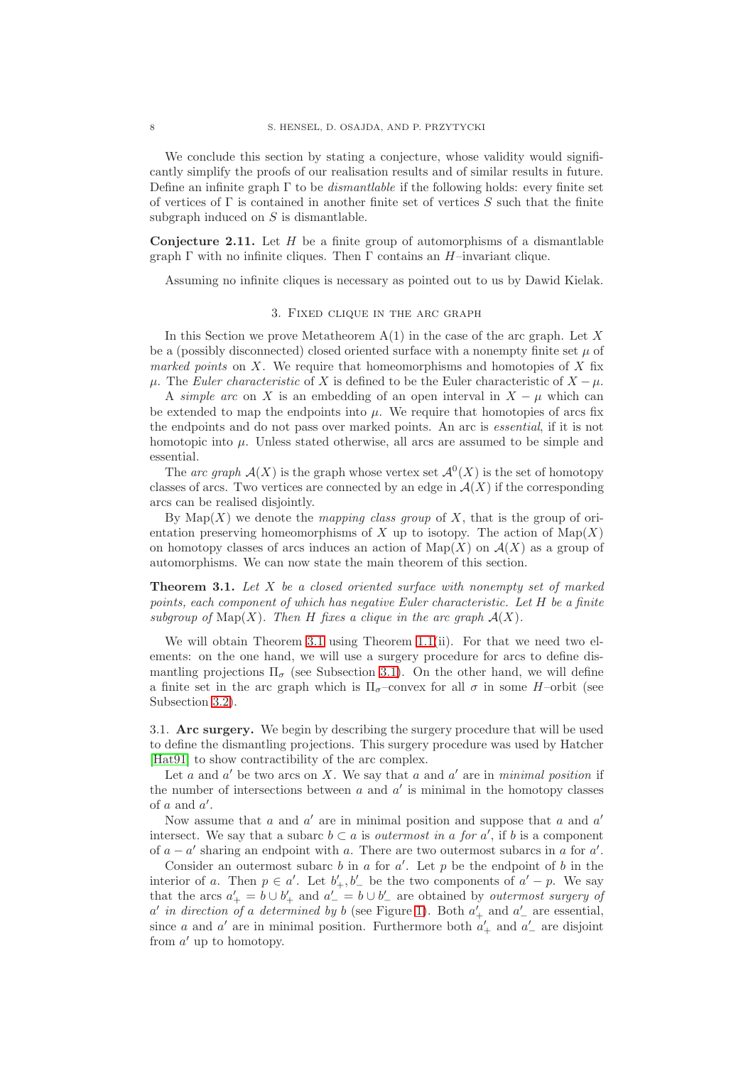We conclude this section by stating a conjecture, whose validity would significantly simplify the proofs of our realisation results and of similar results in future. Define an infinite graph Γ to be *dismantlable* if the following holds: every finite set of vertices of  $\Gamma$  is contained in another finite set of vertices S such that the finite subgraph induced on S is dismantlable.

**Conjecture 2.11.** Let H be a finite group of automorphisms of a dismantlable graph  $\Gamma$  with no infinite cliques. Then  $\Gamma$  contains an  $H$ –invariant clique.

<span id="page-7-0"></span>Assuming no infinite cliques is necessary as pointed out to us by Dawid Kielak.

### 3. Fixed clique in the arc graph

In this Section we prove Metatheorem  $A(1)$  in the case of the arc graph. Let X be a (possibly disconnected) closed oriented surface with a nonempty finite set  $\mu$  of *marked points* on X. We require that homeomorphisms and homotopies of X fix  $\mu$ . The *Euler characteristic* of X is defined to be the Euler characteristic of  $X - \mu$ .

A *simple arc* on X is an embedding of an open interval in  $X - \mu$  which can be extended to map the endpoints into  $\mu$ . We require that homotopies of arcs fix the endpoints and do not pass over marked points. An arc is *essential*, if it is not homotopic into  $\mu$ . Unless stated otherwise, all arcs are assumed to be simple and essential.

The *arc graph*  $\mathcal{A}(X)$  is the graph whose vertex set  $\mathcal{A}^0(X)$  is the set of homotopy classes of arcs. Two vertices are connected by an edge in  $\mathcal{A}(X)$  if the corresponding arcs can be realised disjointly.

By  $\text{Map}(X)$  we denote the *mapping class group* of X, that is the group of orientation preserving homeomorphisms of X up to isotopy. The action of  $\text{Map}(X)$ on homotopy classes of arcs induces an action of  $\text{Map}(X)$  on  $\mathcal{A}(X)$  as a group of automorphisms. We can now state the main theorem of this section.

<span id="page-7-1"></span>**Theorem 3.1.** *Let* X *be a closed oriented surface with nonempty set of marked points, each component of which has negative Euler characteristic. Let* H *be a finite subgroup of*  $\text{Map}(X)$ *. Then H fixes a clique in the arc graph*  $\mathcal{A}(X)$ *.* 

We will obtain Theorem [3.1](#page-7-1) using Theorem [1.1\(](#page-0-0)ii). For that we need two elements: on the one hand, we will use a surgery procedure for arcs to define dismantling projections  $\Pi_{\sigma}$  (see Subsection [3.1\)](#page-7-2). On the other hand, we will define a finite set in the arc graph which is  $\Pi_{\sigma}$ -convex for all  $\sigma$  in some H-orbit (see Subsection [3.2\)](#page-9-0).

<span id="page-7-2"></span>3.1. **Arc surgery.** We begin by describing the surgery procedure that will be used to define the dismantling projections. This surgery procedure was used by Hatcher [\[Hat91\]](#page-31-4) to show contractibility of the arc complex.

Let  $a$  and  $a'$  be two arcs on  $X$ . We say that  $a$  and  $a'$  are in *minimal position* if the number of intersections between  $a$  and  $a'$  is minimal in the homotopy classes of  $a$  and  $a'$ .

Now assume that  $a$  and  $a'$  are in minimal position and suppose that  $a$  and  $a'$ intersect. We say that a subarc  $b \subset a$  is *outermost in a for*  $a'$ , if  $b$  is a component of  $a - a'$  sharing an endpoint with a. There are two outermost subarcs in a for  $a'$ .

Consider an outermost subarc  $b$  in  $a$  for  $a'$ . Let  $p$  be the endpoint of  $b$  in the interior of a. Then  $p \in a'$ . Let  $b'_+, b'_-$  be the two components of  $a' - p$ . We say that the arcs  $a'_{+} = b \cup b'_{+}$  and  $a'_{-} = b \cup b'_{-}$  are obtained by *outermost surgery of*  $a'$  in direction of a determined by b (see Figure [1\)](#page-8-0). Both  $a'_{+}$  and  $a'_{-}$  are essential, since a and a' are in minimal position. Furthermore both  $a'_{+}$  and  $a'_{-}$  are disjoint from  $a'$  up to homotopy.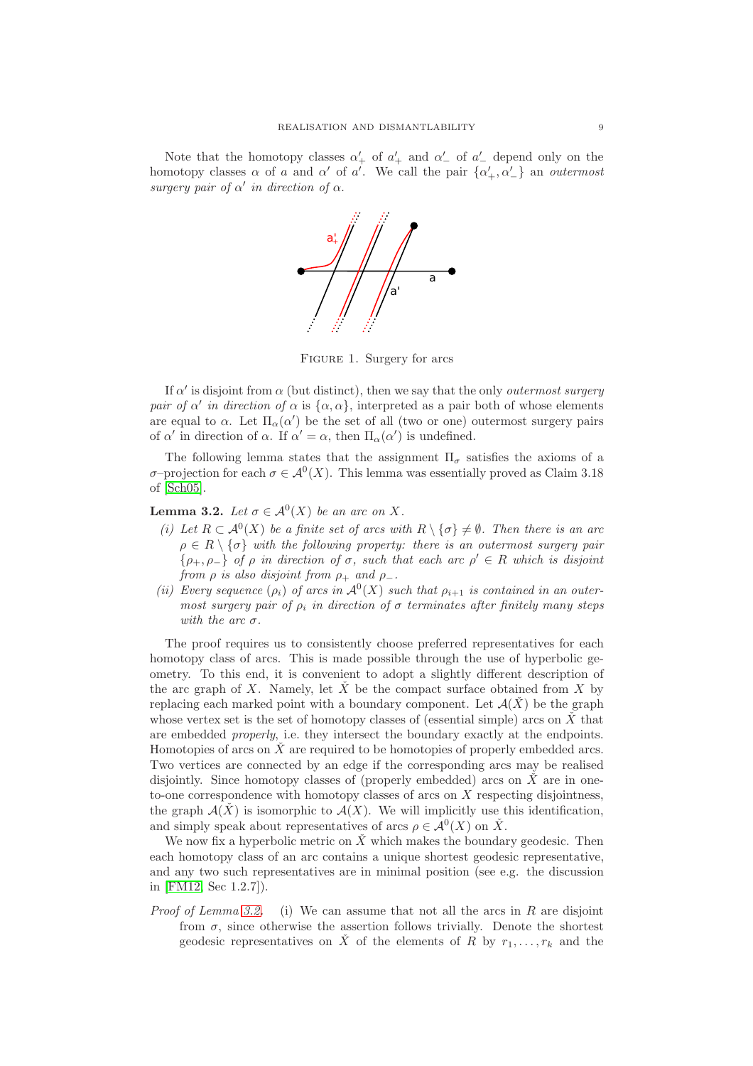Note that the homotopy classes  $\alpha'_+$  of  $\alpha'_+$  and  $\alpha'_-$  of  $\alpha'_-$  depend only on the homotopy classes  $\alpha$  of a and  $\alpha'$  of a'. We call the pair  $\{\alpha'_+, \alpha'_-\}$  an *outermost surgery pair of*  $\alpha'$  *in direction of*  $\alpha$ .



<span id="page-8-0"></span>FIGURE 1. Surgery for arcs

If  $\alpha'$  is disjoint from  $\alpha$  (but distinct), then we say that the only *outermost surgery pair of*  $\alpha'$  *in direction of*  $\alpha$  is  $\{\alpha, \alpha\}$ , interpreted as a pair both of whose elements are equal to  $\alpha$ . Let  $\Pi_{\alpha}(\alpha')$  be the set of all (two or one) outermost surgery pairs of  $\alpha'$  in direction of  $\alpha$ . If  $\alpha' = \alpha$ , then  $\Pi_{\alpha}(\alpha')$  is undefined.

The following lemma states that the assignment  $\Pi_{\sigma}$  satisfies the axioms of a σ-projection for each  $\sigma \in \mathcal{A}^0(X)$ . This lemma was essentially proved as Claim 3.18 of [\[Sch05\]](#page-32-18).

<span id="page-8-1"></span>**Lemma 3.2.** *Let*  $\sigma \in A^0(X)$  *be an arc on* X.

- *(i)* Let  $R \subset \mathcal{A}^0(X)$  be a finite set of arcs with  $R \setminus {\{\sigma\}} \neq \emptyset$ . Then there is an arc  $\rho \in R \setminus {\sigma}$  *with the following property: there is an outermost surgery pair*  $\{\rho_+,\rho_-\}$  *of*  $\rho$  *in direction of*  $\sigma$ *, such that each arc*  $\rho' \in R$  *which is disjoint from*  $\rho$  *is also disjoint from*  $\rho_+$  *and*  $\rho_-$ *.*
- (*ii*) *Every sequence*  $(\rho_i)$  *of arcs in*  $\mathcal{A}^0(X)$  *such that*  $\rho_{i+1}$  *is contained in an outermost surgery pair of*  $\rho_i$  *in direction of*  $\sigma$  *terminates after finitely many steps with the arc* σ*.*

The proof requires us to consistently choose preferred representatives for each homotopy class of arcs. This is made possible through the use of hyperbolic geometry. To this end, it is convenient to adopt a slightly different description of the arc graph of X. Namely, let  $\check{X}$  be the compact surface obtained from X by replacing each marked point with a boundary component. Let  $\mathcal{A}(\check{X})$  be the graph whose vertex set is the set of homotopy classes of (essential simple) arcs on  $\check{X}$  that are embedded *properly*, i.e. they intersect the boundary exactly at the endpoints. Homotopies of arcs on  $\tilde{X}$  are required to be homotopies of properly embedded arcs. Two vertices are connected by an edge if the corresponding arcs may be realised disjointly. Since homotopy classes of (properly embedded) arcs on  $\check{X}$  are in oneto-one correspondence with homotopy classes of arcs on X respecting disjointness, the graph  $\mathcal{A}(\check{X})$  is isomorphic to  $\mathcal{A}(X)$ . We will implicitly use this identification, and simply speak about representatives of arcs  $\rho \in \mathcal{A}^0(X)$  on  $\check{X}$ .

We now fix a hyperbolic metric on  $\ddot{X}$  which makes the boundary geodesic. Then each homotopy class of an arc contains a unique shortest geodesic representative, and any two such representatives are in minimal position (see e.g. the discussion in [\[FM12,](#page-31-8) Sec 1.2.7]).

*Proof of Lemma [3.2.](#page-8-1)* (i) We can assume that not all the arcs in R are disjoint from  $\sigma$ , since otherwise the assertion follows trivially. Denote the shortest geodesic representatives on  $\check{X}$  of the elements of R by  $r_1, \ldots, r_k$  and the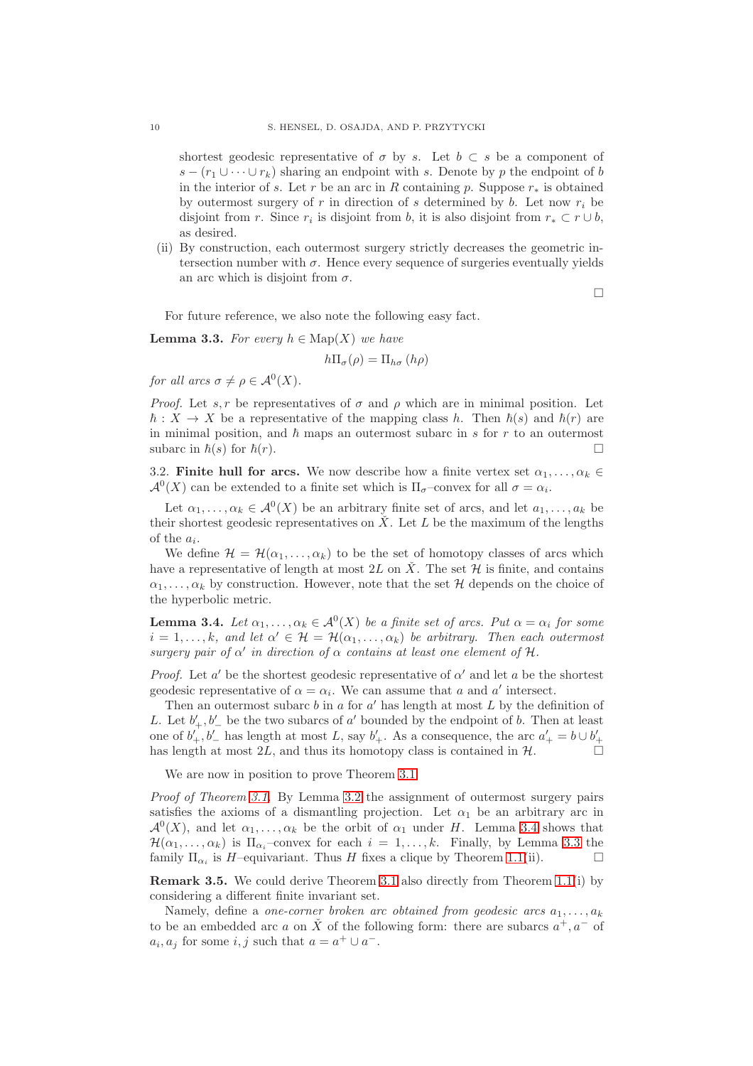shortest geodesic representative of  $\sigma$  by s. Let  $b \subset s$  be a component of  $s - (r_1 \cup \cdots \cup r_k)$  sharing an endpoint with s. Denote by p the endpoint of b in the interior of s. Let r be an arc in R containing p. Suppose  $r_*$  is obtained by outermost surgery of r in direction of s determined by b. Let now  $r_i$  be disjoint from r. Since  $r_i$  is disjoint from b, it is also disjoint from  $r_* \subset r \cup b$ , as desired.

(ii) By construction, each outermost surgery strictly decreases the geometric intersection number with  $\sigma$ . Hence every sequence of surgeries eventually yields an arc which is disjoint from  $\sigma$ .

 $\Box$ 

For future reference, we also note the following easy fact.

<span id="page-9-2"></span>**Lemma 3.3.** *For every*  $h \in \text{Map}(X)$  *we have* 

$$
h\Pi_{\sigma}(\rho) = \Pi_{h\sigma}(h\rho)
$$

*for all arcs*  $\sigma \neq \rho \in \mathcal{A}^0(X)$ *.* 

*Proof.* Let s, r be representatives of  $\sigma$  and  $\rho$  which are in minimal position. Let  $\hbar : X \to X$  be a representative of the mapping class h. Then  $\hbar(s)$  and  $\hbar(r)$  are in minimal position, and  $\hbar$  maps an outermost subarc in s for r to an outermost subarc in  $\hbar(s)$  for  $\hbar(r)$ .

<span id="page-9-0"></span>3.2. **Finite hull for arcs.** We now describe how a finite vertex set  $\alpha_1, \ldots, \alpha_k \in$  $\mathcal{A}^0(X)$  can be extended to a finite set which is  $\Pi_{\sigma}$ -convex for all  $\sigma = \alpha_i$ .

Let  $\alpha_1, \ldots, \alpha_k \in \mathcal{A}^0(X)$  be an arbitrary finite set of arcs, and let  $a_1, \ldots, a_k$  be their shortest geodesic representatives on  $\check{X}$ . Let L be the maximum of the lengths of the  $a_i$ .

We define  $\mathcal{H} = \mathcal{H}(\alpha_1, \ldots, \alpha_k)$  to be the set of homotopy classes of arcs which have a representative of length at most  $2L$  on  $\hat{X}$ . The set  $\mathcal H$  is finite, and contains  $\alpha_1, \ldots, \alpha_k$  by construction. However, note that the set H depends on the choice of the hyperbolic metric.

<span id="page-9-1"></span>**Lemma 3.4.** *Let*  $\alpha_1, \ldots, \alpha_k \in \mathcal{A}^0(X)$  *be a finite set of arcs. Put*  $\alpha = \alpha_i$  *for some*  $i = 1, \ldots, k$ , and let  $\alpha' \in \mathcal{H} = \mathcal{H}(\alpha_1, \ldots, \alpha_k)$  be arbitrary. Then each outermost *surgery pair of*  $\alpha'$  *in direction of*  $\alpha$  *contains at least one element of*  $\mathcal{H}$ *.* 

*Proof.* Let  $a'$  be the shortest geodesic representative of  $\alpha'$  and let  $a$  be the shortest geodesic representative of  $\alpha = \alpha_i$ . We can assume that a and a' intersect.

Then an outermost subarc  $b$  in  $a$  for  $a'$  has length at most  $L$  by the definition of L. Let  $b'_+, b'_-$  be the two subarcs of a' bounded by the endpoint of b. Then at least one of  $b'_+, b'_-$  has length at most L, say  $b'_+$ . As a consequence, the arc  $a'_+ = b \cup b'_+$ has length at most  $2L$ , and thus its homotopy class is contained in  $H$ .

We are now in position to prove Theorem [3.1.](#page-7-1)

*Proof of Theorem [3.1.](#page-7-1)* By Lemma [3.2](#page-8-1) the assignment of outermost surgery pairs satisfies the axioms of a dismantling projection. Let  $\alpha_1$  be an arbitrary arc in  $\mathcal{A}^0(X)$ , and let  $\alpha_1, \ldots, \alpha_k$  be the orbit of  $\alpha_1$  under H. Lemma [3.4](#page-9-1) shows that  $\mathcal{H}(\alpha_1,\ldots,\alpha_k)$  is  $\Pi_{\alpha_i}$ -convex for each  $i=1,\ldots,k$ . Finally, by Lemma [3.3](#page-9-2) the family  $\Pi_{\alpha_i}$  is H-equivariant. Thus H fixes a clique by Theorem [1.1\(](#page-0-0)ii).

**Remark 3.5.** We could derive Theorem [3.1](#page-7-1) also directly from Theorem [1.1\(](#page-0-0)i) by considering a different finite invariant set.

Namely, define a *one-corner broken arc obtained from geodesic arcs*  $a_1, \ldots, a_k$ to be an embedded arc a on  $\check{X}$  of the following form: there are subarcs  $a^+, a^-$  of  $a_i, a_j$  for some  $i, j$  such that  $a = a^+ \cup a^-$ .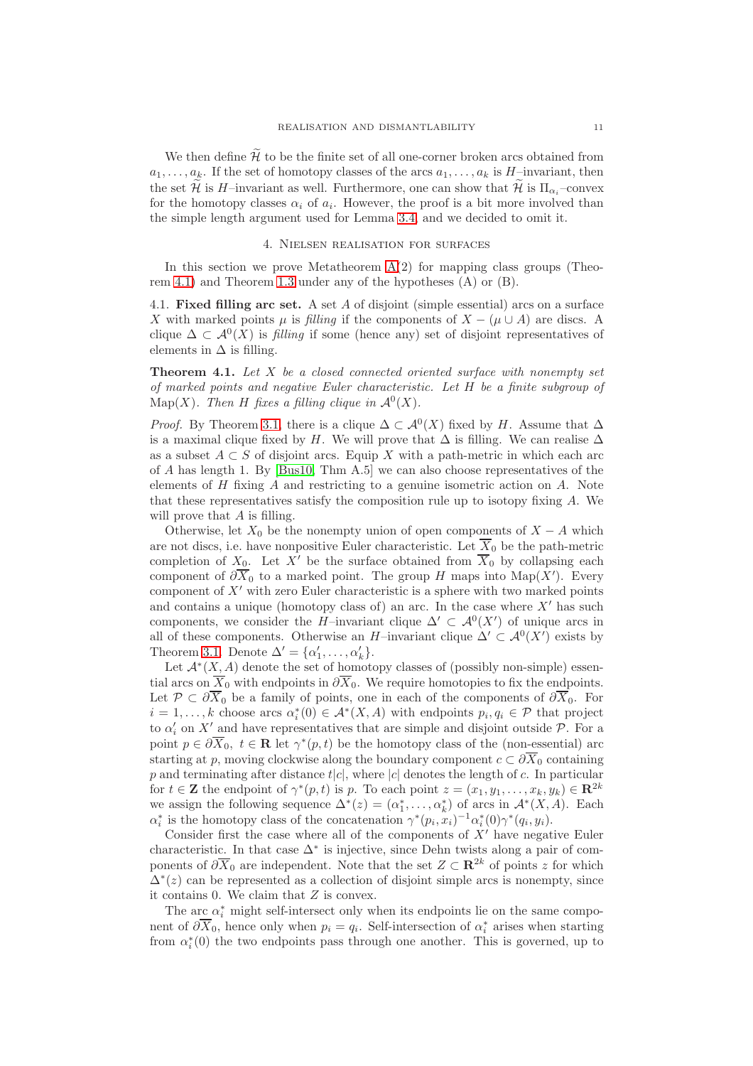We then define  $\mathcal{\tilde{H}}$  to be the finite set of all one-corner broken arcs obtained from  $a_1, \ldots, a_k$ . If the set of homotopy classes of the arcs  $a_1, \ldots, a_k$  is H-invariant, then the set  $\widetilde{\mathcal{H}}$  is H–invariant as well. Furthermore, one can show that  $\widetilde{\mathcal{H}}$  is  $\Pi_{\alpha}$ –convex for the homotopy classes  $\alpha_i$  of  $a_i$ . However, the proof is a bit more involved than the simple length argument used for Lemma [3.4,](#page-9-1) and we decided to omit it.

### 4. Nielsen realisation for surfaces

<span id="page-10-0"></span>In this section we prove Metatheorem  $A(2)$  for mapping class groups (Theorem [4.1\)](#page-10-1) and Theorem [1.3](#page-1-0) under any of the hypotheses (A) or (B).

4.1. **Fixed filling arc set.** A set A of disjoint (simple essential) arcs on a surface X with marked points  $\mu$  is *filling* if the components of  $X - (\mu \cup A)$  are discs. A clique  $\Delta \subset \mathcal{A}^0(X)$  is *filling* if some (hence any) set of disjoint representatives of elements in  $\Delta$  is filling.

<span id="page-10-1"></span>**Theorem 4.1.** *Let* X *be a closed connected oriented surface with nonempty set of marked points and negative Euler characteristic. Let* H *be a finite subgroup of* Map(X). Then H fixes a filling clique in  $\mathcal{A}^0(X)$ .

*Proof.* By Theorem [3.1,](#page-7-1) there is a clique  $\Delta \subset \mathcal{A}^0(X)$  fixed by H. Assume that  $\Delta$ is a maximal clique fixed by H. We will prove that  $\Delta$  is filling. We can realise  $\Delta$ as a subset  $A \subset S$  of disjoint arcs. Equip X with a path-metric in which each arc of A has length 1. By [\[Bus10,](#page-31-9) Thm A.5] we can also choose representatives of the elements of  $H$  fixing  $A$  and restricting to a genuine isometric action on  $A$ . Note that these representatives satisfy the composition rule up to isotopy fixing A. We will prove that A is filling.

Otherwise, let  $X_0$  be the nonempty union of open components of  $X - A$  which are not discs, i.e. have nonpositive Euler characteristic. Let  $\overline{X}_0$  be the path-metric completion of  $X_0$ . Let X' be the surface obtained from  $\overline{X}_0$  by collapsing each component of  $\partial \overline{X}_0$  to a marked point. The group H maps into Map(X'). Every component of  $X'$  with zero Euler characteristic is a sphere with two marked points and contains a unique (homotopy class of) an arc. In the case where  $X'$  has such components, we consider the H–invariant clique  $\Delta' \subset \mathcal{A}^0(X')$  of unique arcs in all of these components. Otherwise an H–invariant clique  $\Delta' \subset \mathcal{A}^0(X')$  exists by Theorem [3.1.](#page-7-1) Denote  $\Delta' = {\alpha'_1, \ldots, \alpha'_k}$ .

Let  $\mathcal{A}^*(X, A)$  denote the set of homotopy classes of (possibly non-simple) essential arcs on  $\overline{X}_0$  with endpoints in  $\partial \overline{X}_0$ . We require homotopies to fix the endpoints. Let  $\mathcal{P} \subset \partial \overline{X}_0$  be a family of points, one in each of the components of  $\partial \overline{X}_0$ . For  $i = 1, \ldots, k$  choose arcs  $\alpha_i^*(0) \in \mathcal{A}^*(X, A)$  with endpoints  $p_i, q_i \in \mathcal{P}$  that project to  $\alpha'_i$  on X' and have representatives that are simple and disjoint outside  $P$ . For a point  $p \in \partial \overline{X}_0$ ,  $t \in \mathbb{R}$  let  $\gamma^*(p,t)$  be the homotopy class of the (non-essential) arc starting at p, moving clockwise along the boundary component  $c \subset \partial \overline{X}_0$  containing p and terminating after distance  $t|c|$ , where  $|c|$  denotes the length of c. In particular for  $t \in \mathbf{Z}$  the endpoint of  $\gamma^*(p,t)$  is p. To each point  $z = (x_1, y_1, \dots, x_k, y_k) \in \mathbb{R}^{2k}$ we assign the following sequence  $\Delta^*(z) = (\alpha_1^*, \dots, \alpha_k^*)$  of arcs in  $\mathcal{A}^*(X, A)$ . Each  $\alpha_i^*$  is the homotopy class of the concatenation  $\gamma^*(p_i, x_i)^{-1} \alpha_i^*(0) \gamma^*(q_i, y_i)$ .

Consider first the case where all of the components of  $X'$  have negative Euler characteristic. In that case  $\Delta^*$  is injective, since Dehn twists along a pair of components of  $\partial \overline{X}_0$  are independent. Note that the set  $Z \subset \mathbb{R}^{2k}$  of points z for which  $\Delta^*(z)$  can be represented as a collection of disjoint simple arcs is nonempty, since it contains 0. We claim that Z is convex.

The arc  $\alpha_i^*$  might self-intersect only when its endpoints lie on the same component of  $\partial \overline{X}_0$ , hence only when  $p_i = q_i$ . Self-intersection of  $\alpha_i^*$  arises when starting from  $\alpha_i^*(0)$  the two endpoints pass through one another. This is governed, up to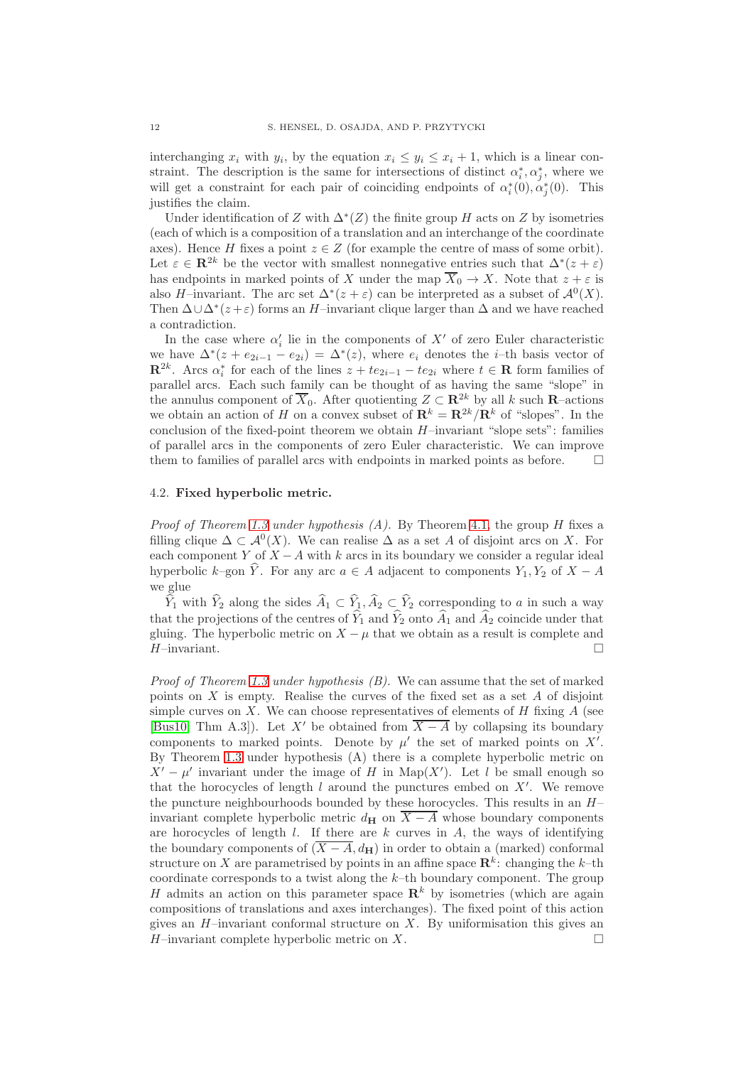interchanging  $x_i$  with  $y_i$ , by the equation  $x_i \leq y_i \leq x_i + 1$ , which is a linear constraint. The description is the same for intersections of distinct  $\alpha_i^*, \alpha_j^*$ , where we will get a constraint for each pair of coinciding endpoints of  $\alpha_i^*(0), \alpha_j^*(0)$ . This justifies the claim.

Under identification of Z with  $\Delta^*(Z)$  the finite group H acts on Z by isometries (each of which is a composition of a translation and an interchange of the coordinate axes). Hence H fixes a point  $z \in Z$  (for example the centre of mass of some orbit). Let  $\varepsilon \in \mathbb{R}^{2k}$  be the vector with smallest nonnegative entries such that  $\Delta^*(z + \varepsilon)$ has endpoints in marked points of X under the map  $\overline{X}_0 \to X$ . Note that  $z + \varepsilon$  is also H–invariant. The arc set  $\Delta^*(z+\varepsilon)$  can be interpreted as a subset of  $\mathcal{A}^0(X)$ . Then  $\Delta \cup \Delta^*(z+\varepsilon)$  forms an H–invariant clique larger than  $\Delta$  and we have reached a contradiction.

In the case where  $\alpha'_{i}$  lie in the components of  $X'$  of zero Euler characteristic we have  $\Delta^*(z + e_{2i-1} - e_{2i}) = \Delta^*(z)$ , where  $e_i$  denotes the *i*-th basis vector of  $\mathbb{R}^{2k}$ . Arcs  $\alpha_i^*$  for each of the lines  $z + te_{2i-1} - te_{2i}$  where  $t \in \mathbb{R}$  form families of parallel arcs. Each such family can be thought of as having the same "slope" in the annulus component of  $\overline{X}_0$ . After quotienting  $Z \subset \mathbb{R}^{2k}$  by all k such R–actions we obtain an action of H on a convex subset of  $\mathbf{R}^k = \mathbf{R}^{2k}/\mathbf{R}^k$  of "slopes". In the conclusion of the fixed-point theorem we obtain  $H$ –invariant "slope sets": families of parallel arcs in the components of zero Euler characteristic. We can improve them to families of parallel arcs with endpoints in marked points as before.  $\Box$ 

## 4.2. **Fixed hyperbolic metric.**

*Proof of Theorem [1.3](#page-1-0) under hypothesis (A).* By Theorem [4.1,](#page-10-1) the group H fixes a filling clique  $\Delta \subset \mathcal{A}^0(X)$ . We can realise  $\Delta$  as a set A of disjoint arcs on X. For each component Y of  $X - A$  with k arcs in its boundary we consider a regular ideal hyperbolic k–gon  $\hat{Y}$ . For any arc  $a \in A$  adjacent to components  $Y_1, Y_2$  of  $X - A$ we glue

 $\widehat{Y}_1$  with  $\widehat{Y}_2$  along the sides  $\widehat{A}_1 \subset \widehat{Y}_1, \widehat{A}_2 \subset \widehat{Y}_2$  corresponding to a in such a way that the projections of the centres of  $\hat{Y}_1$  and  $\hat{Y}_2$  onto  $\hat{A}_1$  and  $\hat{A}_2$  coincide under that gluing. The hyperbolic metric on  $X - \mu$  that we obtain as a result is complete and  $H$ -invariant.

*Proof of Theorem [1.3](#page-1-0) under hypothesis (B).* We can assume that the set of marked points on  $X$  is empty. Realise the curves of the fixed set as a set  $A$  of disjoint simple curves on  $X$ . We can choose representatives of elements of  $H$  fixing  $A$  (see [\[Bus10,](#page-31-9) Thm A.3]). Let X' be obtained from  $\overline{X - A}$  by collapsing its boundary components to marked points. Denote by  $\mu'$  the set of marked points on  $X'$ . By Theorem [1.3](#page-1-0) under hypothesis (A) there is a complete hyperbolic metric on  $X' - \mu'$  invariant under the image of H in Map(X'). Let l be small enough so that the horocycles of length  $l$  around the punctures embed on  $X'$ . We remove the puncture neighbourhoods bounded by these horocycles. This results in an  $H$ invariant complete hyperbolic metric  $d_{\mathbf{H}}$  on  $\overline{X - A}$  whose boundary components are horocycles of length  $l$ . If there are  $k$  curves in  $A$ , the ways of identifying the boundary components of  $(\overline{X - A}, d_{\mathbf{H}})$  in order to obtain a (marked) conformal structure on X are parametrised by points in an affine space  $\mathbb{R}^k$ : changing the k-th coordinate corresponds to a twist along the  $k$ -th boundary component. The group H admits an action on this parameter space  $\mathbb{R}^k$  by isometries (which are again compositions of translations and axes interchanges). The fixed point of this action gives an  $H$ –invariant conformal structure on  $X$ . By uniformisation this gives an  $H$ –invariant complete hyperbolic metric on X.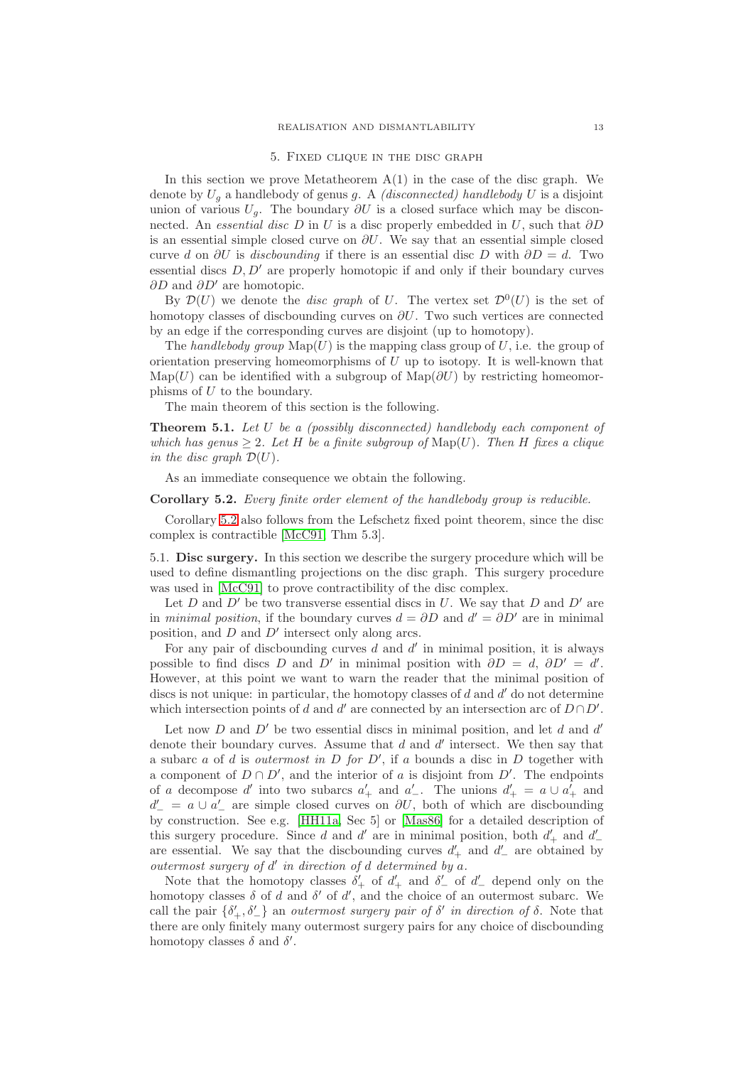### 5. Fixed clique in the disc graph

<span id="page-12-0"></span>In this section we prove Metatheorem  $A(1)$  in the case of the disc graph. We denote by U<sup>g</sup> a handlebody of genus g. A *(disconnected) handlebody* U is a disjoint union of various  $U_q$ . The boundary  $\partial U$  is a closed surface which may be disconnected. An *essential disc* D in U is a disc properly embedded in U, such that ∂D is an essential simple closed curve on  $\partial U$ . We say that an essential simple closed curve d on  $\partial U$  is *discbounding* if there is an essential disc D with  $\partial D = d$ . Two essential discs  $D, D'$  are properly homotopic if and only if their boundary curves ∂D and  $\partial D'$  are homotopic.

By  $\mathcal{D}(U)$  we denote the *disc graph* of U. The vertex set  $\mathcal{D}^0(U)$  is the set of homotopy classes of discbounding curves on  $\partial U$ . Two such vertices are connected by an edge if the corresponding curves are disjoint (up to homotopy).

The *handlebody group*  $\text{Map}(U)$  is the mapping class group of U, i.e. the group of orientation preserving homeomorphisms of  $U$  up to isotopy. It is well-known that Map(U) can be identified with a subgroup of Map( $\partial U$ ) by restricting homeomorphisms of  $U$  to the boundary.

The main theorem of this section is the following.

<span id="page-12-1"></span>**Theorem 5.1.** *Let* U *be a (possibly disconnected) handlebody each component of which has genus*  $\geq 2$ *. Let* H *be a finite subgroup of* Map(U). Then H fixes a clique *in the disc graph*  $\mathcal{D}(U)$ *.* 

As an immediate consequence we obtain the following.

<span id="page-12-2"></span>**Corollary 5.2.** *Every finite order element of the handlebody group is reducible.*

Corollary [5.2](#page-12-2) also follows from the Lefschetz fixed point theorem, since the disc complex is contractible [\[McC91,](#page-32-11) Thm 5.3].

5.1. **Disc surgery.** In this section we describe the surgery procedure which will be used to define dismantling projections on the disc graph. This surgery procedure was used in [\[McC91\]](#page-32-11) to prove contractibility of the disc complex.

Let D and D' be two transverse essential discs in U. We say that D and D' are in *minimal position*, if the boundary curves  $d = \partial D$  and  $d' = \partial D'$  are in minimal position, and  $D$  and  $D'$  intersect only along arcs.

For any pair of discbounding curves  $d$  and  $d'$  in minimal position, it is always possible to find discs D and D' in minimal position with  $\partial D = d$ ,  $\partial D' = d'$ . However, at this point we want to warn the reader that the minimal position of discs is not unique: in particular, the homotopy classes of  $d$  and  $d'$  do not determine which intersection points of d and d' are connected by an intersection arc of  $D \cap D'$ .

Let now  $D$  and  $D'$  be two essential discs in minimal position, and let  $d$  and  $d'$ denote their boundary curves. Assume that  $d$  and  $d'$  intersect. We then say that a subarc a of d is *outermost in* D *for* D′ , if a bounds a disc in D together with a component of  $D \cap D'$ , and the interior of a is disjoint from  $D'$ . The endpoints of a decompose d' into two subarcs  $a'_+$  and  $a'_-$ . The unions  $d'_+ = a \cup a'_+$  and  $d' = a \cup a'$  are simple closed curves on  $\partial U$ , both of which are discbounding by construction. See e.g. [\[HH11a,](#page-31-10) Sec 5] or [\[Mas86\]](#page-32-19) for a detailed description of this surgery procedure. Since d and d' are in minimal position, both  $d'_{+}$  and  $d'_{-}$ are essential. We say that the discbounding curves  $d'$ <sub>+</sub> and  $d'$ <sub>-</sub> are obtained by *outermost surgery of* d ′ *in direction of* d *determined by* a*.*

Note that the homotopy classes  $\delta'_{+}$  of  $d'_{+}$  and  $\delta'_{-}$  of  $d'_{-}$  depend only on the homotopy classes  $\delta$  of d and  $\delta'$  of d', and the choice of an outermost subarc. We call the pair  $\{\delta'_+, \delta'_-\}$  an *outermost surgery pair of*  $\delta'$  *in direction of*  $\delta$ . Note that there are only finitely many outermost surgery pairs for any choice of discbounding homotopy classes  $\delta$  and  $\delta'$ .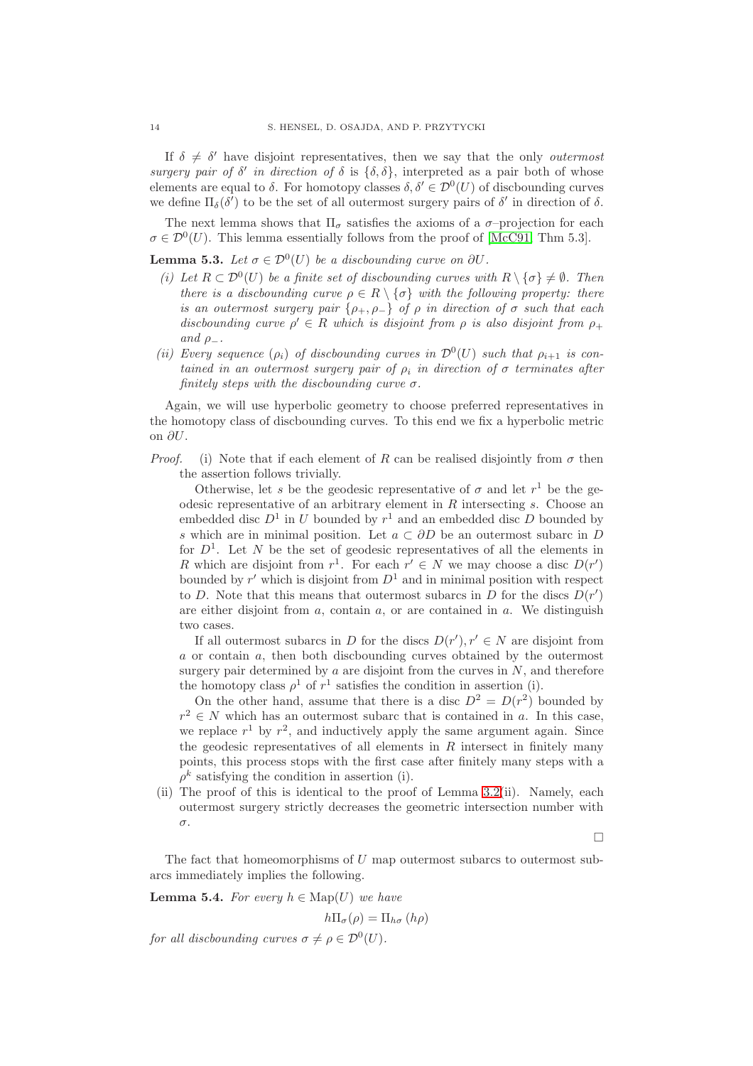If  $\delta \neq \delta'$  have disjoint representatives, then we say that the only *outermost surgery pair of*  $\delta'$  *in direction of*  $\delta$  is  $\{\delta, \delta\}$ , interpreted as a pair both of whose elements are equal to  $\delta$ . For homotopy classes  $\delta, \delta' \in \mathcal{D}^0(U)$  of discbounding curves we define  $\Pi_{\delta}(\delta')$  to be the set of all outermost surgery pairs of  $\delta'$  in direction of  $\delta$ .

The next lemma shows that  $\Pi_{\sigma}$  satisfies the axioms of a  $\sigma$ -projection for each  $\sigma \in \mathcal{D}^0(U)$ . This lemma essentially follows from the proof of [\[McC91,](#page-32-11) Thm 5.3].

<span id="page-13-0"></span>**Lemma 5.3.** *Let*  $\sigma \in \mathcal{D}^0(U)$  *be a discbounding curve on*  $\partial U$ *.* 

- *(i)* Let  $R \subset \mathcal{D}^0(U)$  be a finite set of discbounding curves with  $R \setminus {\{\sigma\}} \neq \emptyset$ . Then *there is a discbounding curve*  $\rho \in R \setminus \{ \sigma \}$  *with the following property: there is an outermost surgery pair*  $\{\rho_+, \rho_-\}$  *of*  $\rho$  *in direction of*  $\sigma$  *such that each* discbounding curve  $\rho' \in R$  which is disjoint from  $\rho$  is also disjoint from  $\rho_+$ *and*  $\rho_-\$ .
- (*ii*) Every sequence  $(\rho_i)$  of discbounding curves in  $\mathcal{D}^0(U)$  such that  $\rho_{i+1}$  is con*tained in an outermost surgery pair of*  $\rho_i$  *in direction of*  $\sigma$  *terminates after finitely steps with the discbounding curve* σ*.*

Again, we will use hyperbolic geometry to choose preferred representatives in the homotopy class of discbounding curves. To this end we fix a hyperbolic metric on ∂U.

*Proof.* (i) Note that if each element of R can be realised disjointly from  $\sigma$  then the assertion follows trivially.

Otherwise, let s be the geodesic representative of  $\sigma$  and let  $r<sup>1</sup>$  be the geodesic representative of an arbitrary element in  $R$  intersecting  $s$ . Choose an embedded disc  $D^1$  in U bounded by  $r^1$  and an embedded disc D bounded by s which are in minimal position. Let  $a \subset \partial D$  be an outermost subarc in D for  $D^1$ . Let N be the set of geodesic representatives of all the elements in R which are disjoint from  $r^1$ . For each  $r' \in N$  we may choose a disc  $D(r')$ bounded by  $r'$  which is disjoint from  $D^1$  and in minimal position with respect to D. Note that this means that outermost subarcs in D for the discs  $D(r')$ are either disjoint from  $a$ , contain  $a$ , or are contained in  $a$ . We distinguish two cases.

If all outermost subarcs in D for the discs  $D(r')$ ,  $r' \in N$  are disjoint from a or contain a, then both discbounding curves obtained by the outermost surgery pair determined by  $a$  are disjoint from the curves in  $N$ , and therefore the homotopy class  $\rho^1$  of  $r^1$  satisfies the condition in assertion (i).

On the other hand, assume that there is a disc  $D^2 = D(r^2)$  bounded by  $r^2 \in N$  which has an outermost subarc that is contained in a. In this case, we replace  $r^1$  by  $r^2$ , and inductively apply the same argument again. Since the geodesic representatives of all elements in  $R$  intersect in finitely many points, this process stops with the first case after finitely many steps with a  $\rho^k$  satisfying the condition in assertion (i).

(ii) The proof of this is identical to the proof of Lemma [3.2\(](#page-8-1)ii). Namely, each outermost surgery strictly decreases the geometric intersection number with σ.

 $\Box$ 

The fact that homeomorphisms of  $U$  map outermost subarcs to outermost subarcs immediately implies the following.

<span id="page-13-1"></span>**Lemma 5.4.** *For every*  $h \in \text{Map}(U)$  *we have* 

$$
h\Pi_{\sigma}(\rho) = \Pi_{h\sigma}(h\rho)
$$

*for all discbounding curves*  $\sigma \neq \rho \in \mathcal{D}^0(U)$ *.*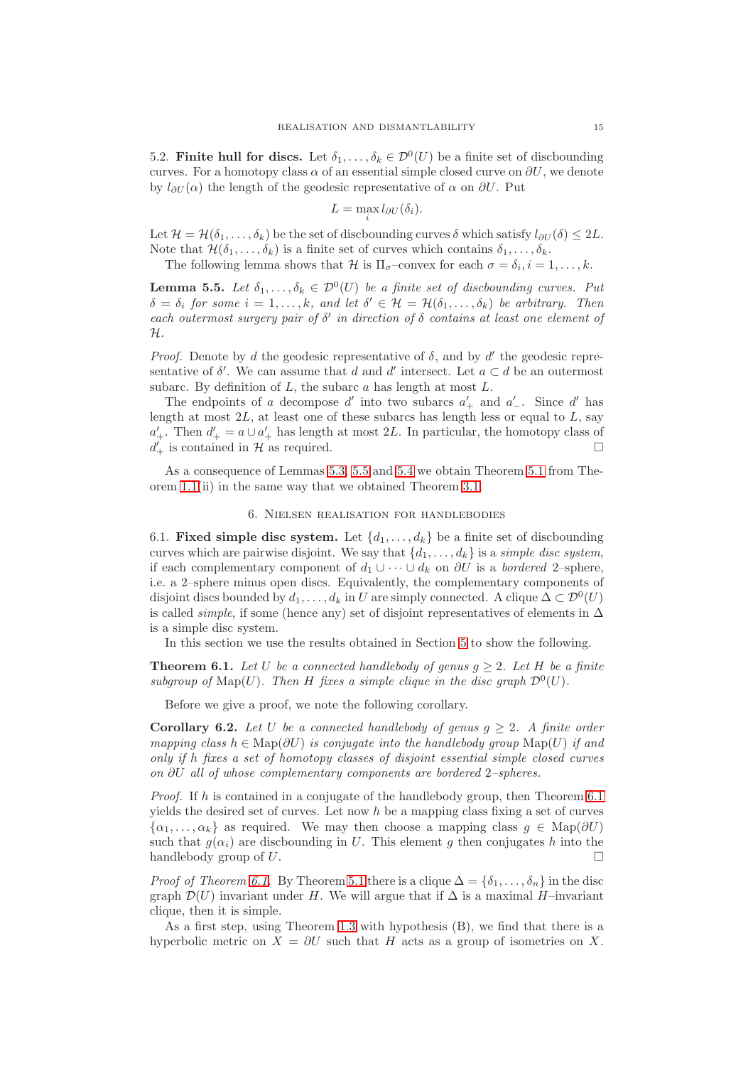5.2. **Finite hull for discs.** Let  $\delta_1, \ldots, \delta_k \in \mathcal{D}^0(U)$  be a finite set of discbounding curves. For a homotopy class  $\alpha$  of an essential simple closed curve on  $\partial U$ , we denote by  $l_{\partial U}(\alpha)$  the length of the geodesic representative of  $\alpha$  on  $\partial U$ . Put

$$
L = \max_{i} l_{\partial U}(\delta_i).
$$

Let  $\mathcal{H} = \mathcal{H}(\delta_1, \ldots, \delta_k)$  be the set of discbounding curves  $\delta$  which satisfy  $l_{\partial U}(\delta) \leq 2L$ . Note that  $\mathcal{H}(\delta_1,\ldots,\delta_k)$  is a finite set of curves which contains  $\delta_1,\ldots,\delta_k$ .

The following lemma shows that  $\mathcal H$  is  $\Pi_{\sigma}$ -convex for each  $\sigma = \delta_i, i = 1, \ldots, k$ .

<span id="page-14-2"></span>**Lemma 5.5.** *Let*  $\delta_1, \ldots, \delta_k \in \mathcal{D}^0(U)$  *be a finite set of discbounding curves. Put*  $\delta = \delta_i$  for some  $i = 1, ..., k$ , and let  $\delta' \in \mathcal{H} = \mathcal{H}(\delta_1, ..., \delta_k)$  be arbitrary. Then *each outermost surgery pair of* δ ′ *in direction of* δ *contains at least one element of* H*.*

*Proof.* Denote by d the geodesic representative of  $\delta$ , and by d' the geodesic representative of  $\delta'$ . We can assume that d and d' intersect. Let  $a \subset d$  be an outermost subarc. By definition of  $L$ , the subarc  $a$  has length at most  $L$ .

The endpoints of a decompose  $d'$  into two subarcs  $a'_{+}$  and  $a'_{-}$ . Since  $d'$  has length at most  $2L$ , at least one of these subarcs has length less or equal to  $L$ , say  $a'_+$ . Then  $d'_+ = a \cup a'_+$  has length at most 2L. In particular, the homotopy class of  $d'_+$  is contained in H as required.

<span id="page-14-0"></span>As a consequence of Lemmas [5.3,](#page-13-0) [5.5](#page-14-2) and [5.4](#page-13-1) we obtain Theorem [5.1](#page-12-1) from Theorem [1.1\(](#page-0-0)ii) in the same way that we obtained Theorem [3.1.](#page-7-1)

#### 6. Nielsen realisation for handlebodies

6.1. **Fixed simple disc system.** Let  $\{d_1, \ldots, d_k\}$  be a finite set of discbounding curves which are pairwise disjoint. We say that  $\{d_1, \ldots, d_k\}$  is a *simple disc system*, if each complementary component of  $d_1 \cup \cdots \cup d_k$  on  $\partial U$  is a *bordered* 2–sphere, i.e. a 2–sphere minus open discs. Equivalently, the complementary components of disjoint discs bounded by  $d_1, \ldots, d_k$  in U are simply connected. A clique  $\Delta \subset \mathcal{D}^0(U)$ is called *simple*, if some (hence any) set of disjoint representatives of elements in ∆ is a simple disc system.

In this section we use the results obtained in Section [5](#page-12-0) to show the following.

<span id="page-14-1"></span>**Theorem 6.1.** Let U be a connected handlebody of genus  $q > 2$ . Let H be a finite subgroup of  $\text{Map}(U)$ . Then H fixes a simple clique in the disc graph  $\mathcal{D}^0(U)$ .

Before we give a proof, we note the following corollary.

**Corollary 6.2.** Let U be a connected handlebody of genus  $q > 2$ . A finite order *mapping class*  $h \in \text{Map}(\partial U)$  *is conjugate into the handlebody group*  $\text{Map}(U)$  *if and only if* h *fixes a set of homotopy classes of disjoint essential simple closed curves on* ∂U *all of whose complementary components are bordered* 2*–spheres.*

*Proof.* If h is contained in a conjugate of the handlebody group, then Theorem [6.1](#page-14-1) yields the desired set of curves. Let now  $h$  be a mapping class fixing a set of curves  $\{\alpha_1, \ldots, \alpha_k\}$  as required. We may then choose a mapping class  $q \in \text{Map}(\partial U)$ such that  $q(\alpha_i)$  are discbounding in U. This element q then conjugates h into the handlebody group of  $U$ .

*Proof of Theorem [6.1.](#page-14-1)* By Theorem [5.1](#page-12-1) there is a clique  $\Delta = {\delta_1, \ldots, \delta_n}$  in the disc graph  $\mathcal{D}(U)$  invariant under H. We will argue that if  $\Delta$  is a maximal H–invariant clique, then it is simple.

As a first step, using Theorem [1.3](#page-1-0) with hypothesis (B), we find that there is a hyperbolic metric on  $X = \partial U$  such that H acts as a group of isometries on X.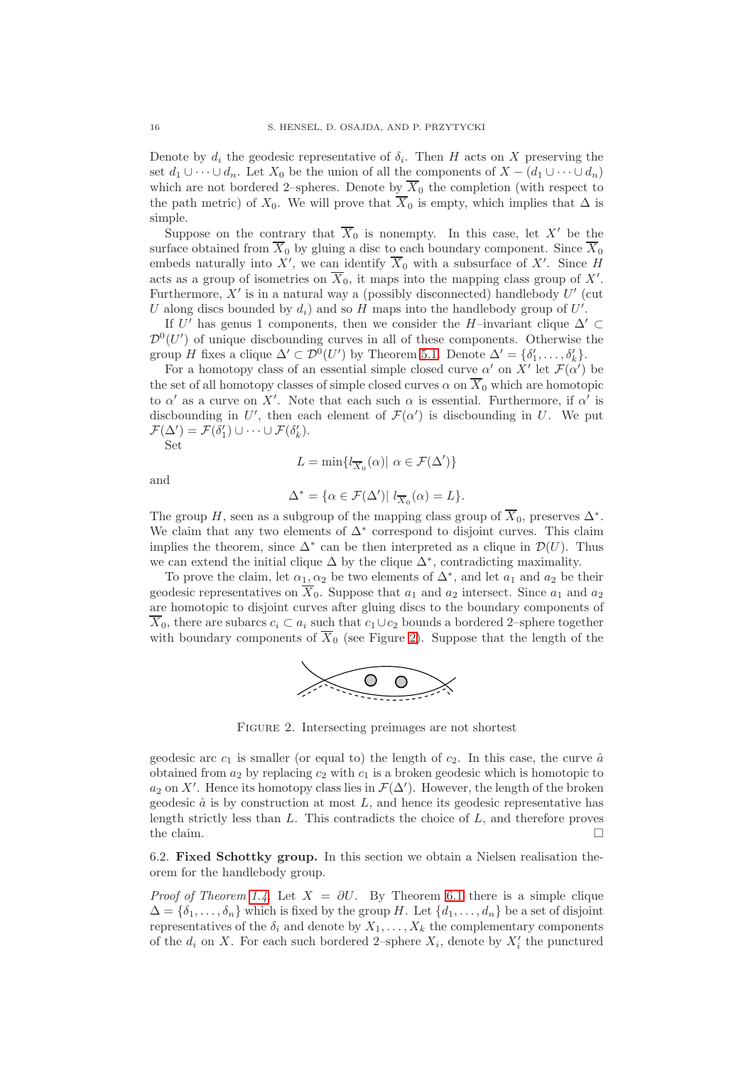Denote by  $d_i$  the geodesic representative of  $\delta_i$ . Then H acts on X preserving the set  $d_1 \cup \cdots \cup d_n$ . Let  $X_0$  be the union of all the components of  $X - (d_1 \cup \cdots \cup d_n)$ which are not bordered 2–spheres. Denote by  $\overline{X}_0$  the completion (with respect to the path metric) of  $X_0$ . We will prove that  $\overline{X}_0$  is empty, which implies that  $\Delta$  is simple.

Suppose on the contrary that  $\overline{X}_0$  is nonempty. In this case, let X' be the surface obtained from  $\overline{X}_0$  by gluing a disc to each boundary component. Since  $\overline{X}_0$ embeds naturally into X', we can identify  $\overline{X}_0$  with a subsurface of X'. Since H acts as a group of isometries on  $\overline{X}_0$ , it maps into the mapping class group of X'. Furthermore,  $X'$  is in a natural way a (possibly disconnected) handlebody  $U'$  (cut U along discs bounded by  $d_i$ ) and so H maps into the handlebody group of U'.

If U' has genus 1 components, then we consider the H–invariant clique  $\Delta' \subset$  $\mathcal{D}^0(U')$  of unique discbounding curves in all of these components. Otherwise the group H fixes a clique  $\Delta' \subset \mathcal{D}^0(U')$  by Theorem [5.1.](#page-12-1) Denote  $\Delta' = {\delta'_1, \ldots, \delta'_k}$ .

For a homotopy class of an essential simple closed curve  $\alpha'$  on  $X'$  let  $\mathcal{F}(\alpha')$  be the set of all homotopy classes of simple closed curves  $\alpha$  on  $\overline{X}_0$  which are homotopic to  $\alpha'$  as a curve on X'. Note that each such  $\alpha$  is essential. Furthermore, if  $\alpha'$  is discbounding in U', then each element of  $\mathcal{F}(\alpha')$  is discbounding in U. We put  $\mathcal{F}(\Delta') = \mathcal{F}(\delta_1') \cup \cdots \cup \mathcal{F}(\delta_k').$ Set

and

$$
L = \min\{l_{\overline{X}_0}(\alpha) | \alpha \in \mathcal{F}(\Delta')\}
$$

$$
\Delta^* = \{ \alpha \in \mathcal{F}(\Delta') \vert \ l_{\overline{X}_0}(\alpha) = L \}.
$$

The group H, seen as a subgroup of the mapping class group of  $\overline{X}_0$ , preserves  $\Delta^*$ . We claim that any two elements of  $\Delta^*$  correspond to disjoint curves. This claim implies the theorem, since  $\Delta^*$  can be then interpreted as a clique in  $\mathcal{D}(U)$ . Thus we can extend the initial clique  $\Delta$  by the clique  $\Delta^*$ , contradicting maximality.

To prove the claim, let  $\alpha_1, \alpha_2$  be two elements of  $\Delta^*$ , and let  $a_1$  and  $a_2$  be their geodesic representatives on  $\overline{X}_0$ . Suppose that  $a_1$  and  $a_2$  intersect. Since  $a_1$  and  $a_2$ are homotopic to disjoint curves after gluing discs to the boundary components of  $\overline{X}_0$ , there are subarcs  $c_i \subset a_i$  such that  $c_1 \cup c_2$  bounds a bordered 2–sphere together with boundary components of  $\overline{X}_0$  (see Figure [2\)](#page-15-0). Suppose that the length of the



<span id="page-15-0"></span>Figure 2. Intersecting preimages are not shortest

geodesic arc  $c_1$  is smaller (or equal to) the length of  $c_2$ . In this case, the curve  $\hat{a}$ obtained from  $a_2$  by replacing  $c_2$  with  $c_1$  is a broken geodesic which is homotopic to  $a_2$  on X'. Hence its homotopy class lies in  $\mathcal{F}(\Delta')$ . However, the length of the broken geodesic  $\hat{a}$  is by construction at most  $L$ , and hence its geodesic representative has length strictly less than  $L$ . This contradicts the choice of  $L$ , and therefore proves the claim.  $\Box$ 

6.2. **Fixed Schottky group.** In this section we obtain a Nielsen realisation theorem for the handlebody group.

*Proof of Theorem [1.4.](#page-1-1)* Let  $X = \partial U$ . By Theorem [6.1](#page-14-1) there is a simple clique  $\Delta = {\delta_1, \ldots, \delta_n}$  which is fixed by the group H. Let  $\{d_1, \ldots, d_n\}$  be a set of disjoint representatives of the  $\delta_i$  and denote by  $X_1, \ldots, X_k$  the complementary components of the  $d_i$  on X. For each such bordered 2-sphere  $X_i$ , denote by  $X'_i$  the punctured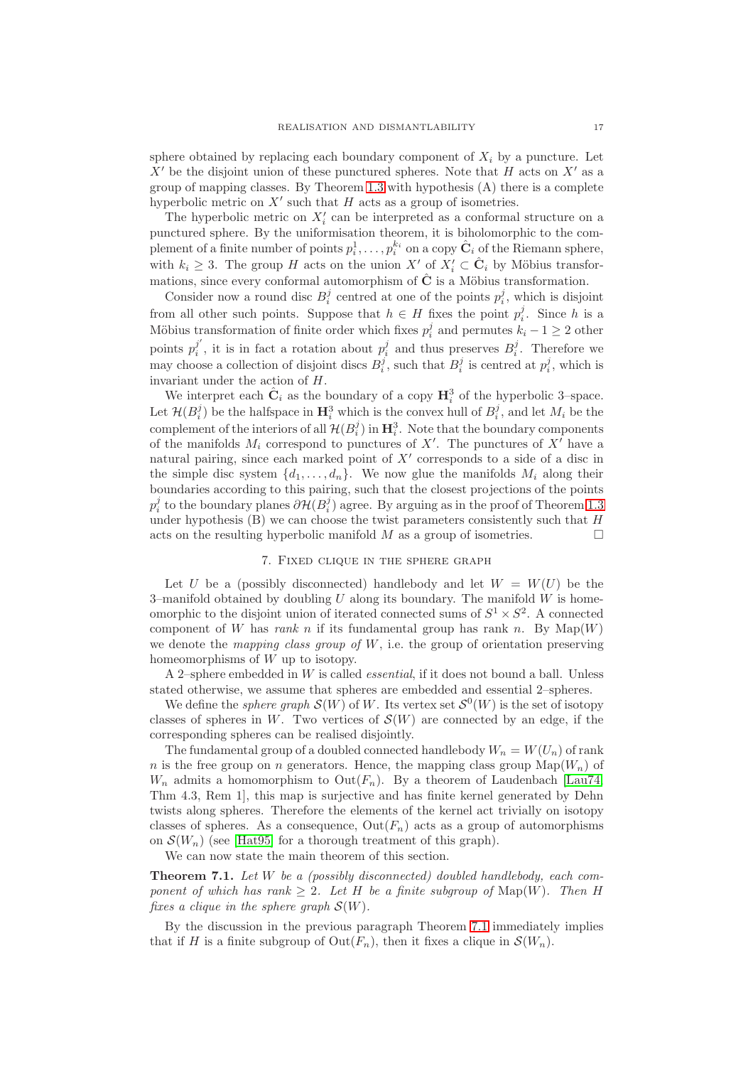sphere obtained by replacing each boundary component of  $X_i$  by a puncture. Let  $X'$  be the disjoint union of these punctured spheres. Note that H acts on  $X'$  as a group of mapping classes. By Theorem [1.3](#page-1-0) with hypothesis (A) there is a complete hyperbolic metric on  $X'$  such that  $H$  acts as a group of isometries.

The hyperbolic metric on  $X_i'$  can be interpreted as a conformal structure on a punctured sphere. By the uniformisation theorem, it is biholomorphic to the complement of a finite number of points  $p_i^1, \ldots, p_i^{k_i}$  on a copy  $\hat{\mathbf{C}}_i$  of the Riemann sphere, with  $k_i \geq 3$ . The group H acts on the union  $X'$  of  $X'_i \subset \hat{C}_i$  by Möbius transformations, since every conformal automorphism of  $\hat{C}$  is a Möbius transformation.

Consider now a round disc  $B_i^j$  centred at one of the points  $p_i^j$ , which is disjoint from all other such points. Suppose that  $h \in H$  fixes the point  $p_i^j$ . Since h is a Möbius transformation of finite order which fixes  $p_i^j$  and permutes  $k_i - 1 \geq 2$  other points  $p_i^{j'}$  $j'$ , it is in fact a rotation about  $p_i^j$  and thus preserves  $B_i^j$ . Therefore we may choose a collection of disjoint discs  $B_i^j$ , such that  $B_i^j$  is centred at  $p_i^j$ , which is invariant under the action of H.

We interpret each  $\hat{\mathbf{C}}_i$  as the boundary of a copy  $\mathbf{H}_i^3$  of the hyperbolic 3-space. Let  $\mathcal{H}(B_i^j)$  be the halfspace in  $\mathbf{H}_i^3$  which is the convex hull of  $B_i^j$ , and let  $M_i$  be the complement of the interiors of all  $\mathcal{H}(B_i^j)$  in  $\mathbf{H}_i^3$ . Note that the boundary components of the manifolds  $M_i$  correspond to punctures of  $X'$ . The punctures of  $X'$  have a natural pairing, since each marked point of  $X'$  corresponds to a side of a disc in the simple disc system  $\{d_1, \ldots, d_n\}$ . We now glue the manifolds  $M_i$  along their boundaries according to this pairing, such that the closest projections of the points  $p_i^j$  to the boundary planes  $\partial \mathcal{H}(B_i^j)$  agree. By arguing as in the proof of Theorem [1.3](#page-1-0) under hypothesis  $(B)$  we can choose the twist parameters consistently such that  $H$ acts on the resulting hyperbolic manifold  $M$  as a group of isometries.

## 7. Fixed clique in the sphere graph

<span id="page-16-1"></span>Let U be a (possibly disconnected) handlebody and let  $W = W(U)$  be the 3-manifold obtained by doubling  $U$  along its boundary. The manifold  $W$  is homeomorphic to the disjoint union of iterated connected sums of  $S^1 \times S^2$ . A connected component of W has *rank* n if its fundamental group has rank n. By  $\text{Map}(W)$ we denote the *mapping class group of* W, i.e. the group of orientation preserving homeomorphisms of W up to isotopy.

A 2–sphere embedded in W is called *essential*, if it does not bound a ball. Unless stated otherwise, we assume that spheres are embedded and essential 2–spheres.

We define the *sphere graph*  $\mathcal{S}(W)$  of W. Its vertex set  $\mathcal{S}^0(W)$  is the set of isotopy classes of spheres in W. Two vertices of  $\mathcal{S}(W)$  are connected by an edge, if the corresponding spheres can be realised disjointly.

The fundamental group of a doubled connected handlebody  $W_n = W(U_n)$  of rank n is the free group on n generators. Hence, the mapping class group  $\text{Map}(W_n)$  of  $W_n$  admits a homomorphism to  $Out(F_n)$ . By a theorem of Laudenbach [\[Lau74,](#page-32-20) Thm 4.3, Rem 1], this map is surjective and has finite kernel generated by Dehn twists along spheres. Therefore the elements of the kernel act trivially on isotopy classes of spheres. As a consequence,  $Out(F_n)$  acts as a group of automorphisms on  $\mathcal{S}(W_n)$  (see [\[Hat95\]](#page-31-5) for a thorough treatment of this graph).

We can now state the main theorem of this section.

<span id="page-16-0"></span>**Theorem 7.1.** *Let* W *be a (possibly disconnected) doubled handlebody, each component of which has rank*  $\geq 2$ *. Let* H *be a finite subgroup of* Map(W)*. Then* H *fixes a clique in the sphere graph* S(W)*.*

By the discussion in the previous paragraph Theorem [7.1](#page-16-0) immediately implies that if H is a finite subgroup of  $Out(F_n)$ , then it fixes a clique in  $\mathcal{S}(W_n)$ .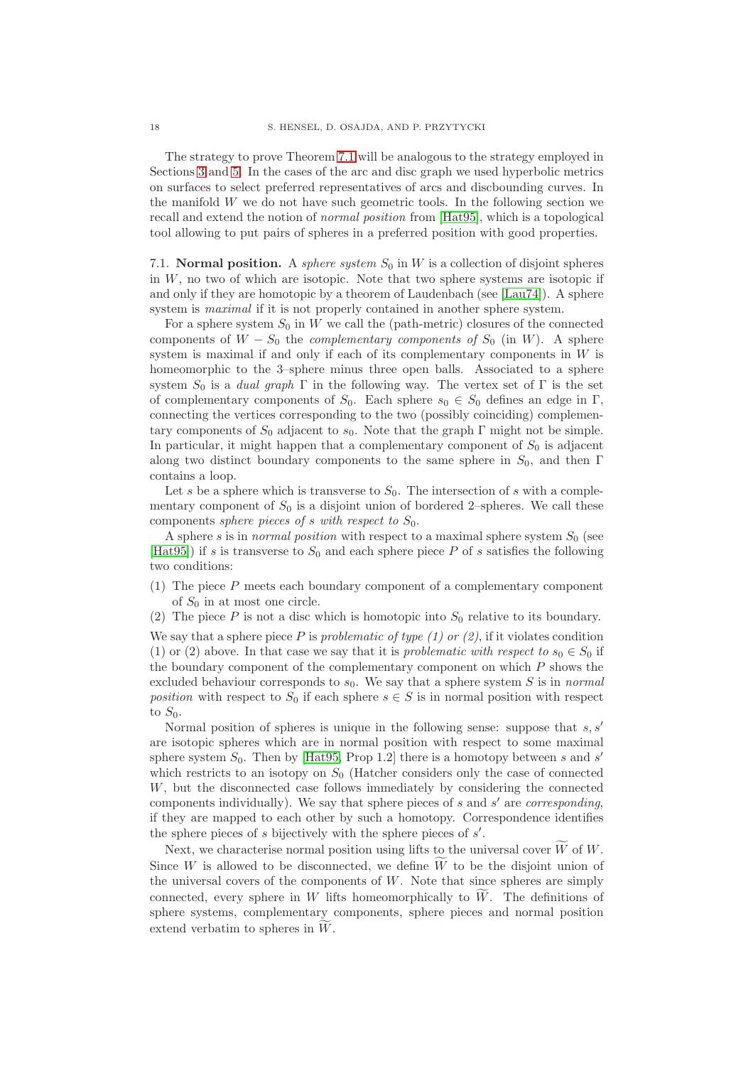The strategy to prove Theorem [7.1](#page-16-0) will be analogous to the strategy employed in Sections [3](#page-7-0) and [5.](#page-12-0) In the cases of the arc and disc graph we used hyperbolic metrics on surfaces to select preferred representatives of arcs and discbounding curves. In the manifold W we do not have such geometric tools. In the following section we recall and extend the notion of *normal position* from [\[Hat95\]](#page-31-5), which is a topological tool allowing to put pairs of spheres in a preferred position with good properties.

7.1. **Normal position.** A *sphere system*  $S_0$  in  $W$  is a collection of disjoint spheres in  $W$ , no two of which are isotopic. Note that two sphere systems are isotopic if and only if they are homotopic by a theorem of Laudenbach (see [\[Lau74\]](#page-32-20)). A sphere system is *maximal* if it is not properly contained in another sphere system.

For a sphere system  $S_0$  in W we call the (path-metric) closures of the connected components of  $W - S_0$  the *complementary components of*  $S_0$  (in W). A sphere system is maximal if and only if each of its complementary components in W is homeomorphic to the 3–sphere minus three open balls. Associated to a sphere system  $S_0$  is a *dual graph*  $\Gamma$  in the following way. The vertex set of  $\Gamma$  is the set of complementary components of  $S_0$ . Each sphere  $s_0 \in S_0$  defines an edge in Γ, connecting the vertices corresponding to the two (possibly coinciding) complementary components of  $S_0$  adjacent to  $s_0$ . Note that the graph Γ might not be simple. In particular, it might happen that a complementary component of  $S_0$  is adjacent along two distinct boundary components to the same sphere in  $S_0$ , and then Γ contains a loop.

Let s be a sphere which is transverse to  $S_0$ . The intersection of s with a complementary component of  $S_0$  is a disjoint union of bordered 2–spheres. We call these components *sphere pieces of* s with respect to  $S_0$ .

A sphere s is in *normal position* with respect to a maximal sphere system  $S_0$  (see [\[Hat95\]](#page-31-5)) if s is transverse to  $S_0$  and each sphere piece P of s satisfies the following two conditions:

(1) The piece P meets each boundary component of a complementary component of  $S_0$  in at most one circle.

(2) The piece P is not a disc which is homotopic into  $S_0$  relative to its boundary.

We say that a sphere piece  $P$  is *problematic of type (1) or (2)*, if it violates condition (1) or (2) above. In that case we say that it is *problematic with respect to*  $s_0 \in S_0$  if the boundary component of the complementary component on which P shows the excluded behaviour corresponds to  $s_0$ . We say that a sphere system  $S$  is in *normal position* with respect to  $S_0$  if each sphere  $s \in S$  is in normal position with respect to  $S_0$ .

Normal position of spheres is unique in the following sense: suppose that  $s, s'$ are isotopic spheres which are in normal position with respect to some maximal sphere system  $S_0$ . Then by [\[Hat95,](#page-31-5) Prop 1.2] there is a homotopy between s and s' which restricts to an isotopy on  $S_0$  (Hatcher considers only the case of connected W, but the disconnected case follows immediately by considering the connected components individually). We say that sphere pieces of s and s ′ are *corresponding*, if they are mapped to each other by such a homotopy. Correspondence identifies the sphere pieces of  $s$  bijectively with the sphere pieces of  $s'$ .

Next, we characterise normal position using lifts to the universal cover  $\tilde{W}$  of  $W$ . Since W is allowed to be disconnected, we define  $\widetilde{W}$  to be the disjoint union of the universal covers of the components of  $W$ . Note that since spheres are simply connected, every sphere in  $W$  lifts homeomorphically to  $W$ . The definitions of sphere systems, complementary components, sphere pieces and normal position extend verbatim to spheres in  $W$ .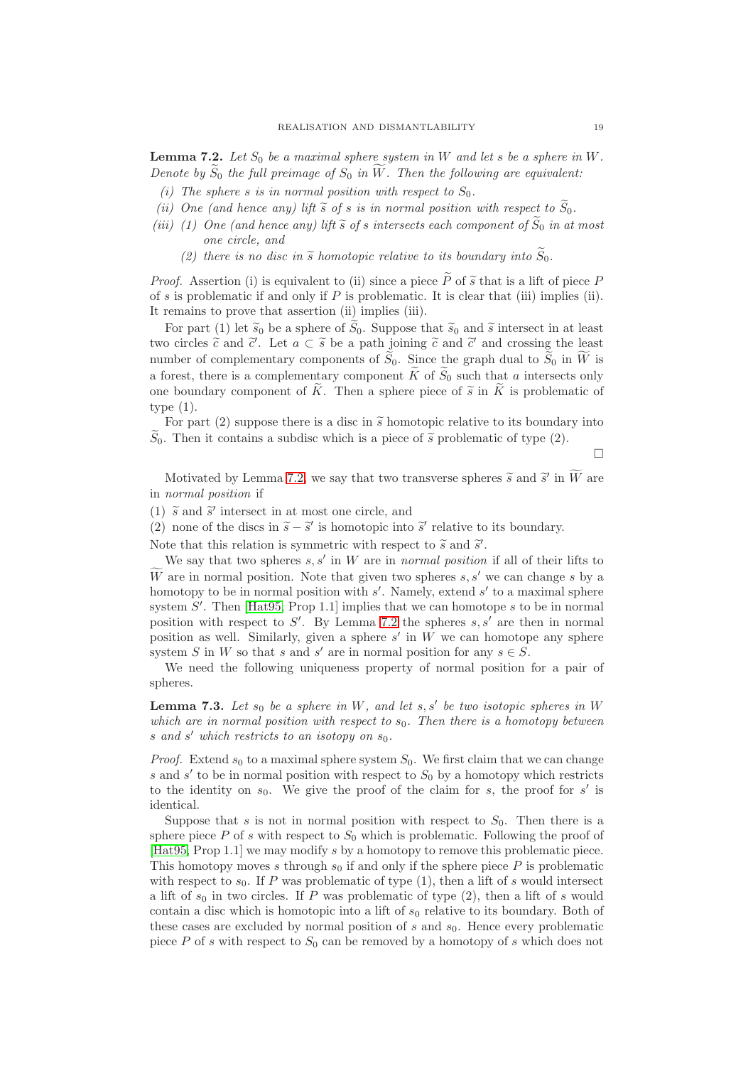<span id="page-18-0"></span>**Lemma 7.2.** Let  $S_0$  be a maximal sphere system in W and let s be a sphere in W. *Denote by*  $\widetilde{S}_0$  *the full preimage of*  $S_0$  *in*  $\widetilde{W}$ *. Then the following are equivalent:* 

- *(i)* The sphere s is in normal position with respect to  $S_0$ .
- *(ii)* One (and hence any) lift  $\tilde{s}$  of s is in normal position with respect to  $\tilde{S}_0$ .
- *(iii)* (1) One (and hence any) lift  $\tilde{s}$  of s intersects each component of  $\tilde{S}_0$  in at most *one circle, and*
	- (2) there is no disc in  $\tilde{s}$  homotopic relative to its boundary into  $\tilde{S}_0$ .

*Proof.* Assertion (i) is equivalent to (ii) since a piece P of  $\tilde{s}$  that is a lift of piece P of  $s$  is problematic if and only if  $P$  is problematic. It is clear that (iii) implies (ii). It remains to prove that assertion (ii) implies (iii).

For part (1) let  $\tilde{s}_0$  be a sphere of  $\tilde{S}_0$ . Suppose that  $\tilde{s}_0$  and  $\tilde{s}$  intersect in at least two circles  $\tilde{c}$  and  $\tilde{c}'$ . Let  $a \subset \tilde{s}$  be a path joining  $\tilde{c}$  and  $\tilde{c}'$  and crossing the least number of complementary components of  $\tilde{S}_0$ . Since the graph dual to  $\tilde{S}_0$  in  $\tilde{W}$  is a forest, there is a complementary component  $\widetilde{K}$  of  $\widetilde{S}_0$  such that a intersects only one boundary component of  $\tilde{K}$ . Then a sphere piece of  $\tilde{s}$  in  $\tilde{K}$  is problematic of type (1).

For part (2) suppose there is a disc in  $\tilde{s}$  homotopic relative to its boundary into  $\widetilde{S}_0$ . Then it contains a subdisc which is a piece of  $\widetilde{s}$  problematic of type (2).

 $\Box$ 

Motivated by Lemma [7.2,](#page-18-0) we say that two transverse spheres  $\tilde{s}$  and  $\tilde{s}'$  in  $\widetilde{W}$  are in *normal position* if

(1)  $\tilde{s}$  and  $\tilde{s}'$  intersect in at most one circle, and

(2) none of the discs in  $\tilde{s} - \tilde{s}'$  is homotopic into  $\tilde{s}'$  relative to its boundary.

Note that this relation is symmetric with respect to  $\tilde{s}$  and  $\tilde{s}'$ .

We say that two spheres  $s, s'$  in W are in *normal position* if all of their lifts to We are in normal position. Note that given two spheres s, s' we can change s by a homotopy to be in normal position with  $s'$ . Namely, extend  $s'$  to a maximal sphere system  $S'$ . Then [\[Hat95,](#page-31-5) Prop 1.1] implies that we can homotope s to be in normal position with respect to  $S'$ . By Lemma [7.2](#page-18-0) the spheres  $s, s'$  are then in normal position as well. Similarly, given a sphere  $s'$  in  $W$  we can homotope any sphere system S in W so that s and s' are in normal position for any  $s \in S$ .

We need the following uniqueness property of normal position for a pair of spheres.

<span id="page-18-1"></span>**Lemma 7.3.** Let  $s_0$  be a sphere in W, and let  $s, s'$  be two isotopic spheres in W *which are in normal position with respect to*  $s<sub>0</sub>$ *. Then there is a homotopy between* s and s' which restricts to an isotopy on  $s_0$ .

*Proof.* Extend  $s_0$  to a maximal sphere system  $S_0$ . We first claim that we can change s and  $s'$  to be in normal position with respect to  $S_0$  by a homotopy which restricts to the identity on  $s_0$ . We give the proof of the claim for s, the proof for s' is identical.

Suppose that s is not in normal position with respect to  $S_0$ . Then there is a sphere piece P of s with respect to  $S_0$  which is problematic. Following the proof of [\[Hat95,](#page-31-5) Prop 1.1] we may modify s by a homotopy to remove this problematic piece. This homotopy moves s through  $s_0$  if and only if the sphere piece P is problematic with respect to  $s_0$ . If P was problematic of type (1), then a lift of s would intersect a lift of  $s_0$  in two circles. If P was problematic of type  $(2)$ , then a lift of s would contain a disc which is homotopic into a lift of  $s_0$  relative to its boundary. Both of these cases are excluded by normal position of s and  $s<sub>0</sub>$ . Hence every problematic piece P of s with respect to  $S_0$  can be removed by a homotopy of s which does not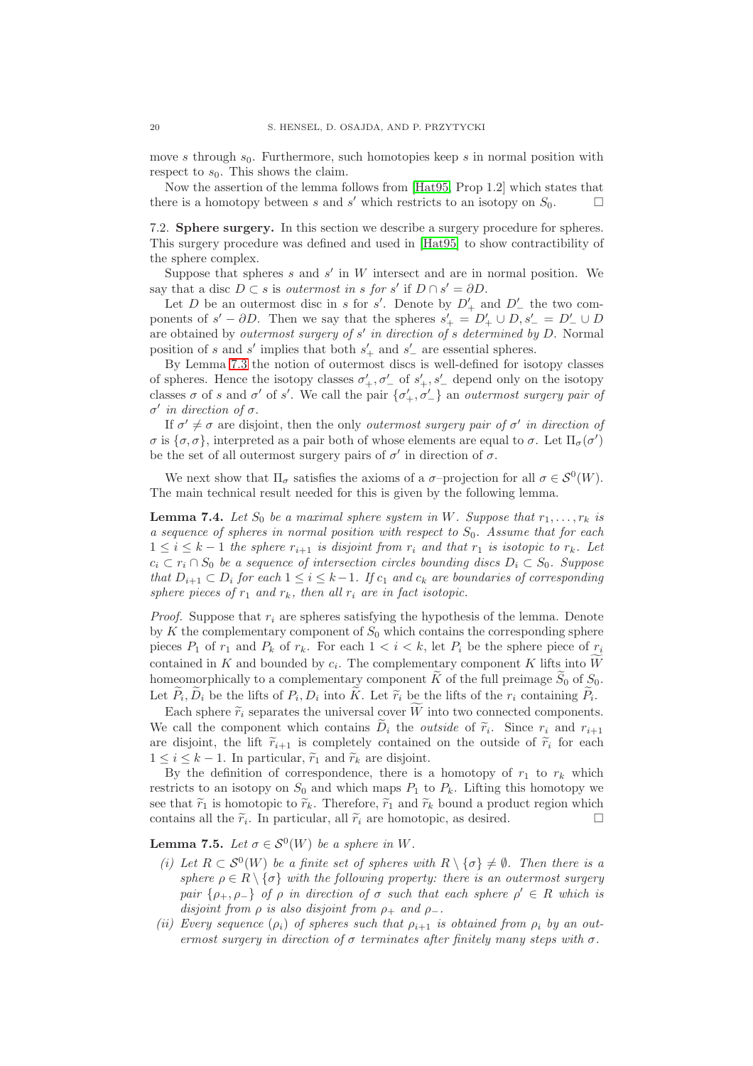move s through  $s_0$ . Furthermore, such homotopies keep s in normal position with respect to  $s_0$ . This shows the claim.

Now the assertion of the lemma follows from [\[Hat95,](#page-31-5) Prop 1.2] which states that there is a homotopy between s and s' which restricts to an isotopy on  $S_0$ .

7.2. **Sphere surgery.** In this section we describe a surgery procedure for spheres. This surgery procedure was defined and used in [\[Hat95\]](#page-31-5) to show contractibility of the sphere complex.

Suppose that spheres  $s$  and  $s'$  in  $W$  intersect and are in normal position. We say that a disc  $D \subset s$  is *outermost in* s for s' if  $D \cap s' = \partial D$ .

Let D be an outermost disc in s for s'. Denote by  $D'_{+}$  and  $D'_{-}$  the two components of  $s' - \partial D$ . Then we say that the spheres  $s'_{+} = D'_{+} \cup D, s'_{-} = D'_{-} \cup D$ are obtained by *outermost surgery of* s ′ *in direction of* s *determined by* D. Normal position of s and s' implies that both  $s'_{+}$  and  $s'_{-}$  are essential spheres.

By Lemma [7.3](#page-18-1) the notion of outermost discs is well-defined for isotopy classes of spheres. Hence the isotopy classes  $\sigma'_{+}, \sigma'_{-}$  of  $s'_{+}, s'_{-}$  depend only on the isotopy classes  $\sigma$  of s and  $\sigma'$  of s'. We call the pair  $\{\sigma'_+, \sigma'_-\}$  an *outermost surgery pair of* σ ′ *in direction of* σ.

If  $\sigma' \neq \sigma$  are disjoint, then the only *outermost surgery pair of*  $\sigma'$  *in direction of* σ is  $\{\sigma, \sigma\}$ , interpreted as a pair both of whose elements are equal to  $\sigma$ . Let  $\Pi_{\sigma}(\sigma')$ be the set of all outermost surgery pairs of  $\sigma'$  in direction of  $\sigma$ .

We next show that  $\Pi_{\sigma}$  satisfies the axioms of a  $\sigma$ -projection for all  $\sigma \in \mathcal{S}^0(W)$ . The main technical result needed for this is given by the following lemma.

<span id="page-19-0"></span>**Lemma 7.4.** Let  $S_0$  be a maximal sphere system in W. Suppose that  $r_1, \ldots, r_k$  is *a sequence of spheres in normal position with respect to* S0*. Assume that for each*  $1 \leq i \leq k-1$  *the sphere*  $r_{i+1}$  *is disjoint from*  $r_i$  *and that*  $r_1$  *is isotopic to*  $r_k$ *. Let*  $c_i \,\subset r_i \cap S_0$  *be a sequence of intersection circles bounding discs*  $D_i \subset S_0$ *. Suppose that*  $D_{i+1} \subset D_i$  *for each*  $1 \leq i \leq k-1$ . If  $c_1$  and  $c_k$  are boundaries of corresponding *sphere pieces of*  $r_1$  *and*  $r_k$ *, then all*  $r_i$  *are in fact isotopic.* 

*Proof.* Suppose that  $r_i$  are spheres satisfying the hypothesis of the lemma. Denote by K the complementary component of  $S_0$  which contains the corresponding sphere pieces  $P_1$  of  $r_1$  and  $P_k$  of  $r_k$ . For each  $1 \lt i \lt k$ , let  $P_i$  be the sphere piece of  $r_i$ contained in K and bounded by  $c_i$ . The complementary component K lifts into W homeomorphically to a complementary component  $\tilde{K}$  of the full preimage  $\tilde{S}_0$  of  $S_0$ . Let  $P_i, D_i$  be the lifts of  $P_i, D_i$  into K. Let  $\widetilde{r}_i$  be the lifts of the  $r_i$  containing  $P_i$ .

Each sphere  $\tilde{r}_i$  separates the universal cover W into two connected components. We call the component which contains  $D_i$  the *outside* of  $\tilde{r}_i$ . Since  $r_i$  and  $r_{i+1}$ are disjoint, the lift  $\tilde{r}_{i+1}$  is completely contained on the outside of  $\tilde{r}_i$  for each  $1 \leq i \leq k-1$ . In particular,  $\widetilde{r}_1$  and  $\widetilde{r}_k$  are disjoint.

By the definition of correspondence, there is a homotopy of  $r_1$  to  $r_k$  which restricts to an isotopy on  $S_0$  and which maps  $P_1$  to  $P_k$ . Lifting this homotopy we see that  $\tilde{r}_1$  is homotopic to  $\tilde{r}_k$ . Therefore,  $\tilde{r}_1$  and  $\tilde{r}_k$  bound a product region which contains all the  $\tilde{r}_i$ . In particular, all  $\tilde{r}_i$  are homotopic, as desired. contains all the  $\tilde{r}_i$ . In particular, all  $\tilde{r}_i$  are homotopic, as desired.

<span id="page-19-1"></span>**Lemma 7.5.** *Let*  $\sigma \in \mathcal{S}^0(W)$  *be a sphere in* W.

- *(i)* Let  $R \subset S^0(W)$  be a finite set of spheres with  $R \setminus {\sigma} \neq \emptyset$ . Then there is a *sphere*  $\rho \in R \setminus \{\sigma\}$  *with the following property: there is an outermost surgery pair*  $\{\rho_+, \rho_-\}$  *of*  $\rho$  *in direction of*  $\sigma$  *such that each sphere*  $\rho' \in R$  *which is disjoint from*  $\rho$  *is also disjoint from*  $\rho_+$  *and*  $\rho_-$ *.*
- (*ii*) Every sequence  $(\rho_i)$  of spheres such that  $\rho_{i+1}$  is obtained from  $\rho_i$  by an out*ermost surgery in direction of*  $\sigma$  *terminates after finitely many steps with*  $\sigma$ *.*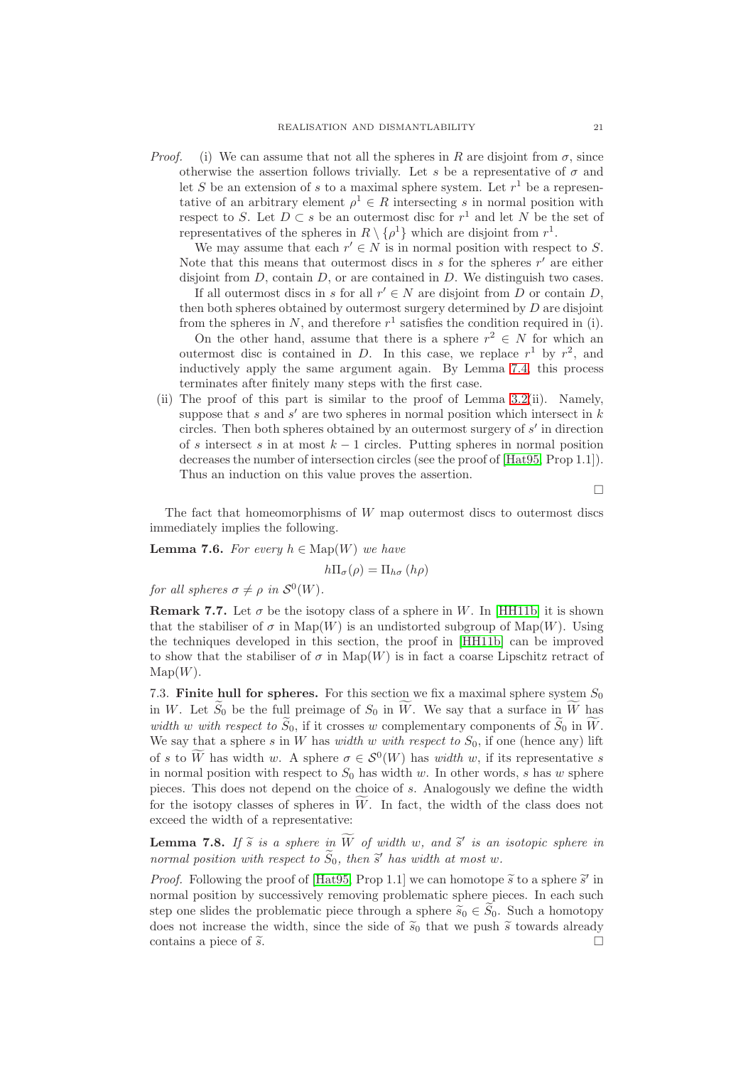*Proof.* (i) We can assume that not all the spheres in R are disjoint from  $\sigma$ , since otherwise the assertion follows trivially. Let s be a representative of  $\sigma$  and let S be an extension of s to a maximal sphere system. Let  $r<sup>1</sup>$  be a representative of an arbitrary element  $\rho^1 \in R$  intersecting s in normal position with respect to S. Let  $D \subset s$  be an outermost disc for  $r^1$  and let N be the set of representatives of the spheres in  $R \setminus {\rho^1}$  which are disjoint from  $r^1$ .

We may assume that each  $r' \in N$  is in normal position with respect to S. Note that this means that outermost discs in  $s$  for the spheres  $r'$  are either disjoint from  $D$ , contain  $D$ , or are contained in  $D$ . We distinguish two cases.

If all outermost discs in s for all  $r' \in N$  are disjoint from D or contain D, then both spheres obtained by outermost surgery determined by D are disjoint from the spheres in N, and therefore  $r^1$  satisfies the condition required in (i).

On the other hand, assume that there is a sphere  $r^2 \in N$  for which an outermost disc is contained in D. In this case, we replace  $r^1$  by  $r^2$ , and inductively apply the same argument again. By Lemma [7.4,](#page-19-0) this process terminates after finitely many steps with the first case.

(ii) The proof of this part is similar to the proof of Lemma [3.2\(](#page-8-1)ii). Namely, suppose that  $s$  and  $s'$  are two spheres in normal position which intersect in  $k$ circles. Then both spheres obtained by an outermost surgery of  $s'$  in direction of s intersect s in at most  $k-1$  circles. Putting spheres in normal position decreases the number of intersection circles (see the proof of [\[Hat95,](#page-31-5) Prop 1.1]). Thus an induction on this value proves the assertion.

 $\Box$ 

The fact that homeomorphisms of  $W$  map outermost discs to outermost discs immediately implies the following.

<span id="page-20-1"></span>**Lemma 7.6.** *For every*  $h \in \text{Map}(W)$  *we have* 

 $h\Pi_{\sigma}(\rho) = \Pi_{h\sigma}(h\rho)$ 

*for all spheres*  $\sigma \neq \rho$  *in*  $\mathcal{S}^0(W)$ *.* 

**Remark 7.7.** Let  $\sigma$  be the isotopy class of a sphere in W. In [\[HH11b\]](#page-31-11) it is shown that the stabiliser of  $\sigma$  in Map(W) is an undistorted subgroup of Map(W). Using the techniques developed in this section, the proof in [\[HH11b\]](#page-31-11) can be improved to show that the stabiliser of  $\sigma$  in Map(W) is in fact a coarse Lipschitz retract of  $\mathrm{Map}(W)$ .

7.3. **Finite hull for spheres.** For this section we fix a maximal sphere system  $S_0$ in W. Let  $\widetilde{S}_0$  be the full preimage of  $S_0$  in  $\widetilde{W}$ . We say that a surface in  $\widetilde{W}$  has *width* w with respect to  $\widetilde{S}_0$ , if it crosses w complementary components of  $\widetilde{S}_0$  in  $\widetilde{W}$ . We say that a sphere s in W has *width* w with respect to  $S_0$ , if one (hence any) lift of s to W has width w. A sphere  $\sigma \in \mathcal{S}^0(W)$  has *width* w, if its representative s in normal position with respect to  $S_0$  has width w. In other words, s has w sphere pieces. This does not depend on the choice of s. Analogously we define the width for the isotopy classes of spheres in  $\widetilde{W}$ . In fact, the width of the class does not exceed the width of a representative:

<span id="page-20-0"></span>**Lemma 7.8.** If  $\widetilde{s}$  is a sphere in  $\widetilde{W}$  of width w, and  $\widetilde{s}'$  is an isotopic sphere in *normal position with respect to*  $\widetilde{S}_0$ , then  $\widetilde{s}'$  has width at most w.

*Proof.* Following the proof of [\[Hat95,](#page-31-5) Prop 1.1] we can homotope  $\tilde{s}$  to a sphere  $\tilde{s}'$  in normal position by successively removing problematic sphere pieces. In each such step one slides the problematic piece through a sphere  $\tilde{s}_0 \in \tilde{S}_0$ . Such a homotopy does not increase the width, since the side of  $\tilde{s}_0$  that we push  $\tilde{s}$  towards already contains a piece of  $\tilde{s}$ contains a piece of  $\tilde{s}$ .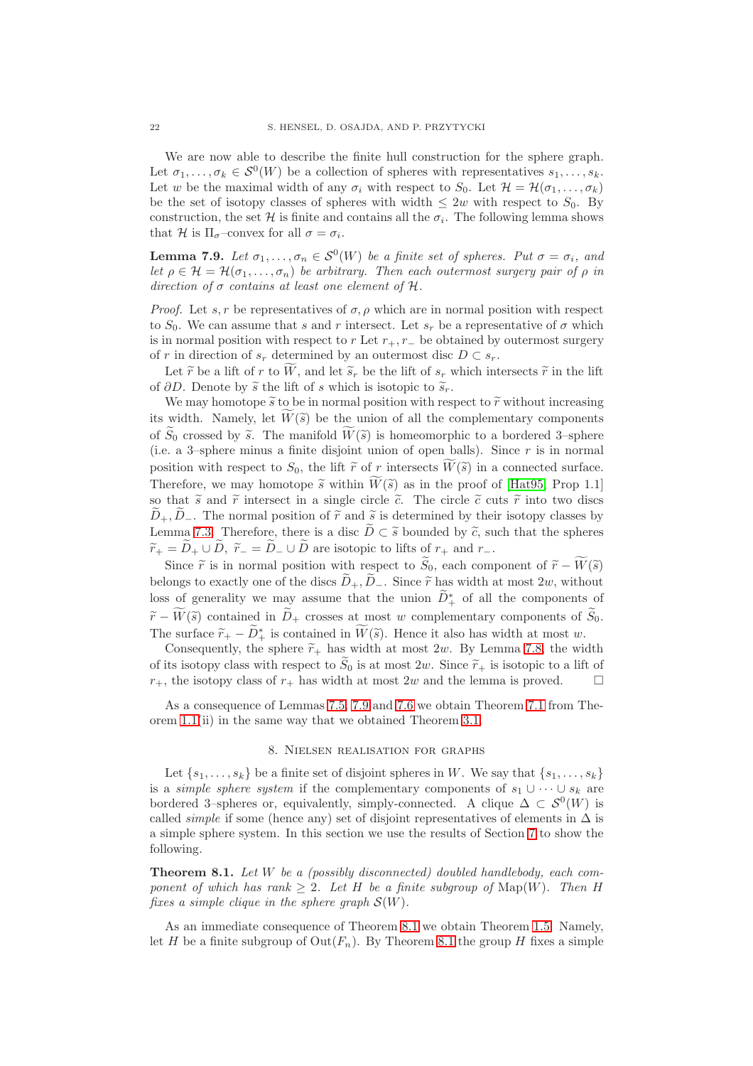We are now able to describe the finite hull construction for the sphere graph. Let  $\sigma_1, \ldots, \sigma_k \in \mathcal{S}^0(W)$  be a collection of spheres with representatives  $s_1, \ldots, s_k$ . Let w be the maximal width of any  $\sigma_i$  with respect to  $S_0$ . Let  $\mathcal{H} = \mathcal{H}(\sigma_1, \ldots, \sigma_k)$ be the set of isotopy classes of spheres with width  $\leq 2w$  with respect to  $S_0$ . By construction, the set H is finite and contains all the  $\sigma_i$ . The following lemma shows that H is  $\Pi_{\sigma}$ -convex for all  $\sigma = \sigma_i$ .

<span id="page-21-2"></span>**Lemma 7.9.** *Let*  $\sigma_1, \ldots, \sigma_n \in S^0(W)$  *be a finite set of spheres. Put*  $\sigma = \sigma_i$ *, and let*  $\rho \in \mathcal{H} = \mathcal{H}(\sigma_1, \ldots, \sigma_n)$  *be arbitrary. Then each outermost surgery pair of*  $\rho$  *in direction of* σ *contains at least one element of* H*.*

*Proof.* Let  $s, r$  be representatives of  $\sigma, \rho$  which are in normal position with respect to  $S_0$ . We can assume that s and r intersect. Let  $s_r$  be a representative of  $\sigma$  which is in normal position with respect to r Let  $r_+, r_-$  be obtained by outermost surgery of r in direction of  $s_r$  determined by an outermost disc  $D \subset s_r$ .

Let  $\tilde{r}$  be a lift of r to W, and let  $\tilde{s}_r$  be the lift of  $s_r$  which intersects  $\tilde{r}$  in the lift of  $\partial D$ . Denote by  $\tilde{s}$  the lift of s which is isotopic to  $\tilde{s}_r$ .

We may homotope  $\tilde{s}$  to be in normal position with respect to  $\tilde{r}$  without increasing its width. Namely, let  $W(\widetilde{s})$  be the union of all the complementary components of  $S_0$  crossed by  $\tilde{s}$ . The manifold  $\tilde{W}(\tilde{s})$  is homeomorphic to a bordered 3–sphere (i.e. a 3–sphere minus a finite disjoint union of open balls). Since  $r$  is in normal position with respect to  $S_0$ , the lift  $\tilde{r}$  of r intersects  $\tilde{W}(\tilde{s})$  in a connected surface. Therefore, we may homotope  $\tilde{s}$  within  $\tilde{W}(\tilde{s})$  as in the proof of [\[Hat95,](#page-31-5) Prop 1.1] so that  $\tilde{s}$  and  $\tilde{r}$  intersect in a single circle  $\tilde{c}$ . The circle  $\tilde{c}$  cuts  $\tilde{r}$  into two discs  $D_+, D_-.$  The normal position of  $\tilde{r}$  and  $\tilde{s}$  is determined by their isotopy classes by Lemma [7.3.](#page-18-1) Therefore, there is a disc  $\tilde{D} \subset \tilde{s}$  bounded by  $\tilde{c}$ , such that the spheres  $\widetilde{r}_+ = \widetilde{D}_+ \cup \widetilde{D}$ ,  $\widetilde{r}_- = \widetilde{D}_- \cup \widetilde{D}$  are isotopic to lifts of  $r_+$  and  $r_-$ .

Since  $\tilde{r}$  is in normal position with respect to  $\tilde{S}_0$ , each component of  $\tilde{r} - \tilde{W}(\tilde{s})$ belongs to exactly one of the discs  $\widetilde{D}_+$ ,  $\widetilde{D}_-$ . Since  $\widetilde{r}$  has width at most 2w, without loss of generality we may assume that the union  $\widetilde{D}^*_{+}$  of all the components of  $\widetilde{r}-\widetilde{W}(\widetilde{s})$  contained in  $\widetilde{D}_+$  crosses at most w complementary components of  $\widetilde{S}_0$ . The surface  $\widetilde{r}_+ - \widetilde{D}^*_+$  is contained in  $\widetilde{W}(\widetilde{s})$ . Hence it also has width at most w.

Consequently, the sphere  $\tilde{r}_+$  has width at most 2w. By Lemma [7.8,](#page-20-0) the width of its isotopy class with respect to  $\widetilde{S}_0$  is at most  $2w$ . Since  $\widetilde{r}_+$  is isotopic to a lift of  $r_+$  the isotopy class of  $r_+$  has width at most  $2w$  and the lemma is proved  $r_{+}$ , the isotopy class of  $r_{+}$  has width at most 2w and the lemma is proved.

<span id="page-21-0"></span>As a consequence of Lemmas [7.5,](#page-19-1) [7.9](#page-21-2) and [7.6](#page-20-1) we obtain Theorem [7.1](#page-16-0) from Theorem [1.1\(](#page-0-0)ii) in the same way that we obtained Theorem [3.1.](#page-7-1)

### 8. Nielsen realisation for graphs

Let  $\{s_1, \ldots, s_k\}$  be a finite set of disjoint spheres in W. We say that  $\{s_1, \ldots, s_k\}$ is a *simple sphere system* if the complementary components of  $s_1 \cup \cdots \cup s_k$  are bordered 3-spheres or, equivalently, simply-connected. A clique  $\Delta \subset \mathcal{S}^0(W)$  is called *simple* if some (hence any) set of disjoint representatives of elements in  $\Delta$  is a simple sphere system. In this section we use the results of Section [7](#page-16-1) to show the following.

<span id="page-21-1"></span>**Theorem 8.1.** *Let* W *be a (possibly disconnected) doubled handlebody, each component of which has rank*  $> 2$ *. Let* H *be a finite subgroup of* Map(W)*. Then* H *fixes a simple clique in the sphere graph*  $\mathcal{S}(W)$ *.* 

As an immediate consequence of Theorem [8.1](#page-21-1) we obtain Theorem [1.5.](#page-1-2) Namely, let H be a finite subgroup of  $\mathrm{Out}(F_n)$ . By Theorem [8.1](#page-21-1) the group H fixes a simple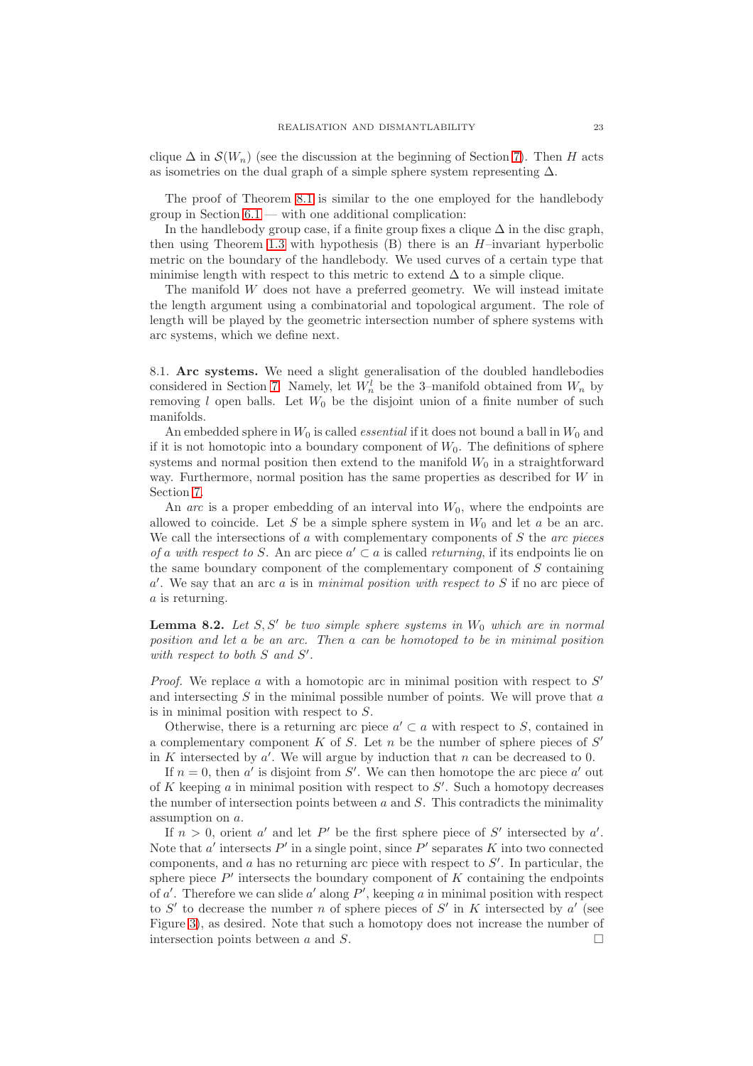clique  $\Delta$  in  $\mathcal{S}(W_n)$  (see the discussion at the beginning of Section [7\)](#page-16-1). Then H acts as isometries on the dual graph of a simple sphere system representing  $\Delta$ .

The proof of Theorem [8.1](#page-21-1) is similar to the one employed for the handlebody group in Section  $6.1$  — with one additional complication:

In the handlebody group case, if a finite group fixes a clique  $\Delta$  in the disc graph, then using Theorem [1.3](#page-1-0) with hypothesis  $(B)$  there is an  $H$ –invariant hyperbolic metric on the boundary of the handlebody. We used curves of a certain type that minimise length with respect to this metric to extend  $\Delta$  to a simple clique.

The manifold W does not have a preferred geometry. We will instead imitate the length argument using a combinatorial and topological argument. The role of length will be played by the geometric intersection number of sphere systems with arc systems, which we define next.

8.1. **Arc systems.** We need a slight generalisation of the doubled handlebodies considered in Section [7.](#page-16-1) Namely, let  $W_n^l$  be the 3-manifold obtained from  $W_n$  by removing l open balls. Let  $W_0$  be the disjoint union of a finite number of such manifolds.

An embedded sphere in  $W_0$  is called *essential* if it does not bound a ball in  $W_0$  and if it is not homotopic into a boundary component of  $W_0$ . The definitions of sphere systems and normal position then extend to the manifold  $W_0$  in a straightforward way. Furthermore, normal position has the same properties as described for  $W$  in Section [7.](#page-16-1)

An *arc* is a proper embedding of an interval into  $W_0$ , where the endpoints are allowed to coincide. Let S be a simple sphere system in  $W_0$  and let a be an arc. We call the intersections of a with complementary components of S the *arc pieces of* a *with respect to* S. An arc piece  $a' \subset a$  is called *returning*, if its endpoints lie on the same boundary component of the complementary component of S containing a ′ . We say that an arc a is in *minimal position with respect to* S if no arc piece of a is returning.

<span id="page-22-0"></span>**Lemma 8.2.** Let S, S' be two simple sphere systems in  $W_0$  which are in normal *position and let* a *be an arc. Then* a *can be homotoped to be in minimal position* with respect to both S and S'.

*Proof.* We replace  $a$  with a homotopic arc in minimal position with respect to  $S'$ and intersecting  $S$  in the minimal possible number of points. We will prove that  $a$ is in minimal position with respect to S.

Otherwise, there is a returning arc piece  $a' \subset a$  with respect to S, contained in a complementary component  $K$  of  $S$ . Let  $n$  be the number of sphere pieces of  $S'$ in  $K$  intersected by  $a'$ . We will argue by induction that  $n$  can be decreased to 0.

If  $n = 0$ , then a' is disjoint from S'. We can then homotope the arc piece a' out of  $K$  keeping  $a$  in minimal position with respect to  $S'$ . Such a homotopy decreases the number of intersection points between  $a$  and  $S$ . This contradicts the minimality assumption on a.

If  $n > 0$ , orient a' and let P' be the first sphere piece of S' intersected by a'. Note that  $a'$  intersects  $P'$  in a single point, since  $P'$  separates  $K$  into two connected components, and  $a$  has no returning arc piece with respect to  $S'$ . In particular, the sphere piece  $P'$  intersects the boundary component of  $K$  containing the endpoints of  $a'$ . Therefore we can slide  $a'$  along  $P'$ , keeping  $a$  in minimal position with respect to  $S'$  to decrease the number n of sphere pieces of  $S'$  in K intersected by  $a'$  (see Figure [3\)](#page-23-0), as desired. Note that such a homotopy does not increase the number of intersection points between  $a$  and  $S$ .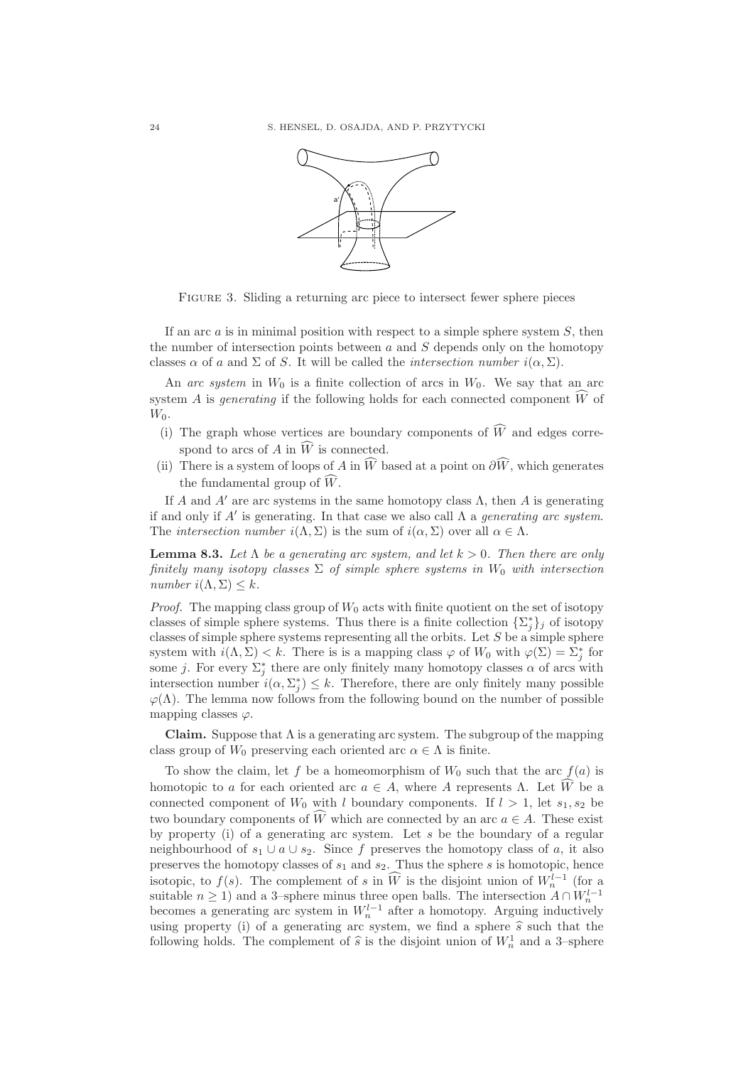

<span id="page-23-0"></span>FIGURE 3. Sliding a returning arc piece to intersect fewer sphere pieces

If an arc  $\alpha$  is in minimal position with respect to a simple sphere system  $S$ , then the number of intersection points between  $a$  and  $S$  depends only on the homotopy classes  $\alpha$  of a and  $\Sigma$  of S. It will be called the *intersection number*  $i(\alpha, \Sigma)$ .

An *arc system* in  $W_0$  is a finite collection of arcs in  $W_0$ . We say that an arc system A is *generating* if the following holds for each connected component  $\hat{W}$  of  $W_0$ .

- (i) The graph whose vertices are boundary components of  $\widehat{W}$  and edges correspond to arcs of A in  $\widehat{W}$  is connected.
- (ii) There is a system of loops of A in  $\widehat{W}$  based at a point on  $\partial \widehat{W}$ , which generates the fundamental group of  $\widehat{W}$ .

If A and A' are arc systems in the same homotopy class  $\Lambda$ , then A is generating if and only if A′ is generating. In that case we also call Λ a *generating arc system*. The *intersection number*  $i(\Lambda, \Sigma)$  is the sum of  $i(\alpha, \Sigma)$  over all  $\alpha \in \Lambda$ .

<span id="page-23-1"></span>**Lemma 8.3.** Let  $\Lambda$  be a generating arc system, and let  $k > 0$ . Then there are only *finitely many isotopy classes*  $\Sigma$  *of simple sphere systems in*  $W_0$  *with intersection number*  $i(\Lambda, \Sigma) \leq k$ .

*Proof.* The mapping class group of  $W_0$  acts with finite quotient on the set of isotopy classes of simple sphere systems. Thus there is a finite collection  $\{\Sigma_j^*\}_j$  of isotopy classes of simple sphere systems representing all the orbits. Let  $S$  be a simple sphere system with  $i(\Lambda, \Sigma) < k$ . There is is a mapping class  $\varphi$  of  $W_0$  with  $\varphi(\Sigma) = \Sigma_j^*$  for some j. For every  $\Sigma_j^*$  there are only finitely many homotopy classes  $\alpha$  of arcs with intersection number  $i(\alpha, \Sigma_j^*) \leq k$ . Therefore, there are only finitely many possible  $\varphi(\Lambda)$ . The lemma now follows from the following bound on the number of possible mapping classes  $\varphi$ .

**Claim.** Suppose that  $\Lambda$  is a generating arc system. The subgroup of the mapping class group of  $W_0$  preserving each oriented arc  $\alpha \in \Lambda$  is finite.

To show the claim, let f be a homeomorphism of  $W_0$  such that the arc  $f(a)$  is homotopic to a for each oriented arc  $a \in A$ , where A represents  $\Lambda$ . Let  $\hat{W}$  be a connected component of  $W_0$  with l boundary components. If  $l > 1$ , let  $s_1, s_2$  be two boundary components of  $\widehat{W}$  which are connected by an arc  $a \in A$ . These exist by property (i) of a generating arc system. Let s be the boundary of a regular neighbourhood of  $s_1 \cup a \cup s_2$ . Since f preserves the homotopy class of a, it also preserves the homotopy classes of  $s_1$  and  $s_2$ . Thus the sphere s is homotopic, hence isotopic, to  $f(s)$ . The complement of s in  $\widehat{W}$  is the disjoint union of  $W_n^{l-1}$  (for a suitable  $n \ge 1$ ) and a 3-sphere minus three open balls. The intersection  $A \cap W_n^{l-1}$  becomes a generating arc system in  $W_n^{l-1}$  after a homotopy. Arguing inductively using property (i) of a generating arc system, we find a sphere  $\hat{s}$  such that the following holds. The complement of  $\hat{s}$  is the disjoint union of  $W_n^1$  and a 3-sphere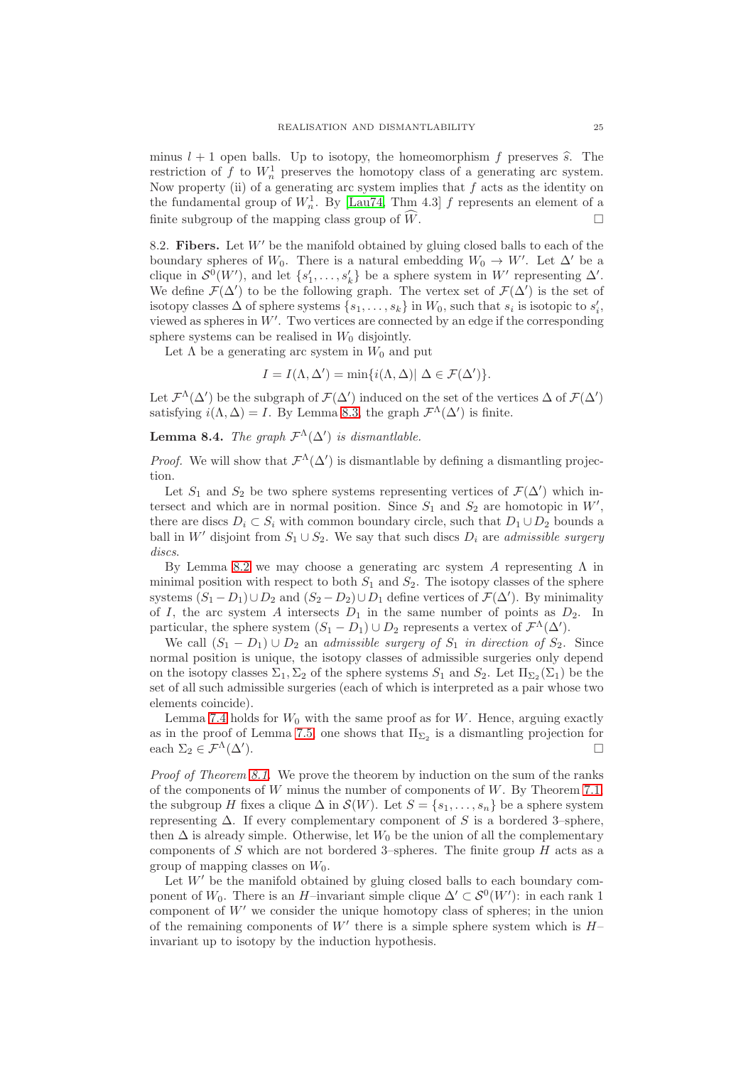minus  $l + 1$  open balls. Up to isotopy, the homeomorphism f preserves  $\hat{s}$ . The restriction of f to  $W_n^1$  preserves the homotopy class of a generating arc system. Now property (ii) of a generating arc system implies that  $f$  acts as the identity on the fundamental group of  $W_n^1$ . By [\[Lau74,](#page-32-20) Thm 4.3] f represents an element of a finite subgroup of the mapping class group of  $\widehat{W}$ .

8.2. **Fibers.** Let W′ be the manifold obtained by gluing closed balls to each of the boundary spheres of  $W_0$ . There is a natural embedding  $W_0 \to W'$ . Let  $\Delta'$  be a clique in  $S^0(W')$ , and let  $\{s'_1, \ldots, s'_k\}$  be a sphere system in W' representing  $\Delta'$ . We define  $\mathcal{F}(\Delta')$  to be the following graph. The vertex set of  $\mathcal{F}(\Delta')$  is the set of isotopy classes  $\Delta$  of sphere systems  $\{s_1, \ldots, s_k\}$  in  $W_0$ , such that  $s_i$  is isotopic to  $s'_i$ , viewed as spheres in  $W'$ . Two vertices are connected by an edge if the corresponding sphere systems can be realised in  $W_0$  disjointly.

Let  $\Lambda$  be a generating arc system in  $W_0$  and put

$$
I = I(\Lambda, \Delta') = \min\{i(\Lambda, \Delta)| \Delta \in \mathcal{F}(\Delta')\}.
$$

Let  $\mathcal{F}^{\Lambda}(\Delta')$  be the subgraph of  $\mathcal{F}(\Delta')$  induced on the set of the vertices  $\Delta$  of  $\mathcal{F}(\Delta')$ satisfying  $i(\Lambda, \Delta) = I$ . By Lemma [8.3,](#page-23-1) the graph  $\mathcal{F}^{\Lambda}(\Delta')$  is finite.

<span id="page-24-0"></span>**Lemma 8.4.** *The graph*  $\mathcal{F}^{\Lambda}(\Delta')$  *is dismantlable.* 

*Proof.* We will show that  $\mathcal{F}^{\Lambda}(\Delta')$  is dismantlable by defining a dismantling projection.

Let  $S_1$  and  $S_2$  be two sphere systems representing vertices of  $\mathcal{F}(\Delta')$  which intersect and which are in normal position. Since  $S_1$  and  $S_2$  are homotopic in  $W'$ , there are discs  $D_i \subset S_i$  with common boundary circle, such that  $D_1 \cup D_2$  bounds a ball in W' disjoint from  $S_1 \cup S_2$ . We say that such discs  $D_i$  are *admissible surgery discs*.

By Lemma [8.2](#page-22-0) we may choose a generating arc system A representing  $Λ$  in minimal position with respect to both  $S_1$  and  $S_2$ . The isotopy classes of the sphere systems  $(S_1 - D_1) \cup D_2$  and  $(S_2 - D_2) \cup D_1$  define vertices of  $\mathcal{F}(\Delta')$ . By minimality of I, the arc system A intersects  $D_1$  in the same number of points as  $D_2$ . In particular, the sphere system  $(S_1 - D_1) \cup D_2$  represents a vertex of  $\mathcal{F}^{\Lambda}(\Delta')$ .

We call  $(S_1 - D_1) \cup D_2$  an *admissible surgery of*  $S_1$  *in direction of*  $S_2$ . Since normal position is unique, the isotopy classes of admissible surgeries only depend on the isotopy classes  $\Sigma_1, \Sigma_2$  of the sphere systems  $S_1$  and  $S_2$ . Let  $\Pi_{\Sigma_2}(\Sigma_1)$  be the set of all such admissible surgeries (each of which is interpreted as a pair whose two elements coincide).

Lemma [7.4](#page-19-0) holds for  $W_0$  with the same proof as for  $W$ . Hence, arguing exactly as in the proof of Lemma [7.5,](#page-19-1) one shows that  $\Pi_{\Sigma_2}$  is a dismantling projection for each  $\Sigma_2 \in \mathcal{F}^{\Lambda}(\Delta').$ ).

*Proof of Theorem [8.1.](#page-21-1)* We prove the theorem by induction on the sum of the ranks of the components of  $W$  minus the number of components of  $W$ . By Theorem [7.1,](#page-16-0) the subgroup H fixes a clique  $\Delta$  in  $\mathcal{S}(W)$ . Let  $S = \{s_1, \ldots, s_n\}$  be a sphere system representing  $\Delta$ . If every complementary component of S is a bordered 3–sphere, then  $\Delta$  is already simple. Otherwise, let  $W_0$  be the union of all the complementary components of  $S$  which are not bordered 3–spheres. The finite group  $H$  acts as a group of mapping classes on  $W_0$ .

Let  $W'$  be the manifold obtained by gluing closed balls to each boundary component of  $W_0$ . There is an H-invariant simple clique  $\Delta' \subset \mathcal{S}^0(W')$ : in each rank 1 component of  $W'$  we consider the unique homotopy class of spheres; in the union of the remaining components of  $W'$  there is a simple sphere system which is  $H$ invariant up to isotopy by the induction hypothesis.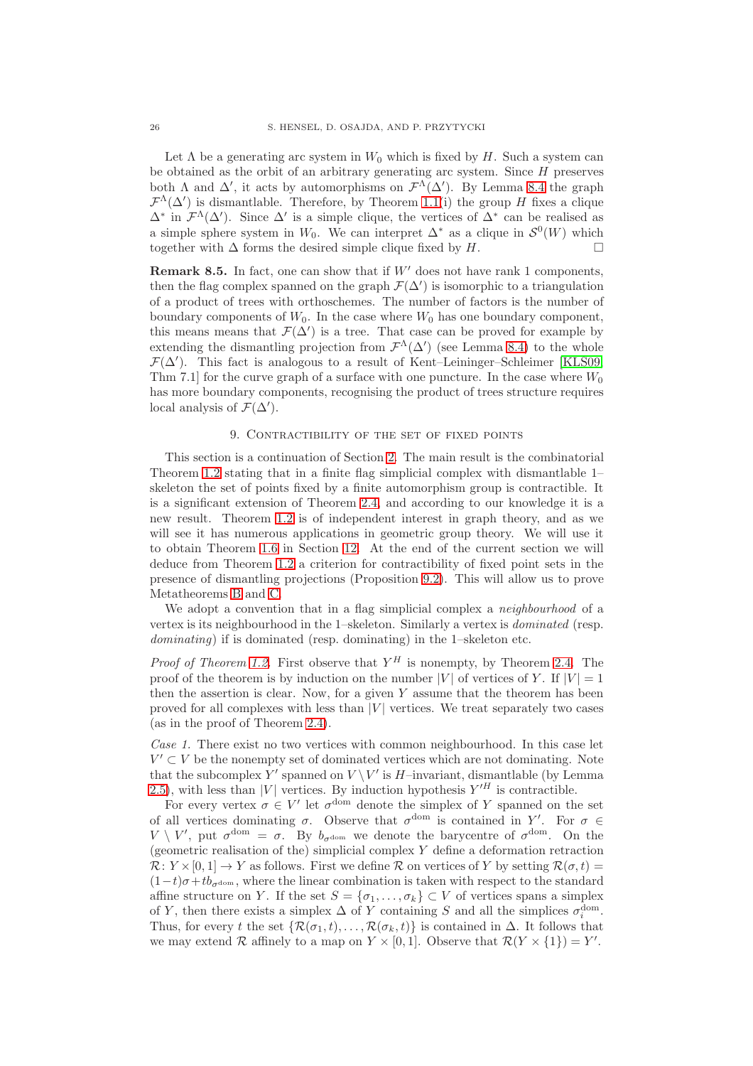Let  $\Lambda$  be a generating arc system in  $W_0$  which is fixed by H. Such a system can be obtained as the orbit of an arbitrary generating arc system. Since  $H$  preserves both  $\Lambda$  and  $\Delta'$ , it acts by automorphisms on  $\mathcal{F}^{\Lambda}(\Delta')$ . By Lemma [8.4](#page-24-0) the graph  $\mathcal{F}^{\Lambda}(\Delta')$  is dismantlable. Therefore, by Theorem [1.1\(](#page-0-0)i) the group H fixes a clique  $\Delta^*$  in  $\mathcal{F}^{\Lambda}(\Delta')$ . Since  $\Delta'$  is a simple clique, the vertices of  $\Delta^*$  can be realised as a simple sphere system in W<sub>0</sub>. We can interpret  $\Delta^*$  as a clique in  $\mathcal{S}^0(W)$  which together with  $\Delta$  forms the desired simple clique fixed by H.

**Remark 8.5.** In fact, one can show that if  $W'$  does not have rank 1 components, then the flag complex spanned on the graph  $\mathcal{F}(\Delta')$  is isomorphic to a triangulation of a product of trees with orthoschemes. The number of factors is the number of boundary components of  $W_0$ . In the case where  $W_0$  has one boundary component, this means means that  $\mathcal{F}(\Delta')$  is a tree. That case can be proved for example by extending the dismantling projection from  $\mathcal{F}^{\Lambda}(\Delta')$  (see Lemma [8.4\)](#page-24-0) to the whole  $\mathcal{F}(\Delta')$ . This fact is analogous to a result of Kent–Leininger–Schleimer [\[KLS09,](#page-32-21) Thm 7.1] for the curve graph of a surface with one puncture. In the case where  $W_0$ has more boundary components, recognising the product of trees structure requires local analysis of  $\mathcal{F}(\Delta')$ .

### 9. Contractibility of the set of fixed points

<span id="page-25-0"></span>This section is a continuation of Section [2.](#page-3-0) The main result is the combinatorial Theorem [1.2](#page-0-1) stating that in a finite flag simplicial complex with dismantlable 1– skeleton the set of points fixed by a finite automorphism group is contractible. It is a significant extension of Theorem [2.4,](#page-4-0) and according to our knowledge it is a new result. Theorem [1.2](#page-0-1) is of independent interest in graph theory, and as we will see it has numerous applications in geometric group theory. We will use it to obtain Theorem [1.6](#page-3-1) in Section [12.](#page-30-0) At the end of the current section we will deduce from Theorem [1.2](#page-0-1) a criterion for contractibility of fixed point sets in the presence of dismantling projections (Proposition [9.2\)](#page-26-0). This will allow us to prove Metatheorems [B](#page-2-0) and [C.](#page-2-1)

We adopt a convention that in a flag simplicial complex a *neighbourhood* of a vertex is its neighbourhood in the 1–skeleton. Similarly a vertex is *dominated* (resp. *dominating*) if is dominated (resp. dominating) in the 1–skeleton etc.

*Proof of Theorem [1.2.](#page-0-1)* First observe that  $Y^H$  is nonempty, by Theorem [2.4.](#page-4-0) The proof of the theorem is by induction on the number |V| of vertices of Y. If  $|V| = 1$ then the assertion is clear. Now, for a given  $Y$  assume that the theorem has been proved for all complexes with less than  $|V|$  vertices. We treat separately two cases (as in the proof of Theorem [2.4\)](#page-4-0).

*Case 1.* There exist no two vertices with common neighbourhood. In this case let  $V' \subset V$  be the nonempty set of dominated vertices which are not dominating. Note that the subcomplex Y' spanned on  $V \setminus V'$  is H-invariant, dismantlable (by Lemma [2.5\)](#page-4-1), with less than |V| vertices. By induction hypothesis  $Y'^H$  is contractible.

For every vertex  $\sigma \in V'$  let  $\sigma^{\text{dom}}$  denote the simplex of Y spanned on the set of all vertices dominating  $\sigma$ . Observe that  $\sigma^{\text{dom}}$  is contained in Y'. For  $\sigma \in$  $V \setminus V'$ , put  $\sigma^{\text{dom}} = \sigma$ . By  $b_{\sigma^{\text{dom}}}$  we denote the barycentre of  $\sigma^{\text{dom}}$ . On the (geometric realisation of the) simplicial complex Y define a deformation retraction  $\mathcal{R}: Y \times [0, 1] \to Y$  as follows. First we define  $\mathcal R$  on vertices of Y by setting  $\mathcal R(\sigma, t)$  $(1-t)\sigma + tb_{\sigma dom}$ , where the linear combination is taken with respect to the standard affine structure on Y. If the set  $S = {\sigma_1, \ldots, \sigma_k} \subset V$  of vertices spans a simplex of Y, then there exists a simplex  $\Delta$  of Y containing S and all the simplices  $\sigma_i^{\text{dom}}$ . Thus, for every t the set  $\{\mathcal{R}(\sigma_1, t), \ldots, \mathcal{R}(\sigma_k, t)\}\$ is contained in  $\Delta$ . It follows that we may extend R affinely to a map on  $Y \times [0,1]$ . Observe that  $\mathcal{R}(Y \times \{1\}) = Y'$ .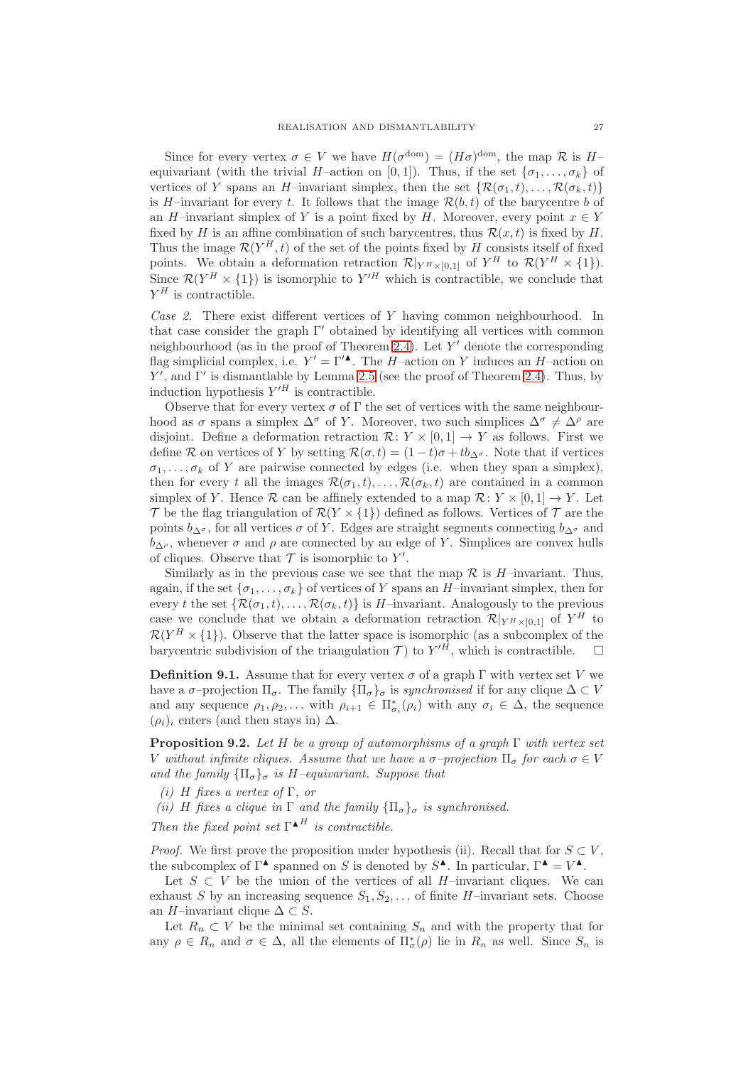Since for every vertex  $\sigma \in V$  we have  $H(\sigma^{\text{dom}}) = (H\sigma)^{\text{dom}}$ , the map  $\mathcal R$  is  $H$ equivariant (with the trivial H–action on [0, 1]). Thus, if the set  $\{\sigma_1, \ldots, \sigma_k\}$  of vertices of Y spans an H–invariant simplex, then the set  $\{\mathcal{R}(\sigma_1, t), \ldots, \mathcal{R}(\sigma_k, t)\}\$ is H–invariant for every t. It follows that the image  $\mathcal{R}(b, t)$  of the barycentre b of an H–invariant simplex of Y is a point fixed by H. Moreover, every point  $x \in Y$ fixed by H is an affine combination of such barycentres, thus  $\mathcal{R}(x,t)$  is fixed by H. Thus the image  $\mathcal{R}(Y^H, t)$  of the set of the points fixed by H consists itself of fixed points. We obtain a deformation retraction  $\mathcal{R}|_{Y^H \times [0,1]}$  of  $Y^H$  to  $\mathcal{R}(Y^H \times \{1\})$ . Since  $\mathcal{R}(Y^H \times \{1\})$  is isomorphic to  $Y'^H$  which is contractible, we conclude that  $Y^H$  is contractible.

*Case 2.* There exist different vertices of Y having common neighbourhood. In that case consider the graph Γ ′ obtained by identifying all vertices with common neighbourhood (as in the proof of Theorem [2.4\)](#page-4-0). Let  $Y'$  denote the corresponding flag simplicial complex, i.e.  $Y' = \Gamma'^{\blacktriangle}$ . The H-action on Y induces an H-action on  $Y'$ , and  $\Gamma'$  is dismantlable by Lemma [2.5](#page-4-1) (see the proof of Theorem [2.4\)](#page-4-0). Thus, by induction hypothesis  $Y'^H$  is contractible.

Observe that for every vertex  $\sigma$  of  $\Gamma$  the set of vertices with the same neighbourhood as  $\sigma$  spans a simplex  $\Delta^{\sigma}$  of Y. Moreover, two such simplices  $\Delta^{\sigma} \neq \Delta^{\rho}$  are disjoint. Define a deformation retraction  $\mathcal{R}: Y \times [0, 1] \rightarrow Y$  as follows. First we define R on vertices of Y by setting  $\mathcal{R}(\sigma, t) = (1 - t)\sigma + tb_{\Delta^{\sigma}}$ . Note that if vertices  $\sigma_1, \ldots, \sigma_k$  of Y are pairwise connected by edges (i.e. when they span a simplex), then for every t all the images  $\mathcal{R}(\sigma_1, t), \ldots, \mathcal{R}(\sigma_k, t)$  are contained in a common simplex of Y. Hence  $\mathcal R$  can be affinely extended to a map  $\mathcal R: Y \times [0,1] \to Y$ . Let  $\mathcal T$  be the flag triangulation of  $\mathcal R(Y \times \{1\})$  defined as follows. Vertices of  $\mathcal T$  are the points  $b_{\Delta^{\sigma}}$ , for all vertices  $\sigma$  of Y. Edges are straight segments connecting  $b_{\Delta^{\sigma}}$  and  $b_{\Delta\rho}$ , whenever  $\sigma$  and  $\rho$  are connected by an edge of Y. Simplices are convex hulls of cliques. Observe that  $\mathcal T$  is isomorphic to  $Y'$ .

Similarly as in the previous case we see that the map  $\mathcal R$  is H-invariant. Thus, again, if the set  $\{\sigma_1, \ldots, \sigma_k\}$  of vertices of Y spans an H-invariant simplex, then for every t the set  $\{\mathcal{R}(\sigma_1,t),\ldots,\mathcal{R}(\sigma_k,t)\}\$ is H-invariant. Analogously to the previous case we conclude that we obtain a deformation retraction  $\mathcal{R}|_{Y^H\times[0,1]}$  of  $Y^H$  to  $\mathcal{R}(Y^H \times \{1\})$ . Observe that the latter space is isomorphic (as a subcomplex of the barycentric subdivision of the triangulation  $T$ ) to  $Y'^H$ , which is contractible.  $\Box$ 

**Definition 9.1.** Assume that for every vertex  $\sigma$  of a graph Γ with vertex set V we have a  $\sigma$ –projection  $\Pi_{\sigma}$ . The family  ${\{\Pi_{\sigma}\}_{\sigma}}$  is *synchronised* if for any clique  $\Delta \subset V$ and any sequence  $\rho_1, \rho_2, \ldots$  with  $\rho_{i+1} \in \Pi^*_{\sigma_i}(\rho_i)$  with any  $\sigma_i \in \Delta$ , the sequence  $(\rho_i)_i$  enters (and then stays in)  $\Delta$ .

<span id="page-26-0"></span>**Proposition 9.2.** *Let* H *be a group of automorphisms of a graph* Γ *with vertex set* V without infinite cliques. Assume that we have a  $\sigma$ -projection  $\Pi_{\sigma}$  for each  $\sigma \in V$ *and the family*  ${\Pi_{\sigma}}_{\sigma}$  *is* H–equivariant. Suppose that

- *(i)* H *fixes a vertex of* Γ*, or*
- *(ii)* H fixes a clique in  $\Gamma$  and the family  ${\{\Pi_{\sigma}\}_\sigma}$  is synchronised.

*Then the fixed point set*  $\Gamma^{\blacktriangle H}$  *is contractible.* 

*Proof.* We first prove the proposition under hypothesis (ii). Recall that for  $S \subset V$ , the subcomplex of  $\Gamma^{\blacktriangle}$  spanned on S is denoted by  $S^{\blacktriangle}$ . In particular,  $\Gamma^{\blacktriangle} = V^{\blacktriangle}$ .

Let  $S \subset V$  be the union of the vertices of all H–invariant cliques. We can exhaust S by an increasing sequence  $S_1, S_2, \ldots$  of finite H–invariant sets. Choose an H–invariant clique  $\Delta \subset S$ .

Let  $R_n \subset V$  be the minimal set containing  $S_n$  and with the property that for any  $\rho \in R_n$  and  $\sigma \in \Delta$ , all the elements of  $\Pi^*_{\sigma}(\rho)$  lie in  $R_n$  as well. Since  $S_n$  is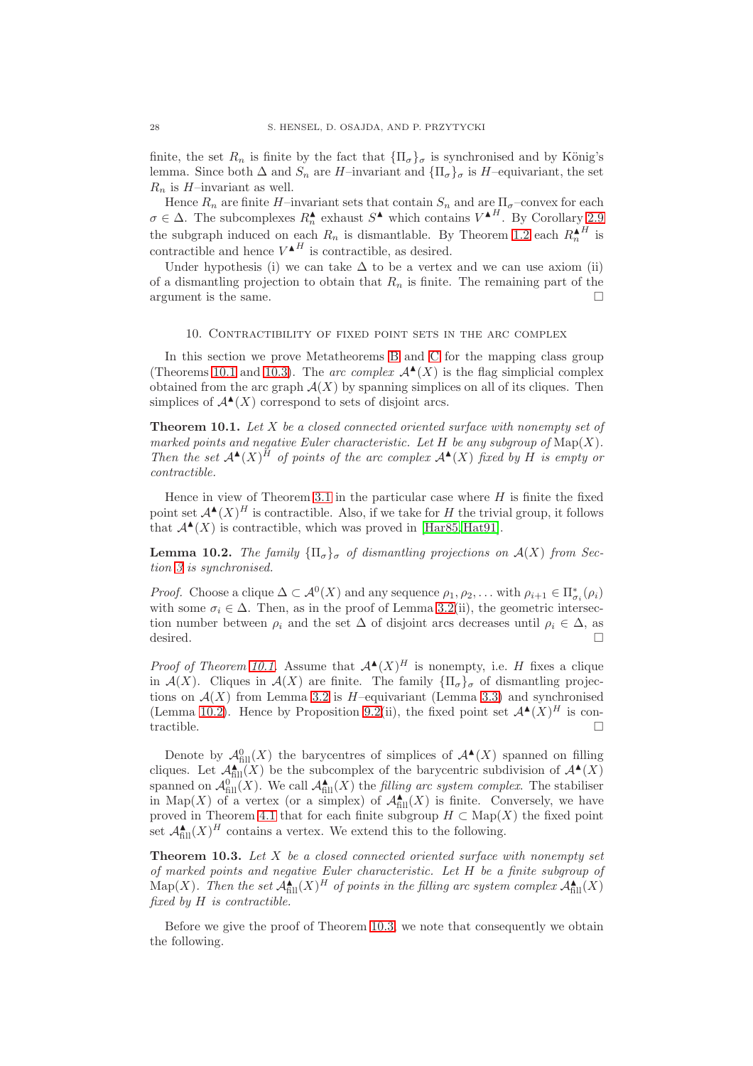finite, the set  $R_n$  is finite by the fact that  ${\{\Pi_\sigma\}_\sigma}$  is synchronised and by König's lemma. Since both  $\Delta$  and  $S_n$  are H–invariant and  $\{\Pi_{\sigma}\}_{\sigma}$  is H–equivariant, the set  $R_n$  is H-invariant as well.

Hence  $R_n$  are finite H–invariant sets that contain  $S_n$  and are  $\Pi_{\sigma}$ –convex for each  $\sigma \in \Delta$ . The subcomplexes  $R_n^{\blacktriangle}$  exhaust  $S^{\blacktriangle}$  which contains  $V^{\blacktriangle H}$ . By Corollary [2.9](#page-6-0) the subgraph induced on each  $R_n$  is dismantlable. By Theorem [1.2](#page-0-1) each  $R_n^{\mathbf{A}^H}$  is contractible and hence  $V^{\blacktriangle H}$  is contractible, as desired.

Under hypothesis (i) we can take  $\Delta$  to be a vertex and we can use axiom (ii) of a dismantling projection to obtain that  $R_n$  is finite. The remaining part of the argument is the same.

### 10. Contractibility of fixed point sets in the arc complex

<span id="page-27-0"></span>In this section we prove Metatheorems [B](#page-2-0) and [C](#page-2-1) for the mapping class group (Theorems [10.1](#page-27-1) and [10.3\)](#page-27-2). The *arc complex*  $\mathcal{A}^{\blacktriangle}(X)$  is the flag simplicial complex obtained from the arc graph  $A(X)$  by spanning simplices on all of its cliques. Then simplices of  $\mathcal{A}^{\blacktriangle}(X)$  correspond to sets of disjoint arcs.

<span id="page-27-1"></span>**Theorem 10.1.** *Let* X *be a closed connected oriented surface with nonempty set of marked points and negative Euler characteristic. Let*  $H$  *be any subgroup of*  $\text{Map}(X)$ *. Then the set*  $A^{\blacktriangle}(X)$ <sup>*H*</sup> *of points of the arc complex*  $A^{\blacktriangle}(X)$  *fixed by H is empty or contractible.*

Hence in view of Theorem [3.1](#page-7-1) in the particular case where  $H$  is finite the fixed point set  $\mathcal{A}^{\blacktriangle}(X)^H$  is contractible. Also, if we take for H the trivial group, it follows that  $\mathcal{A}^{\blacktriangle}(X)$  is contractible, which was proved in [\[Har85,](#page-31-3) [Hat91\]](#page-31-4).

<span id="page-27-3"></span>**Lemma 10.2.** *The family*  ${\Pi_{\sigma}}_{\sigma}$  *of dismantling projections on*  $\mathcal{A}(X)$  *from Section [3](#page-7-0) is synchronised.*

*Proof.* Choose a clique  $\Delta \subset \mathcal{A}^0(X)$  and any sequence  $\rho_1, \rho_2, \ldots$  with  $\rho_{i+1} \in \Pi^*_{\sigma_i}(\rho_i)$ with some  $\sigma_i \in \Delta$ . Then, as in the proof of Lemma [3.2\(](#page-8-1)ii), the geometric intersection number between  $\rho_i$  and the set  $\Delta$  of disjoint arcs decreases until  $\rho_i \in \Delta$ , as desired.  $\Box$ 

*Proof of Theorem [10.1.](#page-27-1)* Assume that  $\mathcal{A}^{\blacktriangle}(X)^H$  is nonempty, i.e. H fixes a clique in  $\mathcal{A}(X)$ . Cliques in  $\mathcal{A}(X)$  are finite. The family  $\{\Pi_{\sigma}\}_{\sigma}$  of dismantling projections on  $\mathcal{A}(X)$  from Lemma [3.2](#page-8-1) is H-equivariant (Lemma [3.3\)](#page-9-2) and synchronised (Lemma [10.2\)](#page-27-3). Hence by Proposition [9.2\(](#page-26-0)ii), the fixed point set  $\mathcal{A}^{\blacktriangle}(X)^H$  is contractible.  $\square$ 

Denote by  $\mathcal{A}_{\text{fill}}^0(X)$  the barycentres of simplices of  $\mathcal{A}^{\blacktriangle}(X)$  spanned on filling cliques. Let  $\mathcal{A}_{\text{fill}}^{\blacktriangle}(X)$  be the subcomplex of the barycentric subdivision of  $\mathcal{A}^{\blacktriangle}(X)$ spanned on  $\mathcal{A}_{\text{fill}}^{0}(X)$ . We call  $\mathcal{A}_{\text{fill}}^{\blacktriangle}(X)$  the *filling arc system complex*. The stabiliser in Map(X) of a vertex (or a simplex) of  $\mathcal{A}_{fill}^{\blacktriangle}(X)$  is finite. Conversely, we have proved in Theorem [4.1](#page-10-1) that for each finite subgroup  $H \subset \text{Map}(X)$  the fixed point set  $\mathcal{A}_{\text{fill}}^{\blacktriangle}(X)^H$  contains a vertex. We extend this to the following.

<span id="page-27-2"></span>**Theorem 10.3.** *Let* X *be a closed connected oriented surface with nonempty set of marked points and negative Euler characteristic. Let* H *be a finite subgroup of*  $\text{Map}(X)$ . Then the set  $\mathcal{A}_{\text{fill}}^{\blacktriangle}(X)^H$  of points in the filling arc system complex  $\mathcal{A}_{\text{fill}}^{\blacktriangle}(X)$ *fixed by* H *is contractible.*

Before we give the proof of Theorem [10.3,](#page-27-2) we note that consequently we obtain the following.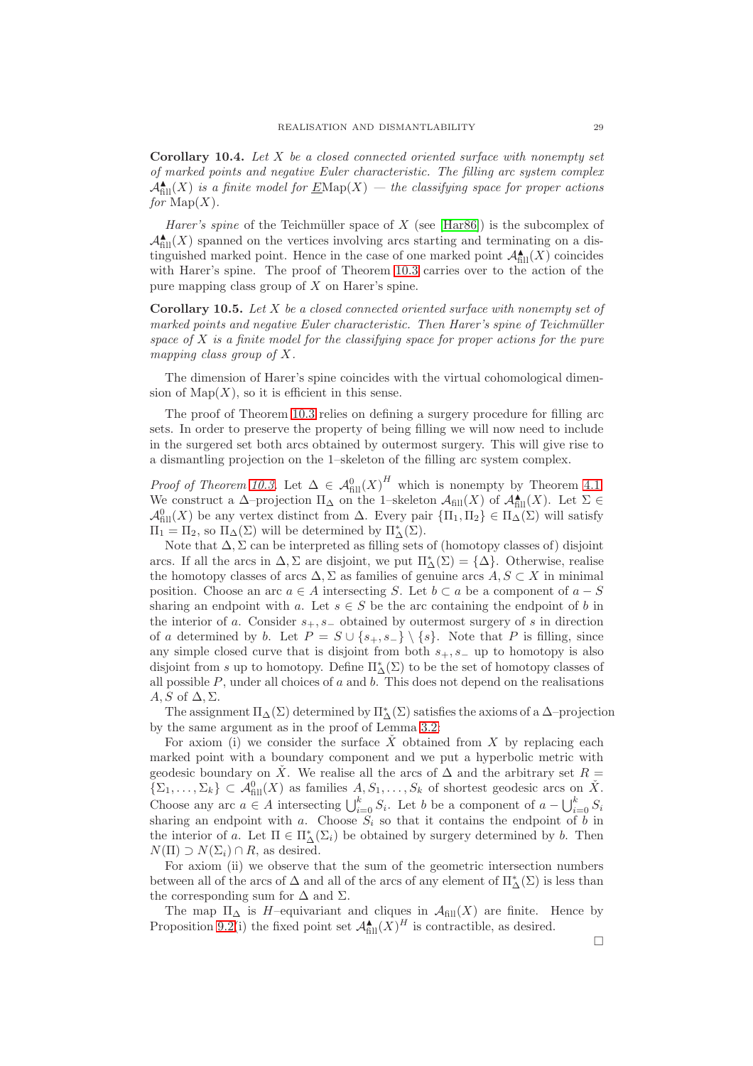<span id="page-28-0"></span>**Corollary 10.4.** *Let* X *be a closed connected oriented surface with nonempty set of marked points and negative Euler characteristic. The filling arc system complex*  $\mathcal{A}_{\text{fill}}^{\blacktriangle}(X)$  *is a finite model for*  $\underline{E}$ *Nap* $(X)$  *— the classifying space for proper actions for*  $\text{Map}(X)$ *.* 

*Harer's spine* of the Teichmüller space of X (see [\[Har86\]](#page-31-6)) is the subcomplex of  $\mathcal{A}_{\text{fill}}^{\blacktriangle}(X)$  spanned on the vertices involving arcs starting and terminating on a distinguished marked point. Hence in the case of one marked point  $\mathcal{A}_{fill}^{\blacktriangle}(X)$  coincides with Harer's spine. The proof of Theorem [10.3](#page-27-2) carries over to the action of the pure mapping class group of  $X$  on Harer's spine.

<span id="page-28-1"></span>**Corollary 10.5.** *Let* X *be a closed connected oriented surface with nonempty set of marked points and negative Euler characteristic. Then Harer's spine of Teichmüller space of* X *is a finite model for the classifying space for proper actions for the pure mapping class group of* X*.*

The dimension of Harer's spine coincides with the virtual cohomological dimension of  $\text{Map}(X)$ , so it is efficient in this sense.

The proof of Theorem [10.3](#page-27-2) relies on defining a surgery procedure for filling arc sets. In order to preserve the property of being filling we will now need to include in the surgered set both arcs obtained by outermost surgery. This will give rise to a dismantling projection on the 1–skeleton of the filling arc system complex.

*Proof of Theorem [10.3.](#page-27-2)* Let  $\Delta \in \mathcal{A}_{\text{fill}}^0(X)^H$  which is nonempty by Theorem [4.1.](#page-10-1) We construct a  $\Delta$ –projection  $\Pi_{\Delta}$  on the 1–skeleton  $\mathcal{A}_{fill}(X)$  of  $\mathcal{A}_{fill}^{\blacktriangle}(X)$ . Let  $\Sigma \in$  $\mathcal{A}_{\text{fill}}^0(X)$  be any vertex distinct from  $\Delta$ . Every pair  $\{\Pi_1,\Pi_2\}\in \Pi_{\Delta}(\Sigma)$  will satisfy  $\Pi_1 = \Pi_2$ , so  $\Pi_{\Delta}(\Sigma)$  will be determined by  $\Pi_{\Delta}^*(\Sigma)$ .

Note that  $\Delta$ ,  $\Sigma$  can be interpreted as filling sets of (homotopy classes of) disjoint arcs. If all the arcs in  $\Delta, \Sigma$  are disjoint, we put  $\Pi_{\Delta}^*(\Sigma) = {\Delta}.$  Otherwise, realise the homotopy classes of arcs  $\Delta, \Sigma$  as families of genuine arcs  $A, S \subset X$  in minimal position. Choose an arc  $a \in A$  intersecting S. Let  $b \subset a$  be a component of  $a - S$ sharing an endpoint with a. Let  $s \in S$  be the arc containing the endpoint of b in the interior of a. Consider  $s_+, s_-$  obtained by outermost surgery of s in direction of a determined by b. Let  $P = S \cup \{s_+, s_-\} \setminus \{s\}$ . Note that P is filling, since any simple closed curve that is disjoint from both  $s_+, s_-$  up to homotopy is also disjoint from  $s$  up to homotopy. Define  $\Pi^*_\Delta(\Sigma)$  to be the set of homotopy classes of all possible  $P$ , under all choices of  $a$  and  $b$ . This does not depend on the realisations  $A, S$  of  $\Delta, \Sigma$ .

The assignment  $\Pi_\Delta(\Sigma)$  determined by  $\Pi_\Delta^*(\Sigma)$  satisfies the axioms of a  $\Delta\text{-projection}$ by the same argument as in the proof of Lemma [3.2:](#page-8-1)

For axiom (i) we consider the surface  $\check{X}$  obtained from X by replacing each marked point with a boundary component and we put a hyperbolic metric with geodesic boundary on  $\check{X}$ . We realise all the arcs of  $\Delta$  and the arbitrary set  $R =$  $\{ \Sigma_1, \ldots, \Sigma_k \} \subset \mathcal{A}_{\text{fill}}^0(X)$  as families  $A, S_1, \ldots, S_k$  of shortest geodesic arcs on  $\check{X}$ . Choose any arc  $a \in A$  intersecting  $\bigcup_{i=0}^k S_i$ . Let b be a component of  $a - \bigcup_{i=0}^k S_i$ sharing an endpoint with a. Choose  $S_i$  so that it contains the endpoint of b in the interior of a. Let  $\Pi \in \Pi_{\Delta}^*(\Sigma_i)$  be obtained by surgery determined by b. Then  $N(\Pi) \supset N(\Sigma_i) \cap R$ , as desired.

For axiom (ii) we observe that the sum of the geometric intersection numbers between all of the arcs of  $\Delta$  and all of the arcs of any element of  $\Pi^*_{\Delta}(\Sigma)$  is less than the corresponding sum for  $\Delta$  and  $\Sigma$ .

The map  $\Pi_{\Delta}$  is H–equivariant and cliques in  $\mathcal{A}_{\text{fill}}(X)$  are finite. Hence by Proposition [9.2\(](#page-26-0)i) the fixed point set  $\mathcal{A}_{fill}^{\blacktriangle}(X)^H$  is contractible, as desired.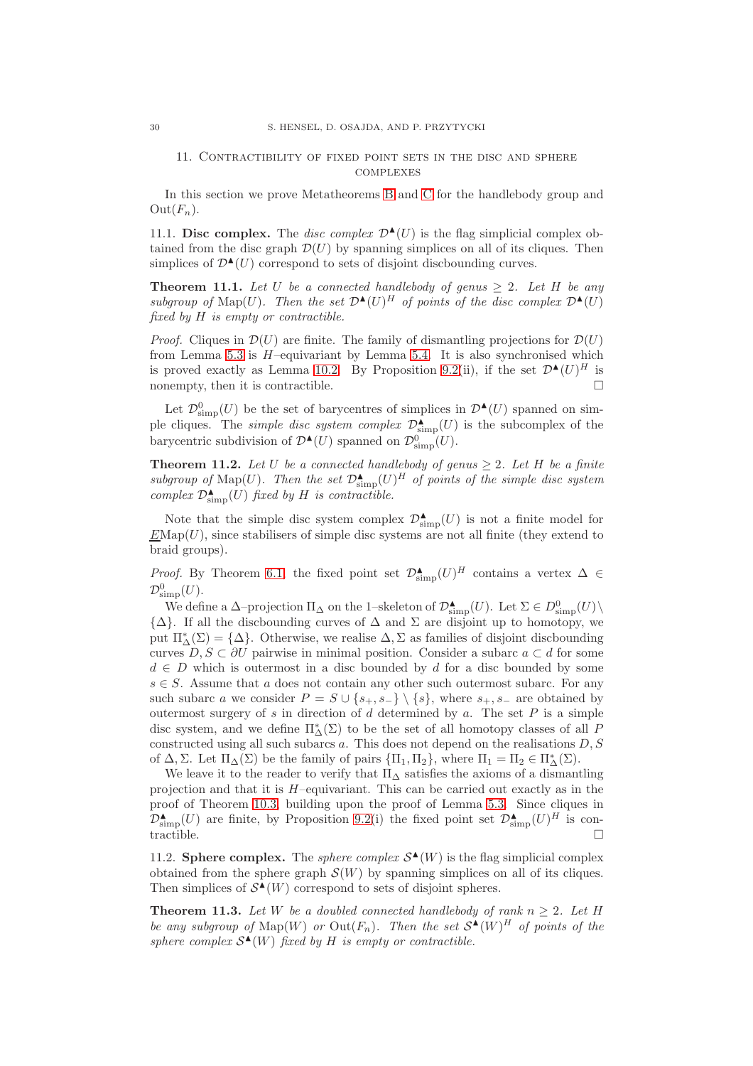## <span id="page-29-0"></span>11. Contractibility of fixed point sets in the disc and sphere **COMPLEXES**

In this section we prove Metatheorems [B](#page-2-0) and [C](#page-2-1) for the handlebody group and  $Out(F_n).$ 

11.1. **Disc complex.** The *disc complex*  $\mathcal{D}^{\blacktriangle}(U)$  is the flag simplicial complex obtained from the disc graph  $\mathcal{D}(U)$  by spanning simplices on all of its cliques. Then simplices of  $\mathcal{D}^{\blacktriangle}(U)$  correspond to sets of disjoint discbounding curves.

<span id="page-29-1"></span>**Theorem 11.1.** Let U be a connected handlebody of genus  $\geq 2$ . Let H be any subgroup of  $\text{Map}(U)$ . Then the set  $\mathcal{D}^{\blacktriangle}(U)^H$  of points of the disc complex  $\mathcal{D}^{\blacktriangle}(U)$ *fixed by* H *is empty or contractible.*

*Proof.* Cliques in  $\mathcal{D}(U)$  are finite. The family of dismantling projections for  $\mathcal{D}(U)$ from Lemma [5.3](#page-13-0) is  $H$ -equivariant by Lemma [5.4.](#page-13-1) It is also synchronised which is proved exactly as Lemma [10.2.](#page-27-3) By Proposition [9.2\(](#page-26-0)ii), if the set  $\mathcal{D}^{\blacktriangle}(U)^H$  is nonempty, then it is contractible.  $\Box$ 

Let  $\mathcal{D}_{\text{simp}}^0(U)$  be the set of barycentres of simplices in  $\mathcal{D}^{\blacktriangle}(U)$  spanned on simple cliques. The *simple disc system complex*  $\mathcal{D}^{\blacktriangle}_{\text{simp}}(U)$  is the subcomplex of the barycentric subdivision of  $\mathcal{D}^{\blacktriangle}(U)$  spanned on  $\mathcal{D}^0_{\text{simp}}(U)$ .

<span id="page-29-2"></span>**Theorem 11.2.** Let U be a connected handlebody of genus  $\geq 2$ . Let H be a finite subgroup of  $\text{Map}(U)$ . Then the set  $\mathcal{D}^{\blacktriangle}_{\text{simp}}(U)^H$  of points of the simple disc system  $complex \ \mathcal{D}^{\blacktriangle}_{\text{simp}}(U)$  *fixed by* H *is contractible.* 

Note that the simple disc system complex  $\mathcal{D}^{\blacktriangle}_{\text{simp}}(U)$  is not a finite model for  $E\text{Map}(U)$ , since stabilisers of simple disc systems are not all finite (they extend to braid groups).

*Proof.* By Theorem [6.1,](#page-14-1) the fixed point set  $\mathcal{D}^{\blacktriangle}_{\text{simp}}(U)^H$  contains a vertex  $\Delta \in$  $\mathcal{D}_{\rm simp}^0(U)$ .

We define a  $\Delta$ –projection  $\Pi_{\Delta}$  on the 1–skeleton of  $\mathcal{D}^{\blacktriangle}_{\text{simp}}(U)$ . Let  $\Sigma \in D^0_{\text{simp}}(U) \setminus \mathcal{D}^{\blacktriangle}_{\text{simp}}(U)$  $\{\Delta\}$ . If all the discbounding curves of  $\Delta$  and  $\Sigma$  are disjoint up to homotopy, we put  $\Pi_{\Delta}^{*}(\Sigma) = {\Delta}$ . Otherwise, we realise  $\Delta, \Sigma$  as families of disjoint discbounding curves  $D, S \subset \partial U$  pairwise in minimal position. Consider a subarc  $a \subset d$  for some  $d \in D$  which is outermost in a disc bounded by d for a disc bounded by some  $s \in S$ . Assume that a does not contain any other such outermost subarc. For any such subarc a we consider  $P = S \cup \{s_+, s_-\} \setminus \{s\}$ , where  $s_+, s_-$  are obtained by outermost surgery of s in direction of d determined by a. The set  $P$  is a simple disc system, and we define  $\Pi^*_{\Delta}(\Sigma)$  to be the set of all homotopy classes of all  $P$ constructed using all such subarcs  $a$ . This does not depend on the realisations  $D, S$ of  $\Delta$ ,  $\Sigma$ . Let  $\Pi_{\Delta}(\Sigma)$  be the family of pairs  ${\Pi_1, \Pi_2}$ , where  $\Pi_1 = \Pi_2 \in \Pi_{\Delta}^*(\Sigma)$ .

We leave it to the reader to verify that  $\Pi_{\Delta}$  satisfies the axioms of a dismantling projection and that it is H–equivariant. This can be carried out exactly as in the proof of Theorem [10.3,](#page-27-2) building upon the proof of Lemma [5.3.](#page-13-0) Since cliques in  $\mathcal{D}^{\blacktriangle}_{\text{simp}}(U)$  are finite, by Proposition [9.2\(](#page-26-0)i) the fixed point set  $\mathcal{D}^{\blacktriangle}_{\text{simp}}(U)^H$  is contractible.  $\square$ 

11.2. **Sphere complex.** The *sphere complex*  $S^{\blacktriangle}(W)$  is the flag simplicial complex obtained from the sphere graph  $\mathcal{S}(W)$  by spanning simplices on all of its cliques. Then simplices of  $S^{\blacktriangle}(W)$  correspond to sets of disjoint spheres.

<span id="page-29-3"></span>**Theorem 11.3.** Let W be a doubled connected handlebody of rank  $n \geq 2$ . Let H be any subgroup of  $\text{Map}(W)$  or  $\text{Out}(F_n)$ . Then the set  $\mathcal{S}^{\blacktriangle}(W)^H$  of points of the sphere complex  $S^{\blacktriangle}(W)$  *fixed by* H *is empty or contractible.*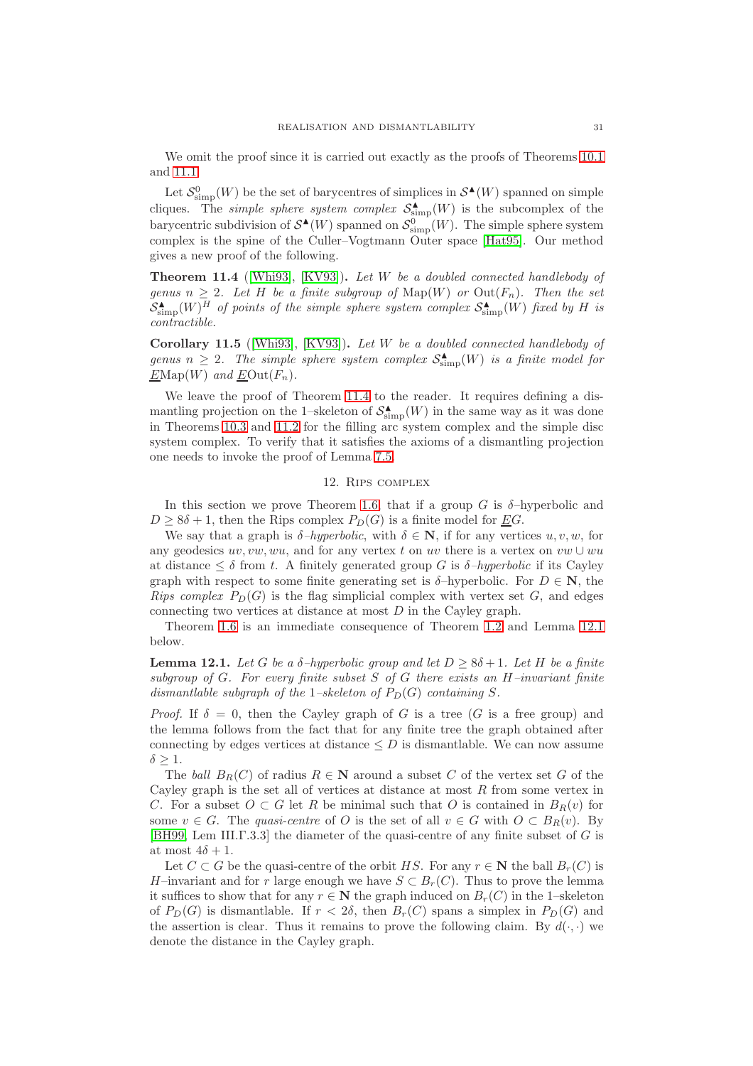We omit the proof since it is carried out exactly as the proofs of Theorems [10.1](#page-27-1) and [11.1.](#page-29-1)

Let  $\mathcal{S}_{\text{simp}}^0(W)$  be the set of barycentres of simplices in  $\mathcal{S}^{\blacktriangle}(W)$  spanned on simple cliques. The *simple sphere system complex*  $S_{\text{simp}}^{\blacktriangle}(W)$  is the subcomplex of the barycentric subdivision of  $\mathcal{S}^{\blacktriangle}(W)$  spanned on  $\mathcal{S}_{\text{simp}}^{\{0\}}(W)$ . The simple sphere system complex is the spine of the Culler–Vogtmann Outer space [\[Hat95\]](#page-31-5). Our method gives a new proof of the following.

<span id="page-30-1"></span>**Theorem 11.4** ([\[Whi93\]](#page-32-12), [\[KV93\]](#page-32-13))**.** *Let* W *be a doubled connected handlebody of genus*  $n \geq 2$ *. Let H be a finite subgroup of* Map $(W)$  *or* Out $(F_n)$ *. Then the set*  $S_{\text{simp}}^{\blacktriangle}(W)^{\overline{H}}$  of points of the simple sphere system complex  $S_{\text{simp}}^{\blacktriangle}(W)$  fixed by H is *contractible.*

<span id="page-30-2"></span>**Corollary 11.5** ([\[Whi93\]](#page-32-12), [\[KV93\]](#page-32-13))**.** *Let* W *be a doubled connected handlebody of* genus  $n \geq 2$ . The simple sphere system complex  $\mathcal{S}_{\text{simp}}^{\blacktriangle}(W)$  is a finite model for  $E\text{Map}(W)$  and  $\underline{E}\text{Out}(F_n)$ .

We leave the proof of Theorem [11.4](#page-30-1) to the reader. It requires defining a dismantling projection on the 1-skeleton of  $\mathcal{S}_{\mathrm{simp}}^{\blacktriangle}(W)$  in the same way as it was done in Theorems [10.3](#page-27-2) and [11.2](#page-29-2) for the filling arc system complex and the simple disc system complex. To verify that it satisfies the axioms of a dismantling projection one needs to invoke the proof of Lemma [7.5.](#page-19-1)

## 12. Rips complex

<span id="page-30-0"></span>In this section we prove Theorem [1.6,](#page-3-1) that if a group  $G$  is  $\delta$ -hyperbolic and  $D \geq 8\delta + 1$ , then the Rips complex  $P_D(G)$  is a finite model for EG.

We say that a graph is  $\delta$ *-hyperbolic*, with  $\delta \in \mathbb{N}$ , if for any vertices u, v, w, for any geodesics  $uv, vw, wu$ , and for any vertex t on uv there is a vertex on  $vw \cup wu$ at distance  $\leq \delta$  from t. A finitely generated group G is  $\delta$ -hyperbolic if its Cayley graph with respect to some finite generating set is  $\delta$ -hyperbolic. For  $D \in \mathbb{N}$ , the *Rips complex*  $P_D(G)$  is the flag simplicial complex with vertex set G, and edges connecting two vertices at distance at most D in the Cayley graph.

Theorem [1.6](#page-3-1) is an immediate consequence of Theorem [1.2](#page-0-1) and Lemma [12.1](#page-30-3) below.

<span id="page-30-3"></span>**Lemma 12.1.** *Let* G *be a*  $\delta$ *-hyperbolic group and let*  $D \geq 8\delta + 1$ *. Let* H *be a finite subgroup of* G*. For every finite subset* S *of* G *there exists an* H*–invariant finite dismantlable subgraph of the* 1–skeleton of  $P_D(G)$  containing S.

*Proof.* If  $\delta = 0$ , then the Cayley graph of G is a tree (G is a free group) and the lemma follows from the fact that for any finite tree the graph obtained after connecting by edges vertices at distance  $\leq D$  is dismantlable. We can now assume  $\delta \geq 1$ .

The *ball*  $B_R(C)$  of radius  $R \in \mathbb{N}$  around a subset C of the vertex set G of the Cayley graph is the set all of vertices at distance at most  $R$  from some vertex in C. For a subset  $O \subset G$  let R be minimal such that O is contained in  $B_R(v)$  for some  $v \in G$ . The *quasi-centre* of O is the set of all  $v \in G$  with  $O \subset B_R(v)$ . By [\[BH99,](#page-31-12) Lem III.Γ.3.3] the diameter of the quasi-centre of any finite subset of G is at most  $4\delta + 1$ .

Let  $C \subset G$  be the quasi-centre of the orbit HS. For any  $r \in \mathbb{N}$  the ball  $B_r(C)$  is H–invariant and for r large enough we have  $S \subset B_r(C)$ . Thus to prove the lemma it suffices to show that for any  $r \in \mathbb{N}$  the graph induced on  $B_r(C)$  in the 1–skeleton of  $P_D(G)$  is dismantlable. If  $r < 2\delta$ , then  $B_r(C)$  spans a simplex in  $P_D(G)$  and the assertion is clear. Thus it remains to prove the following claim. By  $d(\cdot, \cdot)$  we denote the distance in the Cayley graph.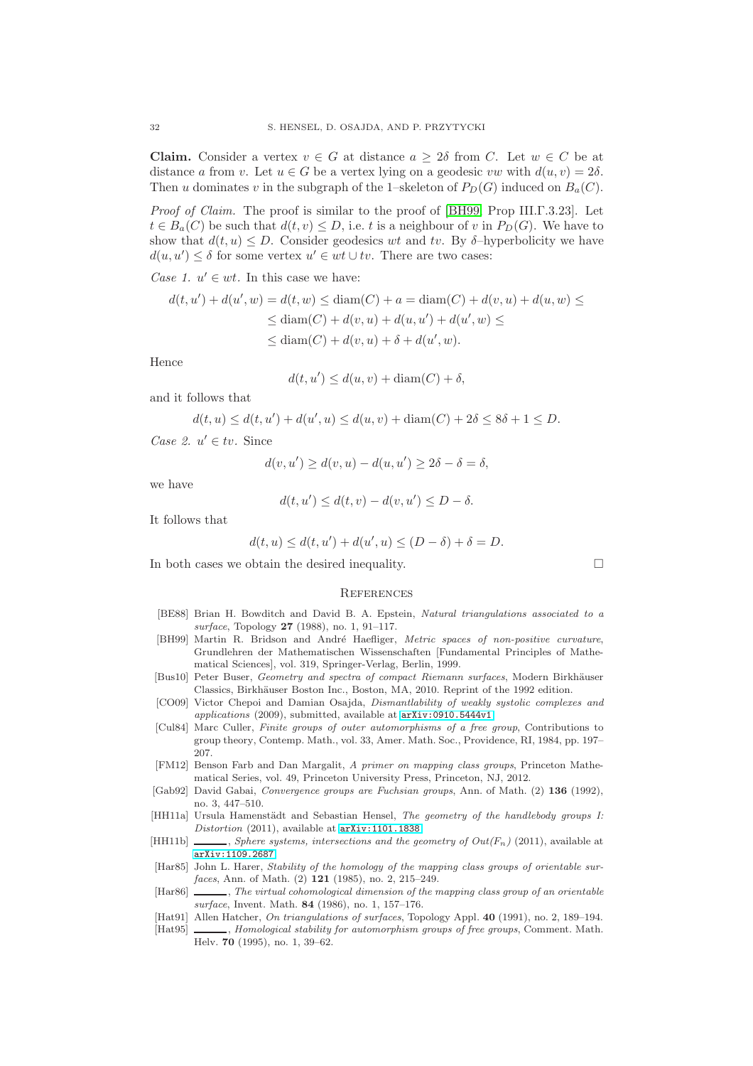**Claim.** Consider a vertex  $v \in G$  at distance  $a \geq 2\delta$  from C. Let  $w \in C$  be at distance a from v. Let  $u \in G$  be a vertex lying on a geodesic vw with  $d(u, v) = 2\delta$ . Then u dominates v in the subgraph of the 1–skeleton of  $P_D(G)$  induced on  $B_a(C)$ .

*Proof of Claim.* The proof is similar to the proof of [\[BH99,](#page-31-12) Prop III.Γ.3.23]. Let  $t \in B_a(C)$  be such that  $d(t, v) \leq D$ , i.e. t is a neighbour of v in  $P_D(G)$ . We have to show that  $d(t, u) \leq D$ . Consider geodesics wt and tv. By  $\delta$ -hyperbolicity we have  $d(u, u') \leq \delta$  for some vertex  $u' \in wt \cup tv$ . There are two cases:

*Case 1.*  $u' \in wt$ *.* In this case we have:

$$
d(t, u') + d(u', w) = d(t, w) \leq \text{diam}(C) + a = \text{diam}(C) + d(v, u) + d(u, w) \leq
$$
  
 
$$
\leq \text{diam}(C) + d(v, u) + d(u, u') + d(u', w) \leq
$$
  
 
$$
\leq \text{diam}(C) + d(v, u) + \delta + d(u', w).
$$

Hence

$$
d(t, u') \le d(u, v) + \operatorname{diam}(C) + \delta,
$$

and it follows that

$$
d(t, u) \le d(t, u') + d(u', u) \le d(u, v) + \text{diam}(C) + 2\delta \le 8\delta + 1 \le D.
$$

*Case 2.*  $u' \in tv$ . Since

$$
d(v, u') \ge d(v, u) - d(u, u') \ge 2\delta - \delta = \delta,
$$

we have

$$
d(t, u') \le d(t, v) - d(v, u') \le D - \delta.
$$

It follows that

$$
d(t, u) \le d(t, u') + d(u', u) \le (D - \delta) + \delta = D.
$$

In both cases we obtain the desired inequality.

### **REFERENCES**

- <span id="page-31-7"></span>[BE88] Brian H. Bowditch and David B. A. Epstein, *Natural triangulations associated to a surface*, Topology **27** (1988), no. 1, 91–117.
- <span id="page-31-12"></span>[BH99] Martin R. Bridson and André Haefliger, *Metric spaces of non-positive curvature*, Grundlehren der Mathematischen Wissenschaften [Fundamental Principles of Mathematical Sciences], vol. 319, Springer-Verlag, Berlin, 1999.
- <span id="page-31-9"></span>[Bus10] Peter Buser, *Geometry and spectra of compact Riemann surfaces*, Modern Birkhäuser Classics, Birkhäuser Boston Inc., Boston, MA, 2010. Reprint of the 1992 edition.
- <span id="page-31-2"></span>[CO09] Victor Chepoi and Damian Osajda, *Dismantlability of weakly systolic complexes and applications* (2009), submitted, available at <arXiv:0910.5444v1>.
- <span id="page-31-1"></span>[Cul84] Marc Culler, *Finite groups of outer automorphisms of a free group*, Contributions to group theory, Contemp. Math., vol. 33, Amer. Math. Soc., Providence, RI, 1984, pp. 197– 207.
- <span id="page-31-8"></span>[FM12] Benson Farb and Dan Margalit, *A primer on mapping class groups*, Princeton Mathematical Series, vol. 49, Princeton University Press, Princeton, NJ, 2012.
- <span id="page-31-0"></span>[Gab92] David Gabai, *Convergence groups are Fuchsian groups*, Ann. of Math. (2) **136** (1992), no. 3, 447–510.
- <span id="page-31-10"></span>[HH11a] Ursula Hamenstädt and Sebastian Hensel, *The geometry of the handlebody groups I: Distortion* (2011), available at <arXiv:1101.1838>.
- <span id="page-31-11"></span>[HH11b]  $\_\_\_\_\_$ , *Sphere systems, intersections and the geometry of Out(F<sub>n</sub>)* (2011), available at <arXiv:1109.2687>.
- <span id="page-31-3"></span>[Har85] John L. Harer, *Stability of the homology of the mapping class groups of orientable surfaces*, Ann. of Math. (2) **121** (1985), no. 2, 215–249.
- <span id="page-31-6"></span>[Har86] , *The virtual cohomological dimension of the mapping class group of an orientable surface*, Invent. Math. **84** (1986), no. 1, 157–176.
- <span id="page-31-4"></span>[Hat91] Allen Hatcher, *On triangulations of surfaces*, Topology Appl. **40** (1991), no. 2, 189–194.
- <span id="page-31-5"></span>[Hat95] , *Homological stability for automorphism groups of free groups*, Comment. Math. Helv. **70** (1995), no. 1, 39–62.